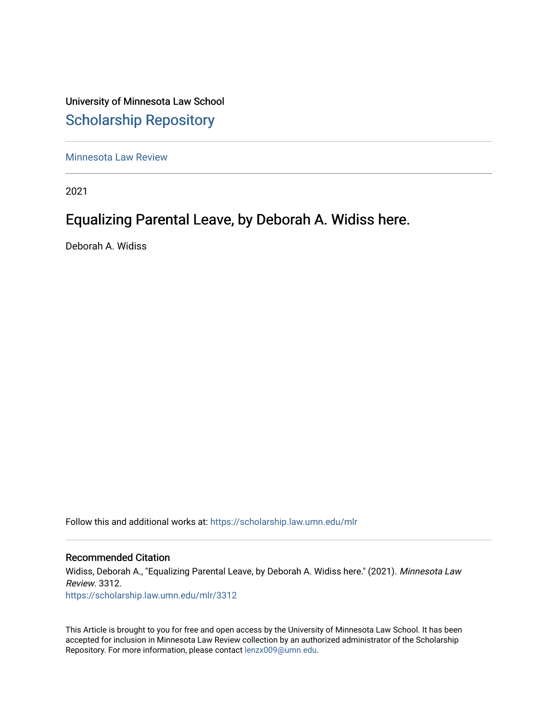University of Minnesota Law School [Scholarship Repository](https://scholarship.law.umn.edu/) 

[Minnesota Law Review](https://scholarship.law.umn.edu/mlr) 

2021

# Equalizing Parental Leave, by Deborah A. Widiss here.

Deborah A. Widiss

Follow this and additional works at: [https://scholarship.law.umn.edu/mlr](https://scholarship.law.umn.edu/mlr?utm_source=scholarship.law.umn.edu%2Fmlr%2F3312&utm_medium=PDF&utm_campaign=PDFCoverPages)

## Recommended Citation

Widiss, Deborah A., "Equalizing Parental Leave, by Deborah A. Widiss here." (2021). Minnesota Law Review. 3312. [https://scholarship.law.umn.edu/mlr/3312](https://scholarship.law.umn.edu/mlr/3312?utm_source=scholarship.law.umn.edu%2Fmlr%2F3312&utm_medium=PDF&utm_campaign=PDFCoverPages)

This Article is brought to you for free and open access by the University of Minnesota Law School. It has been accepted for inclusion in Minnesota Law Review collection by an authorized administrator of the Scholarship Repository. For more information, please contact [lenzx009@umn.edu.](mailto:lenzx009@umn.edu)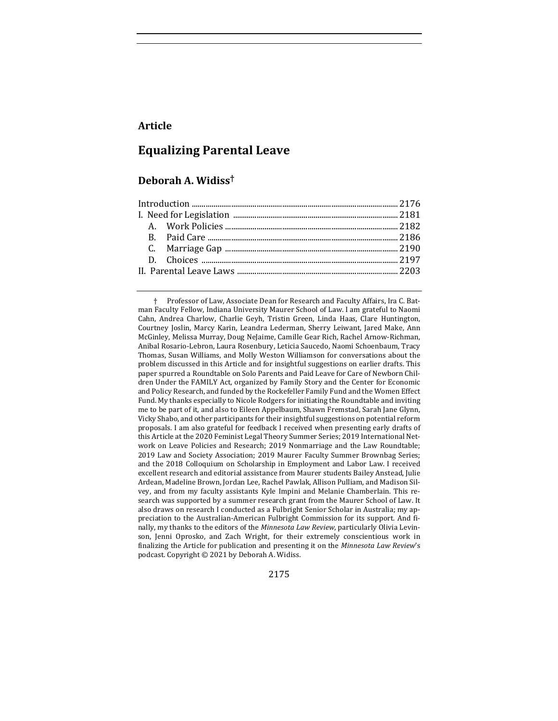## **Article**

## **Equalizing Parental Leave**

## **Deborah A. Widiss†**

† Professor of Law, Associate Dean for Research and Faculty Affairs, Ira C. Batman Faculty Fellow, Indiana University Maurer School of Law. I am grateful to Naomi Cahn, Andrea Charlow, Charlie Geyh, Tristin Green, Linda Haas, Clare Huntington, Courtney Joslin, Marcy Karin, Leandra Lederman, Sherry Leiwant, Jared Make, Ann McGinley, Melissa Murray, Doug NeJaime, Camille Gear Rich, Rachel Arnow-Richman, Anibal Rosario-Lebron, Laura Rosenbury, Leticia Saucedo, Naomi Schoenbaum, Tracy Thomas, Susan Williams, and Molly Weston Williamson for conversations about the problem discussed in this Article and for insightful suggestions on earlier drafts. This paper spurred a Roundtable on Solo Parents and Paid Leave for Care of Newborn Children Under the FAMILY Act, organized by Family Story and the Center for Economic and Policy Research, and funded by the Rockefeller Family Fund and the Women Effect Fund. My thanks especially to Nicole Rodgers for initiating the Roundtable and inviting me to be part of it, and also to Eileen Appelbaum, Shawn Fremstad, Sarah Jane Glynn, Vicky Shabo, and other participants for their insightful suggestions on potential reform proposals. I am also grateful for feedback I received when presenting early drafts of this Article at the 2020 Feminist Legal Theory Summer Series; 2019 International Network on Leave Policies and Research; 2019 Nonmarriage and the Law Roundtable; 2019 Law and Society Association; 2019 Maurer Faculty Summer Brownbag Series; and the 2018 Colloquium on Scholarship in Employment and Labor Law. I received excellent research and editorial assistance from Maurer students Bailey Anstead, Julie Ardean, Madeline Brown, Jordan Lee, Rachel Pawlak, Allison Pulliam, and Madison Silvey, and from my faculty assistants Kyle Impini and Melanie Chamberlain. This research was supported by a summer research grant from the Maurer School of Law. It also draws on research I conducted as a Fulbright Senior Scholar in Australia; my appreciation to the Australian-American Fulbright Commission for its support. And finally, my thanks to the editors of the *Minnesota Law Review*, particularly Olivia Levinson, Jenni Oprosko, and Zach Wright, for their extremely conscientious work in finalizing the Article for publication and presenting it on the *Minnesota Law Review's* podcast. Copyright  $©$  2021 by Deborah A. Widiss.

2175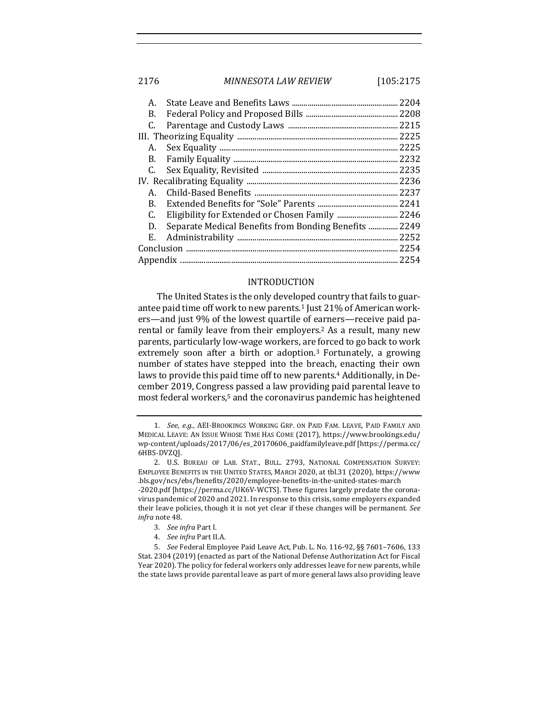## 2176 *MINNESOTA LAW REVIEW* [105:2175

| А. |                                                       | 2204   |
|----|-------------------------------------------------------|--------|
| В. |                                                       |        |
| C. |                                                       |        |
|    |                                                       | .2225  |
|    |                                                       | .2225  |
|    |                                                       | .2232  |
|    |                                                       | .2235  |
|    |                                                       |        |
| А. |                                                       | 2237   |
| В. |                                                       | . 2241 |
| C. |                                                       |        |
| D. | Separate Medical Benefits from Bonding Benefits  2249 |        |
| Е. |                                                       | 2252   |
|    |                                                       | .2254  |
|    |                                                       | 2254   |
|    |                                                       |        |

#### INTRODUCTION

The United States is the only developed country that fails to guarantee paid time off work to new parents.<sup>1</sup> Just 21% of American workers—and just 9% of the lowest quartile of earners—receive paid parental or family leave from their employers.<sup>2</sup> As a result, many new parents, particularly low-wage workers, are forced to go back to work extremely soon after a birth or adoption.<sup>3</sup> Fortunately, a growing number of states have stepped into the breach, enacting their own laws to provide this paid time off to new parents.<sup>4</sup> Additionally, in December 2019, Congress passed a law providing paid parental leave to most federal workers,<sup>5</sup> and the coronavirus pandemic has heightened

4. *See infra* Part II.A.

<sup>1.</sup> *See, e.g.*, AEI-BROOKINGS WORKING GRP. ON PAID FAM. LEAVE, PAID FAMILY AND MEDICAL LEAVE: AN ISSUE WHOSE TIME HAS COME (2017), https://www.brookings.edu/ wp-content/uploads/2017/06/es\_20170606\_paidfamilyleave.pdf [https://perma.cc/ 6HBS-DVZQ].

<sup>2.</sup> U.S. BUREAU OF LAB. STAT., BULL. 2793, NATIONAL COMPENSATION SURVEY: EMPLOYEE BENEFITS IN THE UNITED STATES, MARCH 2020, at tbl.31 (2020), https://www .bls.gov/ncs/ebs/benefits/2020/employee-benefits-in-the-united-states-march -2020.pdf [https://perma.cc/UK6V-WCTS]. These figures largely predate the coronavirus pandemic of 2020 and 2021. In response to this crisis, some employers expanded their leave policies, though it is not yet clear if these changes will be permanent. See *infra* note 48.

<sup>3.</sup> *See infra* Part I.

<sup>5.</sup> *See* Federal Employee Paid Leave Act, Pub. L. No. 116-92, §§ 7601-7606, 133 Stat. 2304 (2019) (enacted as part of the National Defense Authorization Act for Fiscal Year 2020). The policy for federal workers only addresses leave for new parents, while the state laws provide parental leave as part of more general laws also providing leave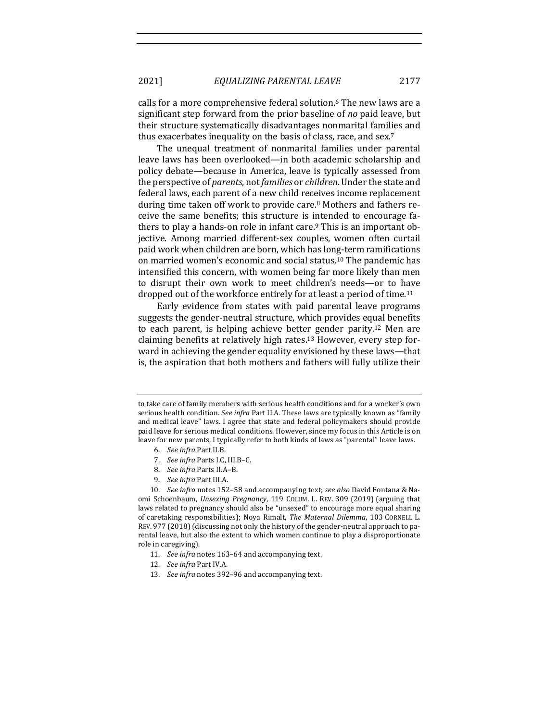2021] *EQUALIZING PARENTAL LEAVE* 2177

calls for a more comprehensive federal solution.<sup>6</sup> The new laws are a significant step forward from the prior baseline of *no* paid leave, but their structure systematically disadvantages nonmarital families and thus exacerbates inequality on the basis of class, race, and sex.<sup>7</sup>

The unequal treatment of nonmarital families under parental leave laws has been overlooked—in both academic scholarship and policy debate—because in America, leave is typically assessed from the perspective of *parents*, not *families* or *children*. Under the state and federal laws, each parent of a new child receives income replacement during time taken off work to provide care.<sup>8</sup> Mothers and fathers receive the same benefits; this structure is intended to encourage fathers to play a hands-on role in infant care.<sup>9</sup> This is an important objective. Among married different-sex couples, women often curtail paid work when children are born, which has long-term ramifications on married women's economic and social status.<sup>10</sup> The pandemic has intensified this concern, with women being far more likely than men to disrupt their own work to meet children's needs—or to have dropped out of the workforce entirely for at least a period of time.<sup>11</sup>

Early evidence from states with paid parental leave programs suggests the gender-neutral structure, which provides equal benefits to each parent, is helping achieve better gender parity.<sup>12</sup> Men are claiming benefits at relatively high rates.<sup>13</sup> However, every step forward in achieving the gender equality envisioned by these laws—that is, the aspiration that both mothers and fathers will fully utilize their

- 6. *See infra* Part II.B.
- 7. *See infra* Parts I.C, III.B-C.
- 8. See infra Parts II.A-B.
- 9. *See infra* Part III.A.

- 11. *See infra* notes 163-64 and accompanying text.
- 12. *See infra Part IV.A.*
- 13. See infra notes 392-96 and accompanying text.

to take care of family members with serious health conditions and for a worker's own serious health condition. *See infra* Part II.A. These laws are typically known as "family and medical leave" laws. I agree that state and federal policymakers should provide paid leave for serious medical conditions. However, since my focus in this Article is on leave for new parents, I typically refer to both kinds of laws as "parental" leave laws.

<sup>10.</sup> *See infra* notes 152-58 and accompanying text; see also David Fontana & Naomi Schoenbaum, *Unsexing Pregnancy*, 119 COLUM. L. REV. 309 (2019) (arguing that laws related to pregnancy should also be "unsexed" to encourage more equal sharing of caretaking responsibilities); Noya Rimalt, *The Maternal Dilemma*, 103 CORNELL L. REV. 977 (2018) (discussing not only the history of the gender-neutral approach to parental leave, but also the extent to which women continue to play a disproportionate role in caregiving).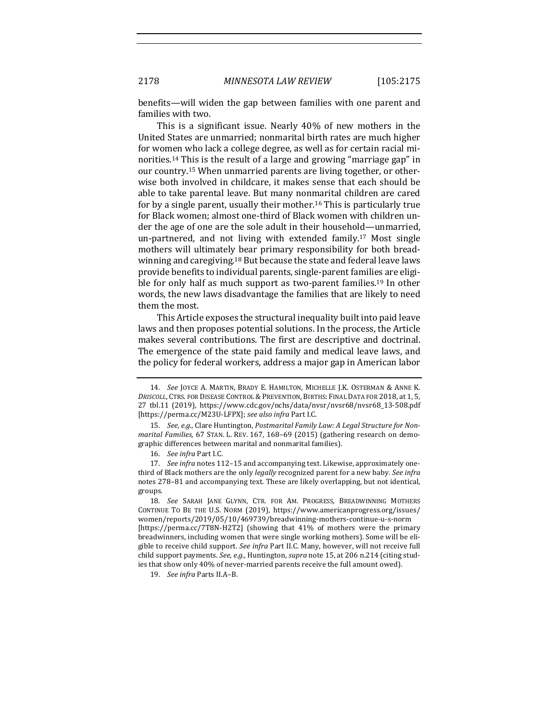2178 *MINNESOTA LAW REVIEW* [105:2175

benefits—will widen the gap between families with one parent and families with two.

This is a significant issue. Nearly  $40\%$  of new mothers in the United States are unmarried; nonmarital birth rates are much higher for women who lack a college degree, as well as for certain racial minorities.<sup>14</sup> This is the result of a large and growing "marriage gap" in our country.<sup>15</sup> When unmarried parents are living together, or otherwise both involved in childcare, it makes sense that each should be able to take parental leave. But many nonmarital children are cared for by a single parent, usually their mother.<sup>16</sup> This is particularly true for Black women; almost one-third of Black women with children under the age of one are the sole adult in their household—unmarried, un-partnered, and not living with extended family.<sup>17</sup> Most single mothers will ultimately bear primary responsibility for both breadwinning and caregiving.<sup>18</sup> But because the state and federal leave laws provide benefits to individual parents, single-parent families are eligible for only half as much support as two-parent families.<sup>19</sup> In other words, the new laws disadvantage the families that are likely to need them the most.

This Article exposes the structural inequality built into paid leave laws and then proposes potential solutions. In the process, the Article makes several contributions. The first are descriptive and doctrinal. The emergence of the state paid family and medical leave laws, and the policy for federal workers, address a major gap in American labor

16. *See infra Part I.C.* 

17. *See infra* notes 112-15 and accompanying text. Likewise, approximately onethird of Black mothers are the only *legally* recognized parent for a new baby. See infra notes 278-81 and accompanying text. These are likely overlapping, but not identical, groups.

19. *See infra Parts II.A-B.* 

<sup>14.</sup> *See* JOYCE A. MARTIN, BRADY E. HAMILTON, MICHELLE J.K. OSTERMAN & ANNE K. *DRISCOLL*, CTRS. FOR DISEASE CONTROL & PREVENTION, BIRTHS: FINAL DATA FOR 2018, at 1, 5, 27 tbl.11 (2019), https://www.cdc.gov/nchs/data/nvsr/nvsr68/nvsr68\_13-508.pdf [https://perma.cc/M23U-LFPX]; see also infra Part I.C.

<sup>15.</sup> *See, e.g.*, Clare Huntington, *Postmarital Family Law: A Legal Structure for Nonmarital Families*, 67 STAN. L. REV. 167, 168-69 (2015) (gathering research on demographic differences between marital and nonmarital families).

<sup>18.</sup> See SARAH JANE GLYNN, CTR. FOR AM. PROGRESS, BREADWINNING MOTHERS CONTINUE TO BE THE U.S. NORM (2019), https://www.americanprogress.org/issues/ women/reports/2019/05/10/469739/breadwinning-mothers-continue-u-s-norm [https://perma.cc/7T8N-H2T2] (showing that 41% of mothers were the primary breadwinners, including women that were single working mothers). Some will be eligible to receive child support. See infra Part II.C. Many, however, will not receive full child support payments. See, e.g., Huntington, supra note 15, at 206 n.214 (citing studies that show only 40% of never-married parents receive the full amount owed).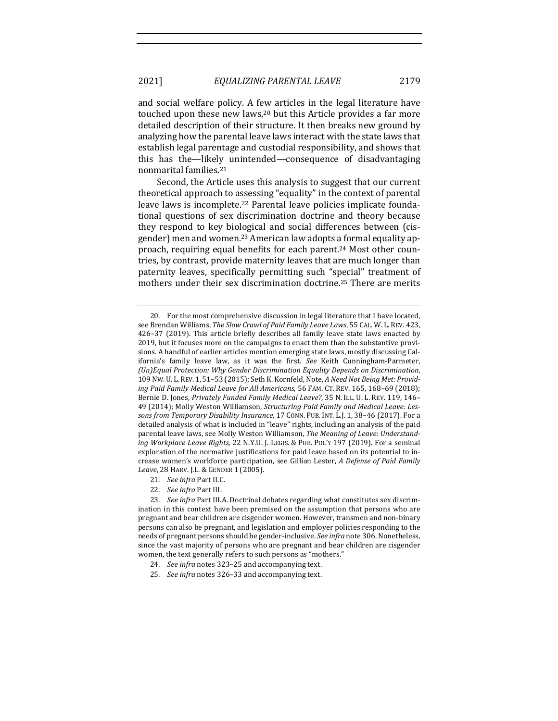and social welfare policy. A few articles in the legal literature have touched upon these new laws,<sup>20</sup> but this Article provides a far more detailed description of their structure. It then breaks new ground by analyzing how the parental leave laws interact with the state laws that establish legal parentage and custodial responsibility, and shows that this has the—likely unintended—consequence of disadvantaging nonmarital families.<sup>21</sup>

Second, the Article uses this analysis to suggest that our current theoretical approach to assessing "equality" in the context of parental leave laws is incomplete.<sup>22</sup> Parental leave policies implicate foundational questions of sex discrimination doctrine and theory because they respond to key biological and social differences between (cisgender) men and women.<sup>23</sup> American law adopts a formal equality approach, requiring equal benefits for each parent.<sup>24</sup> Most other countries, by contrast, provide maternity leaves that are much longer than paternity leaves, specifically permitting such "special" treatment of mothers under their sex discrimination doctrine.<sup>25</sup> There are merits

- 21. *See infra Part II.C.*
- 22. *See infra* Part III.

- 24. *See infra* notes 323-25 and accompanying text.
- 25. *See infra* notes 326-33 and accompanying text.

<sup>20.</sup> For the most comprehensive discussion in legal literature that I have located, see Brendan Williams, *The Slow Crawl of Paid Family Leave Laws*, 55 CAL. W. L. REV. 423, 426-37 (2019). This article briefly describes all family leave state laws enacted by 2019, but it focuses more on the campaigns to enact them than the substantive provisions. A handful of earlier articles mention emerging state laws, mostly discussing California's family leave law, as it was the first. See Keith Cunningham-Parmeter, *(Un)Equal Protection: Why Gender Discrimination Equality Depends on Discrimination*, 109 Nw. U. L. REV. 1, 51-53 (2015); Seth K. Kornfeld, Note, A Need Not Being Met: Providing Paid Family Medical Leave for All Americans, 56 FAM. CT. REV. 165, 168-69 (2018); Bernie D. Jones, Privately Funded Family Medical Leave?, 35 N. ILL. U. L. REV. 119, 146-49 (2014); Molly Weston Williamson, Structuring Paid Family and Medical Leave: Lessons from Temporary Disability Insurance, 17 CONN. PUB. INT. L.J. 1, 38-46 (2017). For a detailed analysis of what is included in "leave" rights, including an analysis of the paid parental leave laws, see Molly Weston Williamson, The Meaning of Leave: Understand*ing Workplace Leave Rights,* 22 N.Y.U. J. LEGIS. & PUB. POL'Y 197 (2019). For a seminal exploration of the normative justifications for paid leave based on its potential to increase women's workforce participation, see Gillian Lester, *A Defense of Paid Family Leave*, 28 HARV. J.L. & GENDER 1 (2005).

<sup>23.</sup> *See infra* Part III.A. Doctrinal debates regarding what constitutes sex discrimination in this context have been premised on the assumption that persons who are pregnant and bear children are cisgender women. However, transmen and non-binary persons can also be pregnant, and legislation and employer policies responding to the needs of pregnant persons should be gender-inclusive. *See infra* note 306. Nonetheless, since the vast majority of persons who are pregnant and bear children are cisgender women, the text generally refers to such persons as "mothers."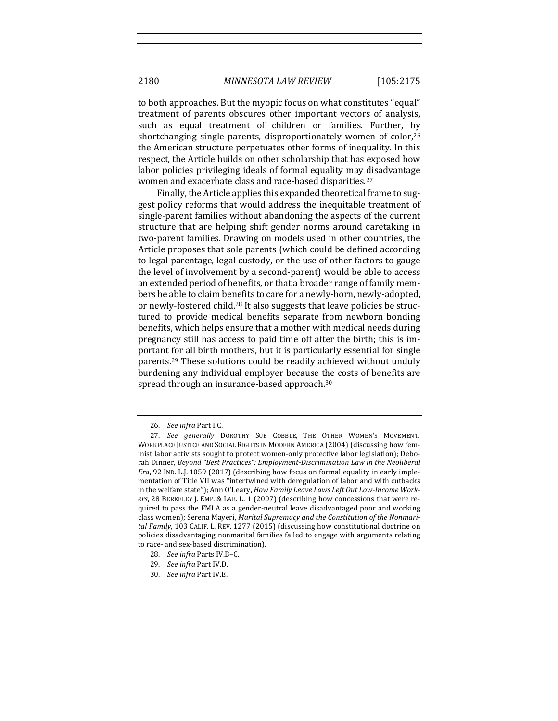to both approaches. But the myopic focus on what constitutes "equal" treatment of parents obscures other important vectors of analysis, such as equal treatment of children or families. Further, by shortchanging single parents, disproportionately women of color,  $26$ the American structure perpetuates other forms of inequality. In this respect, the Article builds on other scholarship that has exposed how labor policies privileging ideals of formal equality may disadvantage women and exacerbate class and race-based disparities.<sup>27</sup>

Finally, the Article applies this expanded theoretical frame to suggest policy reforms that would address the inequitable treatment of single-parent families without abandoning the aspects of the current structure that are helping shift gender norms around caretaking in two-parent families. Drawing on models used in other countries, the Article proposes that sole parents (which could be defined according to legal parentage, legal custody, or the use of other factors to gauge the level of involvement by a second-parent) would be able to access an extended period of benefits, or that a broader range of family members be able to claim benefits to care for a newly-born, newly-adopted, or newly-fostered child.<sup>28</sup> It also suggests that leave policies be structured to provide medical benefits separate from newborn bonding benefits, which helps ensure that a mother with medical needs during pregnancy still has access to paid time off after the birth; this is important for all birth mothers, but it is particularly essential for single parents.<sup>29</sup> These solutions could be readily achieved without unduly burdening any individual employer because the costs of benefits are spread through an insurance-based approach.<sup>30</sup>

<sup>26.</sup> *See infra* Part I.C.

<sup>27.</sup> See generally DOROTHY SUE COBBLE, THE OTHER WOMEN'S MOVEMENT: WORKPLACE JUSTICE AND SOCIAL RIGHTS IN MODERN AMERICA (2004) (discussing how feminist labor activists sought to protect women-only protective labor legislation); Deborah Dinner, Beyond "Best Practices": Employment-Discrimination Law in the Neoliberal *Era*, 92 IND. L.J. 1059 (2017) (describing how focus on formal equality in early implementation of Title VII was "intertwined with deregulation of labor and with cutbacks in the welfare state"); Ann O'Leary, *How Family Leave Laws Left Out Low-Income Work*ers, 28 BERKELEY J. EMP. & LAB. L. 1 (2007) (describing how concessions that were required to pass the FMLA as a gender-neutral leave disadvantaged poor and working class women); Serena Mayeri, *Marital Supremacy and the Constitution of the Nonmari*tal Family, 103 CALIF. L. REV. 1277 (2015) (discussing how constitutional doctrine on policies disadvantaging nonmarital families failed to engage with arguments relating to race- and sex-based discrimination).

<sup>28.</sup> *See infra Parts IV.B-C.* 

<sup>29.</sup> *See infra* Part IV.D.

<sup>30.</sup> *See infra Part IV.E.*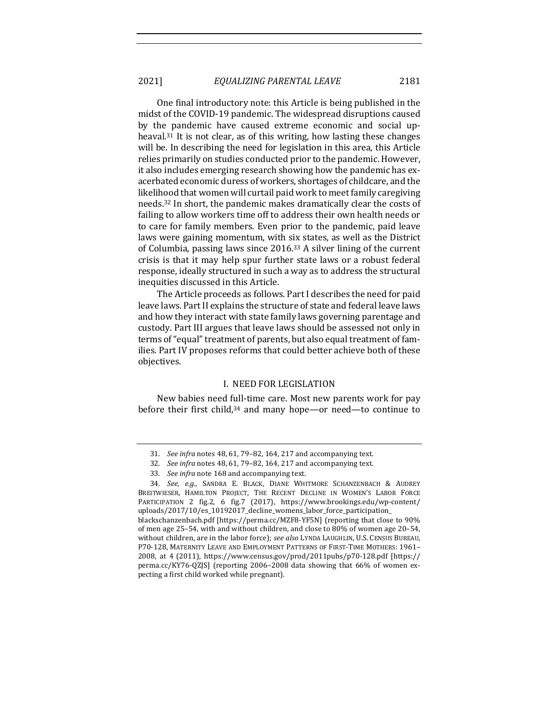2021] *EQUALIZING PARENTAL LEAVE* 2181

One final introductory note: this Article is being published in the midst of the COVID-19 pandemic. The widespread disruptions caused by the pandemic have caused extreme economic and social upheaval.<sup>31</sup> It is not clear, as of this writing, how lasting these changes will be. In describing the need for legislation in this area, this Article relies primarily on studies conducted prior to the pandemic. However, it also includes emerging research showing how the pandemic has exacerbated economic duress of workers, shortages of childcare, and the likelihood that women will curtail paid work to meet family caregiving needs.<sup>32</sup> In short, the pandemic makes dramatically clear the costs of failing to allow workers time off to address their own health needs or to care for family members. Even prior to the pandemic, paid leave laws were gaining momentum, with six states, as well as the District of Columbia, passing laws since  $2016$ .<sup>33</sup> A silver lining of the current crisis is that it may help spur further state laws or a robust federal response, ideally structured in such a way as to address the structural inequities discussed in this Article.

The Article proceeds as follows. Part I describes the need for paid leave laws. Part II explains the structure of state and federal leave laws and how they interact with state family laws governing parentage and custody. Part III argues that leave laws should be assessed not only in terms of "equal" treatment of parents, but also equal treatment of families. Part IV proposes reforms that could better achieve both of these objectives. 

#### I. NEED FOR LEGISLATION

New babies need full-time care. Most new parents work for pay before their first child,<sup>34</sup> and many hope—or need—to continue to

<sup>31.</sup> *See infra* notes 48, 61, 79-82, 164, 217 and accompanying text.

<sup>32.</sup> *See infra* notes 48, 61, 79-82, 164, 217 and accompanying text.

<sup>33.</sup> *See infra* note 168 and accompanying text.

<sup>34.</sup> *See, e.g.*, SANDRA E. BLACK, DIANE WHITMORE SCHANZENBACH & AUDREY BREITWIESER, HAMILTON PROJECT, THE RECENT DECLINE IN WOMEN'S LABOR FORCE PARTICIPATION 2 fig.2, 6 fig.7 (2017), https://www.brookings.edu/wp-content/ uploads/2017/10/es\_10192017\_decline\_womens\_labor\_force\_participation\_ blackschanzenbach.pdf [https://perma.cc/MZF8-YF5N] (reporting that close to 90% of men age  $25-54$ , with and without children, and close to  $80\%$  of women age  $20-54$ , without children, are in the labor force); see also LYNDA LAUGHLIN, U.S. CENSUS BUREAU, P70-128, MATERNITY LEAVE AND EMPLOYMENT PATTERNS OF FIRST-TIME MOTHERS: 1961-2008, at 4 (2011), https://www.census.gov/prod/2011pubs/p70-128.pdf [https:// perma.cc/KY76-QZJS] (reporting 2006–2008 data showing that 66% of women expecting a first child worked while pregnant).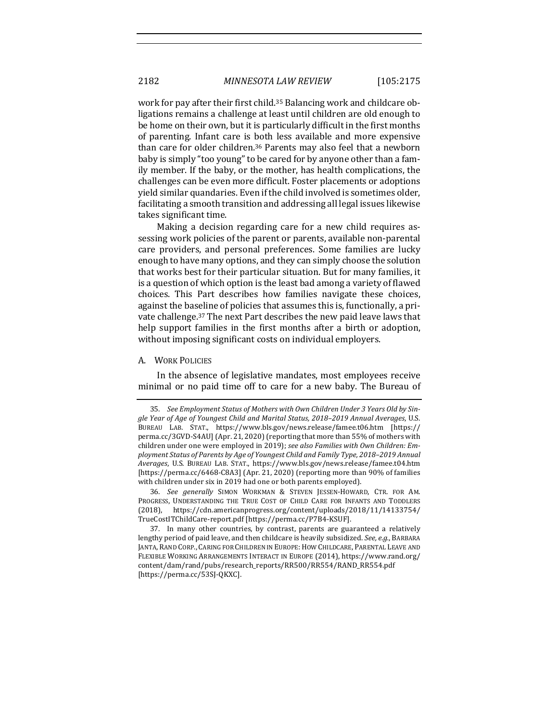work for pay after their first child.<sup>35</sup> Balancing work and childcare obligations remains a challenge at least until children are old enough to be home on their own, but it is particularly difficult in the first months of parenting. Infant care is both less available and more expensive than care for older children.<sup>36</sup> Parents may also feel that a newborn baby is simply "too young" to be cared for by anyone other than a family member. If the baby, or the mother, has health complications, the challenges can be even more difficult. Foster placements or adoptions yield similar quandaries. Even if the child involved is sometimes older, facilitating a smooth transition and addressing all legal issues likewise takes significant time.

Making a decision regarding care for a new child requires assessing work policies of the parent or parents, available non-parental care providers, and personal preferences. Some families are lucky enough to have many options, and they can simply choose the solution that works best for their particular situation. But for many families, it is a question of which option is the least bad among a variety of flawed choices. This Part describes how families navigate these choices, against the baseline of policies that assumes this is, functionally, a private challenge.<sup>37</sup> The next Part describes the new paid leave laws that help support families in the first months after a birth or adoption, without imposing significant costs on individual employers.

#### A. WORK POLICIES

In the absence of legislative mandates, most employees receive minimal or no paid time off to care for a new baby. The Bureau of

<sup>35.</sup> See Employment Status of Mothers with Own Children Under 3 Years Old by Sin*gle Year of Age of Youngest Child and Marital Status, 2018–2019 Annual Averages*, U.S. BUREAU LAB. STAT., https://www.bls.gov/news.release/famee.t06.htm [https:// perma.cc/3GVD-S4AU] (Apr. 21, 2020) (reporting that more than 55% of mothers with children under one were employed in 2019); see also Families with Own Children: Employment Status of Parents by Age of Youngest Child and Family Type, 2018-2019 Annual *Averages*, U.S. BUREAU LAB. STAT., https://www.bls.gov/news.release/famee.t04.htm [https://perma.cc/6468-C8A3] (Apr. 21, 2020) (reporting more than 90% of families with children under six in 2019 had one or both parents employed).

<sup>36.</sup> *See generally* SIMON WORKMAN & STEVEN JESSEN-HOWARD, CTR. FOR AM. PROGRESS, UNDERSTANDING THE TRUE COST OF CHILD CARE FOR INFANTS AND TODDLERS (2018), https://cdn.americanprogress.org/content/uploads/2018/11/14133754/ TrueCostITChildCare-report.pdf [https://perma.cc/P7B4-KSUF].

<sup>37.</sup> In many other countries, by contrast, parents are guaranteed a relatively lengthy period of paid leave, and then childcare is heavily subsidized. *See, e.g.*, BARBARA JANTA, RAND CORP., CARING FOR CHILDREN IN EUROPE: HOW CHILDCARE, PARENTAL LEAVE AND FLEXIBLE WORKING ARRANGEMENTS INTERACT IN EUROPE (2014), https://www.rand.org/ content/dam/rand/pubs/research\_reports/RR500/RR554/RAND\_RR554.pdf [https://perma.cc/53SJ-QKXC].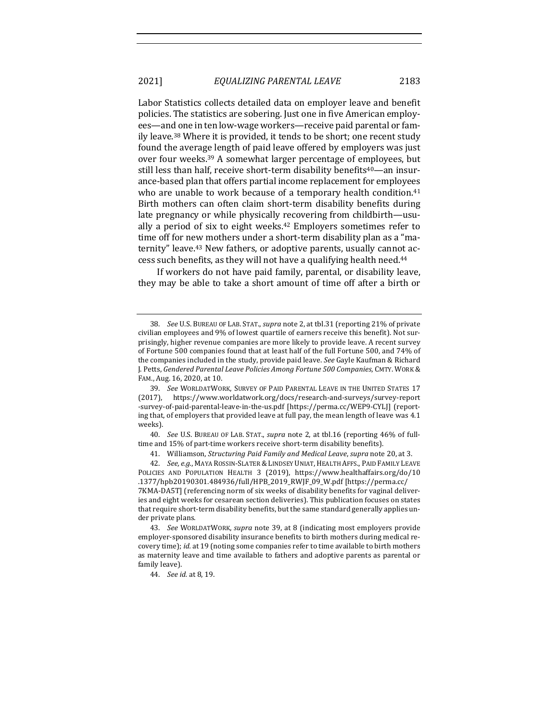Labor Statistics collects detailed data on employer leave and benefit policies. The statistics are sobering. Just one in five American employees-and one in ten low-wage workers-receive paid parental or family leave.<sup>38</sup> Where it is provided, it tends to be short; one recent study found the average length of paid leave offered by employers was just over four weeks.<sup>39</sup> A somewhat larger percentage of employees, but still less than half, receive short-term disability benefits<sup>40</sup>—an insurance-based plan that offers partial income replacement for employees who are unable to work because of a temporary health condition.<sup>41</sup> Birth mothers can often claim short-term disability benefits during late pregnancy or while physically recovering from childbirth—usually a period of six to eight weeks.<sup>42</sup> Employers sometimes refer to time off for new mothers under a short-term disability plan as a "maternity" leave.<sup>43</sup> New fathers, or adoptive parents, usually cannot access such benefits, as they will not have a qualifying health need.<sup>44</sup>

If workers do not have paid family, parental, or disability leave, they may be able to take a short amount of time off after a birth or

40. *See U.S. BUREAU OF LAB. STAT., supra note 2, at tbl.16* (reporting 46% of fulltime and 15% of part-time workers receive short-term disability benefits).

<sup>38.</sup> *See U.S. BUREAU OF LAB. STAT., supra* note 2, at tbl.31 (reporting 21% of private civilian employees and 9% of lowest quartile of earners receive this benefit). Not surprisingly, higher revenue companies are more likely to provide leave. A recent survey of Fortune 500 companies found that at least half of the full Fortune 500, and 74% of the companies included in the study, provide paid leave. See Gayle Kaufman & Richard J. Petts, Gendered Parental Leave Policies Among Fortune 500 Companies, CMTY. WORK & FAM., Aug. 16, 2020, at 10.

<sup>39.</sup> See WORLDATWORK, SURVEY OF PAID PARENTAL LEAVE IN THE UNITED STATES 17 (2017), https://www.worldatwork.org/docs/research-and-surveys/survey-report -survey-of-paid-parental-leave-in-the-us.pdf [https://perma.cc/WEP9-CYLJ] (reporting that, of employers that provided leave at full pay, the mean length of leave was 4.1 weeks).

<sup>41.</sup> Williamson, *Structuring Paid Family and Medical Leave*, *supra* note 20, at 3.

<sup>42.</sup> *See, e.g.,* MAYA ROSSIN-SLATER & LINDSEY UNIAT, HEALTH AFFS., PAID FAMILY LEAVE POLICIES AND POPULATION HEALTH 3 (2019), https://www.healthaffairs.org/do/10 .1377/hpb20190301.484936/full/HPB\_2019\_RWJF\_09\_W.pdf [https://perma.cc/ 7KMA-DA5T] (referencing norm of six weeks of disability benefits for vaginal deliveries and eight weeks for cesarean section deliveries). This publication focuses on states that require short-term disability benefits, but the same standard generally applies under private plans.

<sup>43.</sup> *See* WORLDATWORK, *supra* note 39, at 8 (indicating most employers provide employer-sponsored disability insurance benefits to birth mothers during medical recovery time); *id.* at 19 (noting some companies refer to time available to birth mothers as maternity leave and time available to fathers and adoptive parents as parental or family leave).

<sup>44.</sup> *See id.* at 8, 19.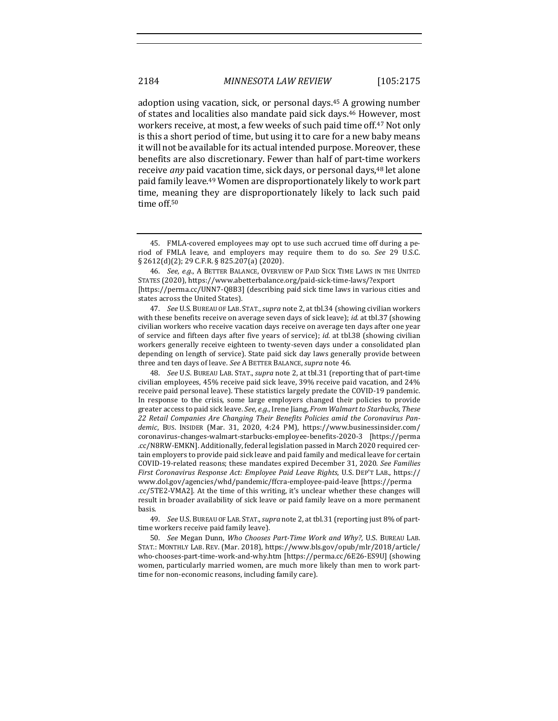adoption using vacation, sick, or personal days.<sup>45</sup> A growing number of states and localities also mandate paid sick days.<sup>46</sup> However, most workers receive, at most, a few weeks of such paid time off.<sup>47</sup> Not only is this a short period of time, but using it to care for a new baby means it will not be available for its actual intended purpose. Moreover, these benefits are also discretionary. Fewer than half of part-time workers receive *any* paid vacation time, sick days, or personal days,<sup>48</sup> let alone paid family leave.<sup>49</sup> Women are disproportionately likely to work part time, meaning they are disproportionately likely to lack such paid time off.<sup>50</sup>

49. *See U.S. BUREAU OF LAB. STAT., supra note 2, at tbl.31 (reporting just 8% of part*time workers receive paid family leave).

50. *See* Megan Dunn, *Who Chooses Part-Time Work and Why?*, U.S. BUREAU LAB. STAT.: MONTHLY LAB. REV. (Mar. 2018), https://www.bls.gov/opub/mlr/2018/article/ who-chooses-part-time-work-and-why.htm [https://perma.cc/6E26-ES9U] (showing women, particularly married women, are much more likely than men to work parttime for non-economic reasons, including family care).

<sup>45.</sup> FMLA-covered employees may opt to use such accrued time off during a period of FMLA leave, and employers may require them to do so. *See* 29 U.S.C.  $\S 2612(d)(2)$ ; 29 C.F.R.  $\S 825.207(a)$  (2020).

<sup>46.</sup> See, e.g., A BETTER BALANCE, OVERVIEW OF PAID SICK TIME LAWS IN THE UNITED STATES (2020), https://www.abetterbalance.org/paid-sick-time-laws/?export [https://perma.cc/UNN7-Q8B3] (describing paid sick time laws in various cities and states across the United States).

<sup>47.</sup> *See* U.S. BUREAU OF LAB. STAT., *supra* note 2, at tbl.34 (showing civilian workers with these benefits receive on average seven days of sick leave); *id.* at tbl.37 (showing civilian workers who receive vacation days receive on average ten days after one year of service and fifteen days after five years of service); *id.* at tbl.38 (showing civilian workers generally receive eighteen to twenty-seven days under a consolidated plan depending on length of service). State paid sick day laws generally provide between three and ten days of leave. *See* A BETTER BALANCE, *supra* note 46.

<sup>48.</sup> *See U.S. BUREAU LAB. STAT., supra* note 2, at tbl.31 (reporting that of part-time civilian employees,  $45%$  receive paid sick leave,  $39%$  receive paid vacation, and  $24%$ receive paid personal leave). These statistics largely predate the COVID-19 pandemic. In response to the crisis, some large employers changed their policies to provide greater access to paid sick leave. See, e.g., Irene Jiang, *From Walmart to Starbucks*, These 22 Retail Companies Are Changing Their Benefits Policies amid the Coronavirus Pandemic, BUS. INSIDER (Mar. 31, 2020, 4:24 PM), https://www.businessinsider.com/ coronavirus-changes-walmart-starbucks-employee-benefits-2020-3 [https://perma .cc/N8RW-EMKN]. Additionally, federal legislation passed in March 2020 required certain employers to provide paid sick leave and paid family and medical leave for certain COVID-19-related reasons; these mandates expired December 31, 2020. See Families *First Coronavirus Response Act: Employee Paid Leave Rights*, U.S. DEP'T LAB., https:// www.dol.gov/agencies/whd/pandemic/ffcra-employee-paid-leave [https://perma .cc/5TE2-VMA2]. At the time of this writing, it's unclear whether these changes will result in broader availability of sick leave or paid family leave on a more permanent basis.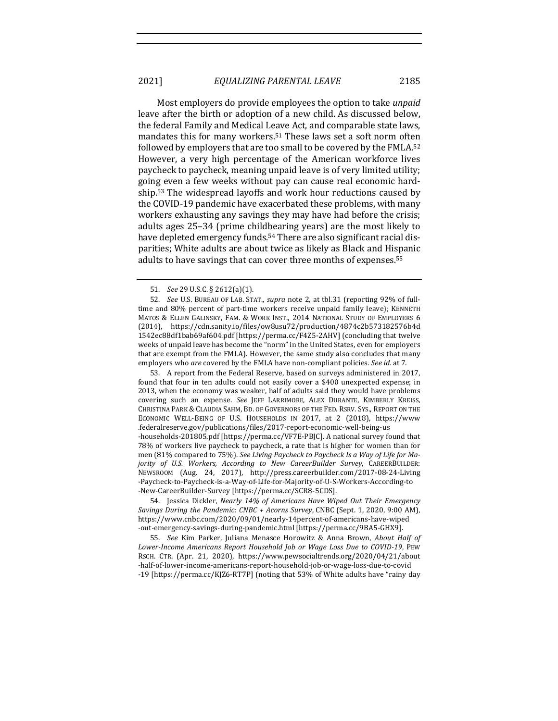Most employers do provide employees the option to take *unpaid* leave after the birth or adoption of a new child. As discussed below, the federal Family and Medical Leave Act, and comparable state laws, mandates this for many workers.<sup>51</sup> These laws set a soft norm often followed by employers that are too small to be covered by the FMLA.<sup>52</sup> However, a very high percentage of the American workforce lives paycheck to paycheck, meaning unpaid leave is of very limited utility; going even a few weeks without pay can cause real economic hardship.<sup>53</sup> The widespread layoffs and work hour reductions caused by the COVID-19 pandemic have exacerbated these problems, with many workers exhausting any savings they may have had before the crisis; adults ages 25–34 (prime childbearing years) are the most likely to have depleted emergency funds.<sup>54</sup> There are also significant racial disparities; White adults are about twice as likely as Black and Hispanic adults to have savings that can cover three months of expenses.<sup>55</sup>

53. A report from the Federal Reserve, based on surveys administered in 2017. found that four in ten adults could not easily cover a \$400 unexpected expense; in 2013, when the economy was weaker, half of adults said they would have problems covering such an expense. See JEFF LARRIMORE, ALEX DURANTE, KIMBERLY KREISS, CHRISTINA PARK & CLAUDIA SAHM, BD. OF GOVERNORS OF THE FED. RSRV. SYS., REPORT ON THE ECONOMIC WELL-BEING OF U.S. HOUSEHOLDS IN 2017, at 2 (2018), https://www .federalreserve.gov/publications/files/2017-report-economic-well-being-us -households-201805.pdf [https://perma.cc/VF7E-PBJC]. A national survey found that 78% of workers live paycheck to paycheck, a rate that is higher for women than for men (81% compared to 75%). See Living Paycheck to Paycheck Is a Way of Life for Ma*jority of U.S. Workers, According to New CareerBuilder Survey, CAREERBUILDER:* NEWSROOM (Aug. 24, 2017), http://press.careerbuilder.com/2017-08-24-Living -Paycheck-to-Paycheck-is-a-Way-of-Life-for-Majority-of-U-S-Workers-According-to -New-CareerBuilder-Survey [https://perma.cc/SCR8-5CDS].

54. Jessica Dickler, *Nearly 14% of Americans Have Wiped Out Their Emergency Savings During the Pandemic: CNBC + Acorns Survey*, CNBC (Sept. 1, 2020, 9:00 AM), https://www.cnbc.com/2020/09/01/nearly-14percent-of-americans-have-wiped -out-emergency-savings-during-pandemic.html [https://perma.cc/9BA5-GHX9].

55. *See* Kim Parker, Juliana Menasce Horowitz & Anna Brown, About Half of *Lower-Income Americans Report Household Job or Wage Loss Due to COVID-19*, PEW RSCH. CTR. (Apr. 21, 2020), https://www.pewsocialtrends.org/2020/04/21/about -half-of-lower-income-americans-report-household-job-or-wage-loss-due-to-covid -19 [https://perma.cc/KJZ6-RT7P] (noting that 53% of White adults have "rainy day

<sup>51.</sup> *See* 29 U.S.C. § 2612(a)(1).

<sup>52.</sup> *See* U.S. BUREAU OF LAB. STAT., *supra* note 2, at tbl.31 (reporting 92% of fulltime and 80% percent of part-time workers receive unpaid family leave); KENNETH MATOS & ELLEN GALINSKY, FAM. & WORK INST., 2014 NATIONAL STUDY OF EMPLOYERS 6 (2014), https://cdn.sanity.io/files/ow8usu72/production/4874c2b573182576b4d 1542ec88df1bab69af604.pdf [https://perma.cc/F4Z5-2AHV] (concluding that twelve weeks of unpaid leave has become the "norm" in the United States, even for employers that are exempt from the FMLA). However, the same study also concludes that many employers who *are* covered by the FMLA have non-compliant policies. *See id.* at 7.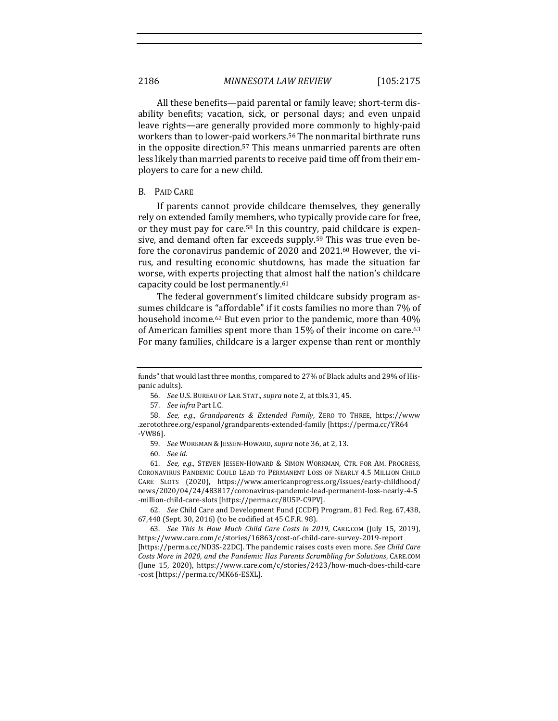All these benefits—paid parental or family leave; short-term disability benefits; vacation, sick, or personal days; and even unpaid leave rights—are generally provided more commonly to highly-paid workers than to lower-paid workers.<sup>56</sup> The nonmarital birthrate runs in the opposite direction.<sup>57</sup> This means unmarried parents are often less likely than married parents to receive paid time off from their employers to care for a new child.

#### B. PAID CARE

If parents cannot provide childcare themselves, they generally rely on extended family members, who typically provide care for free, or they must pay for care.<sup>58</sup> In this country, paid childcare is expensive, and demand often far exceeds supply.<sup>59</sup> This was true even before the coronavirus pandemic of 2020 and 2021.<sup>60</sup> However, the virus, and resulting economic shutdowns, has made the situation far worse, with experts projecting that almost half the nation's childcare capacity could be lost permanently.<sup>61</sup>

The federal government's limited childcare subsidy program assumes childcare is "affordable" if it costs families no more than 7% of household income.<sup>62</sup> But even prior to the pandemic, more than  $40\%$ of American families spent more than 15% of their income on care.<sup>63</sup> For many families, childcare is a larger expense than rent or monthly

57. *See infra Part I.C.* 

58. *See, e.g., Grandparents & Extended Family*, ZERO TO THREE, https://www .zerotothree.org/espanol/grandparents-extended-family [https://perma.cc/YR64 -VW86].

62. *See* Child Care and Development Fund (CCDF) Program, 81 Fed. Reg. 67,438, 67,440 (Sept. 30, 2016) (to be codified at 45 C.F.R. 98).

63. *See This Is How Much Child Care Costs in 2019*, CARE.COM (July 15, 2019), https://www.care.com/c/stories/16863/cost-of-child-care-survey-2019-report [https://perma.cc/ND3S-22DC]. The pandemic raises costs even more. *See Child Care* Costs More in 2020, and the Pandemic Has Parents Scrambling for Solutions, CARE.COM (June 15, 2020), https://www.care.com/c/stories/2423/how-much-does-child-care -cost [https://perma.cc/MK66-ESXL].

funds" that would last three months, compared to 27% of Black adults and 29% of Hispanic adults).

<sup>56.</sup> *See* U.S. BUREAU OF LAB. STAT., *supra* note 2, at tbls.31, 45.

<sup>59.</sup> *See* WORKMAN & JESSEN-HOWARD, *supra* note 36, at 2, 13.

<sup>60.</sup> *See id.*

<sup>61.</sup> *See, e.g.*, STEVEN JESSEN-HOWARD & SIMON WORKMAN, CTR. FOR AM. PROGRESS, CORONAVIRUS PANDEMIC COULD LEAD TO PERMANENT LOSS OF NEARLY 4.5 MILLION CHILD CARE SLOTS (2020), https://www.americanprogress.org/issues/early-childhood/ news/2020/04/24/483817/coronavirus-pandemic-lead-permanent-loss-nearly-4-5 -million-child-care-slots [https://perma.cc/8U5P-C9PV].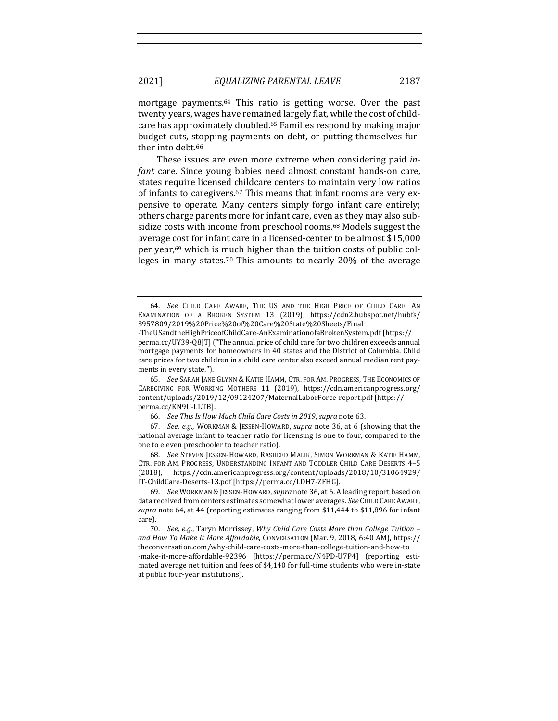mortgage payments.<sup>64</sup> This ratio is getting worse. Over the past twenty years, wages have remained largely flat, while the cost of childcare has approximately doubled.<sup>65</sup> Families respond by making major budget cuts, stopping payments on debt, or putting themselves further into debt.<sup>66</sup>

These issues are even more extreme when considering paid *infant* care. Since young babies need almost constant hands-on care, states require licensed childcare centers to maintain very low ratios of infants to caregivers.<sup>67</sup> This means that infant rooms are very expensive to operate. Many centers simply forgo infant care entirely; others charge parents more for infant care, even as they may also subsidize costs with income from preschool rooms.<sup>68</sup> Models suggest the average cost for infant care in a licensed-center to be almost \$15,000 per year, $69$  which is much higher than the tuition costs of public colleges in many states.<sup>70</sup> This amounts to nearly  $20\%$  of the average

65. *See* SARAH JANE GLYNN & KATIE HAMM, CTR. FOR AM. PROGRESS, THE ECONOMICS OF CAREGIVING FOR WORKING MOTHERS 11 (2019), https://cdn.americanprogress.org/ content/uploads/2019/12/09124207/MaternalLaborForce-report.pdf [https:// perma.cc/KN9U-LLTB].

68. See STEVEN JESSEN-HOWARD, RASHEED MALIK, SIMON WORKMAN & KATIE HAMM, CTR. FOR AM. PROGRESS, UNDERSTANDING INFANT AND TODDLER CHILD CARE DESERTS 4-5 (2018), https://cdn.americanprogress.org/content/uploads/2018/10/31064929/ IT-ChildCare-Deserts-13.pdf [https://perma.cc/LDH7-ZFHG].

69. See WORKMAN & JESSEN-HOWARD, *supra* note 36, at 6. A leading report based on data received from centers estimates somewhat lower averages. See CHILD CARE AWARE, supra note 64, at 44 (reporting estimates ranging from \$11,444 to \$11,896 for infant care).

70. *See, e.g.*, Taryn Morrissey, *Why Child Care Costs More than College Tuition* – and How To Make It More Affordable, CONVERSATION (Mar. 9, 2018, 6:40 AM), https:// theconversation.com/why-child-care-costs-more-than-college-tuition-and-how-to -make-it-more-affordable-92396 [https://perma.cc/N4PD-U7P4] (reporting estimated average net tuition and fees of \$4,140 for full-time students who were in-state at public four-year institutions).

<sup>64.</sup> See CHILD CARE AWARE, THE US AND THE HIGH PRICE OF CHILD CARE: AN EXAMINATION OF A BROKEN SYSTEM 13 (2019), https://cdn2.hubspot.net/hubfs/ 3957809/2019%20Price%20of%20Care%20State%20Sheets/Final

<sup>-</sup>TheUSandtheHighPriceofChildCare-AnExaminationofaBrokenSystem.pdf [https:// perma.cc/UY39-Q8JT] ("The annual price of child care for two children exceeds annual mortgage payments for homeowners in 40 states and the District of Columbia. Child care prices for two children in a child care center also exceed annual median rent payments in every state.").

<sup>66.</sup> *See This Is How Much Child Care Costs in 2019, supra note* 63.

<sup>67.</sup> *See, e.g.*, WORKMAN & JESSEN-HOWARD, *supra* note 36, at 6 (showing that the national average infant to teacher ratio for licensing is one to four, compared to the one to eleven preschooler to teacher ratio).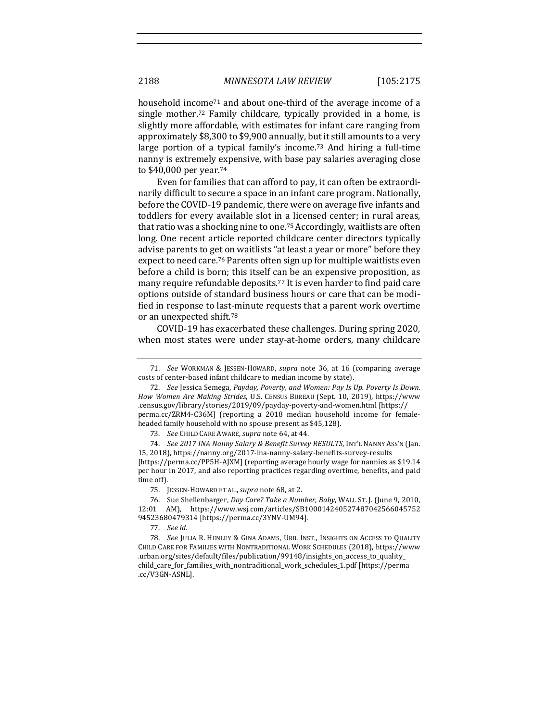household income<sup>71</sup> and about one-third of the average income of a single mother.<sup>72</sup> Family childcare, typically provided in a home, is slightly more affordable, with estimates for infant care ranging from approximately \$8,300 to \$9,900 annually, but it still amounts to a very large portion of a typical family's income.<sup>73</sup> And hiring a full-time nanny is extremely expensive, with base pay salaries averaging close to \$40,000 per year.<sup>74</sup>

Even for families that can afford to pay, it can often be extraordinarily difficult to secure a space in an infant care program. Nationally, before the COVID-19 pandemic, there were on average five infants and toddlers for every available slot in a licensed center; in rural areas, that ratio was a shocking nine to one.<sup>75</sup> Accordingly, waitlists are often long. One recent article reported childcare center directors typically advise parents to get on waitlists "at least a year or more" before they expect to need care.<sup>76</sup> Parents often sign up for multiple waitlists even before a child is born; this itself can be an expensive proposition, as many require refundable deposits.<sup>77</sup> It is even harder to find paid care options outside of standard business hours or care that can be modified in response to last-minute requests that a parent work overtime or an unexpected shift.<sup>78</sup>

COVID-19 has exacerbated these challenges. During spring 2020, when most states were under stay-at-home orders, many childcare

73. *See* CHILD CARE AWARE, *supra* note 64, at 44.

<sup>71.</sup> *See*  WORKMAN & JESSEN-HOWARD, *supra*  note 36, at 16 (comparing average costs of center-based infant childcare to median income by state).

<sup>72.</sup> *See* Jessica Semega, *Payday, Poverty, and Women: Pay Is Up. Poverty Is Down. How Women Are Making Strides*, U.S. CENSUS BUREAU (Sept. 10, 2019), https://www .census.gov/library/stories/2019/09/payday-poverty-and-women.html [https:// perma.cc/ZRM4-C36M] (reporting a 2018 median household income for femaleheaded family household with no spouse present as \$45,128).

<sup>74.</sup> *See 2017 INA Nanny Salary & Benefit Survey RESULTS*, INT'L NANNY ASS'N (Jan. 15, 2018), https://nanny.org/2017-ina-nanny-salary-benefits-survey-results [https://perma.cc/PP5H-AJXM] (reporting average hourly wage for nannies as \$19.14 per hour in 2017, and also reporting practices regarding overtime, benefits, and paid time off).

<sup>75.</sup> JESSEN-HOWARD ET AL., *supra* note 68, at 2.

<sup>76.</sup> Sue Shellenbarger, *Day Care? Take a Number, Baby*, WALL ST. J. (June 9, 2010, 12:01 AM), https://www.wsj.com/articles/SB100014240527487042566045752 94523680479314 [https://perma.cc/3YNV-UM94].

<sup>77.</sup> *See id.*

<sup>78.</sup> *See JULIA R. HENLEY & GINA ADAMS, URB. INST., INSIGHTS ON ACCESS TO QUALITY* CHILD CARE FOR FAMILIES WITH NONTRADITIONAL WORK SCHEDULES (2018), https://www .urban.org/sites/default/files/publication/99148/insights\_on\_access\_to\_quality\_ child\_care\_for\_families\_with\_nontraditional\_work\_schedules\_1.pdf [https://perma .cc/V3GN-ASNL].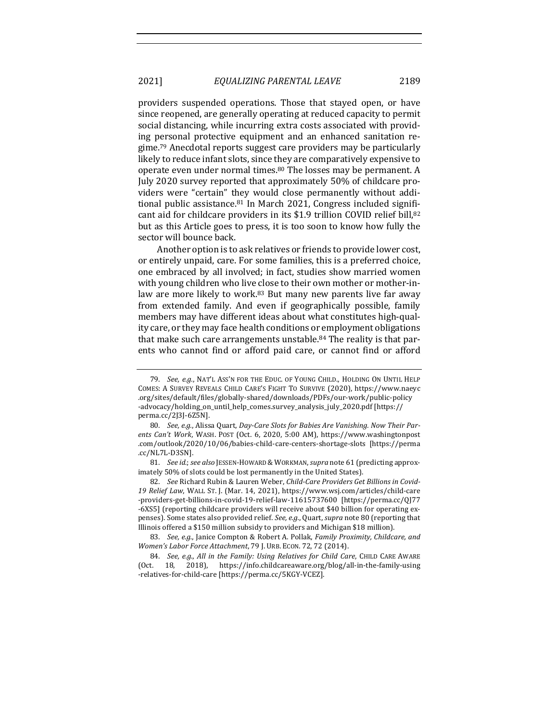providers suspended operations. Those that stayed open, or have since reopened, are generally operating at reduced capacity to permit social distancing, while incurring extra costs associated with providing personal protective equipment and an enhanced sanitation regime.<sup>79</sup> Anecdotal reports suggest care providers may be particularly likely to reduce infant slots, since they are comparatively expensive to operate even under normal times.<sup>80</sup> The losses may be permanent. A July 2020 survey reported that approximately 50% of childcare providers were "certain" they would close permanently without additional public assistance.<sup>81</sup> In March 2021, Congress included significant aid for childcare providers in its \$1.9 trillion COVID relief bill,<sup>82</sup> but as this Article goes to press, it is too soon to know how fully the sector will bounce back.

Another option is to ask relatives or friends to provide lower cost, or entirely unpaid, care. For some families, this is a preferred choice, one embraced by all involved; in fact, studies show married women with young children who live close to their own mother or mother-inlaw are more likely to work.<sup>83</sup> But many new parents live far away from extended family. And even if geographically possible, family members may have different ideas about what constitutes high-quality care, or they may face health conditions or employment obligations that make such care arrangements unstable.<sup>84</sup> The reality is that parents who cannot find or afford paid care, or cannot find or afford

81. *See id.*; *see also* JESSEN-HOWARD & WORKMAN, *supra* note 61 (predicting approximately 50% of slots could be lost permanently in the United States).

82. See Richard Rubin & Lauren Weber, *Child-Care Providers Get Billions in Covid-*19 Relief Law, WALL ST. J. (Mar. 14, 2021), https://www.wsj.com/articles/child-care -providers-get-billions-in-covid-19-relief-law-11615737600 [https://perma.cc/QJ77 -6XS5] (reporting childcare providers will receive about \$40 billion for operating expenses). Some states also provided relief. *See, e.g.*, Quart, *supra* note 80 (reporting that Illinois offered a \$150 million subsidy to providers and Michigan \$18 million).

83. *See, e.g.*, Janice Compton & Robert A. Pollak, *Family Proximity, Childcare, and Women's Labor Force Attachment*, 79 J. URB. ECON. 72, 72 (2014).

84. *See, e.g., All in the Family: Using Relatives for Child Care, CHILD CARE AWARE* (Oct. 18, 2018), https://info.childcareaware.org/blog/all-in-the-family-using -relatives-for-child-care [https://perma.cc/5KGY-VCEZ].

<sup>79.</sup> *See, e.g.*, NAT'L ASS'N FOR THE EDUC. OF YOUNG CHILD., HOLDING ON UNTIL HELP COMES: A SURVEY REVEALS CHILD CARE'S FIGHT TO SURVIVE (2020), https://www.naeyc .org/sites/default/files/globally-shared/downloads/PDFs/our-work/public-policy -advocacy/holding\_on\_until\_help\_comes.survey\_analysis\_july\_2020.pdf [https:// perma.cc/2J3J-6Z5N].

<sup>80.</sup> *See, e.g.,* Alissa Quart, *Day-Care Slots for Babies Are Vanishing. Now Their Par*ents Can't Work, WASH. POST (Oct. 6, 2020, 5:00 AM), https://www.washingtonpost .com/outlook/2020/10/06/babies-child-care-centers-shortage-slots [https://perma .cc/NL7L-D3SN].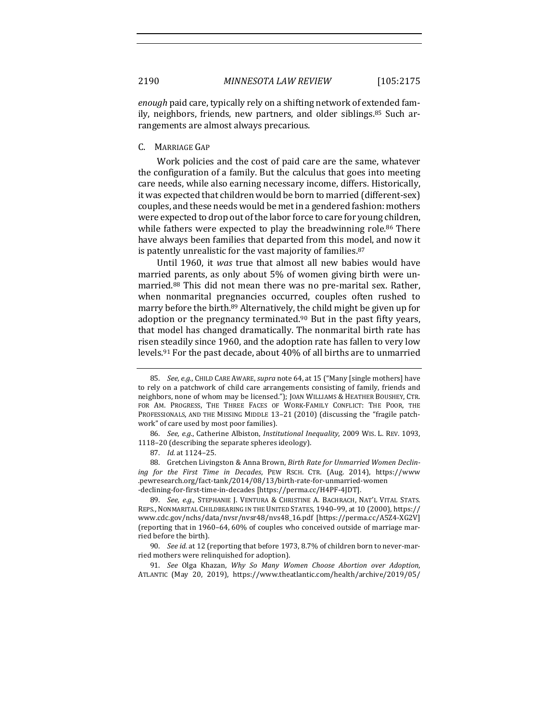*enough* paid care, typically rely on a shifting network of extended family, neighbors, friends, new partners, and older siblings.<sup>85</sup> Such arrangements are almost always precarious.

#### C. MARRIAGE GAP

Work policies and the cost of paid care are the same, whatever the configuration of a family. But the calculus that goes into meeting care needs, while also earning necessary income, differs. Historically, it was expected that children would be born to married (different-sex) couples, and these needs would be met in a gendered fashion: mothers were expected to drop out of the labor force to care for young children, while fathers were expected to play the breadwinning role. $86$  There have always been families that departed from this model, and now it is patently unrealistic for the vast majority of families. $87$ 

Until 1960, it was true that almost all new babies would have married parents, as only about 5% of women giving birth were unmarried.<sup>88</sup> This did not mean there was no pre-marital sex. Rather, when nonmarital pregnancies occurred, couples often rushed to marry before the birth.<sup>89</sup> Alternatively, the child might be given up for adoption or the pregnancy terminated.<sup>90</sup> But in the past fifty years, that model has changed dramatically. The nonmarital birth rate has risen steadily since 1960, and the adoption rate has fallen to very low levels.<sup>91</sup> For the past decade, about 40% of all births are to unmarried

89. *See, e.g.*, STEPHANIE J. VENTURA & CHRISTINE A. BACHRACH, NAT'L VITAL STATS. REPS., NONMARITAL CHILDBEARING IN THE UNITED STATES, 1940–99, at 10 (2000), https:// www.cdc.gov/nchs/data/nvsr/nvsr48/nvs48\_16.pdf [https://perma.cc/A5Z4-XG2V] (reporting that in 1960–64, 60% of couples who conceived outside of marriage married before the birth).

90. See id. at 12 (reporting that before 1973, 8.7% of children born to never-married mothers were relinquished for adoption).

91. *See* Olga Khazan, *Why So Many Women Choose Abortion over Adoption*, ATLANTIC (May 20, 2019), https://www.theatlantic.com/health/archive/2019/05/

<sup>85.</sup> *See, e.g.*, CHILD CARE AWARE, *supra* note 64, at 15 ("Many [single mothers] have to rely on a patchwork of child care arrangements consisting of family, friends and neighbors, none of whom may be licensed."); JOAN WILLIAMS & HEATHER BOUSHEY, CTR. FOR AM. PROGRESS, THE THREE FACES OF WORK-FAMILY CONFLICT: THE POOR, THE PROFESSIONALS, AND THE MISSING MIDDLE 13-21 (2010) (discussing the "fragile patchwork" of care used by most poor families).

<sup>86.</sup> *See, e.g.*, Catherine Albiston, *Institutional Inequality*, 2009 WIS. L. REV. 1093, 1118–20 (describing the separate spheres ideology).

<sup>87.</sup> *Id.* at 1124-25.

<sup>88.</sup> Gretchen Livingston & Anna Brown, *Birth Rate for Unmarried Women Declining* for the First Time in Decades, PEW RSCH. CTR. (Aug. 2014), https://www .pewresearch.org/fact-tank/2014/08/13/birth-rate-for-unmarried-women -declining-for-first-time-in-decades [https://perma.cc/H4PF-4JDT].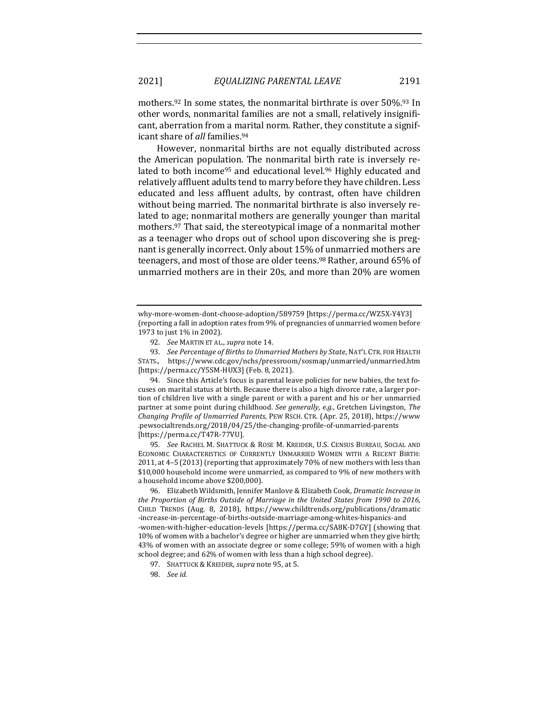mothers.<sup>92</sup> In some states, the nonmarital birthrate is over  $50\%$ .<sup>93</sup> In other words, nonmarital families are not a small, relatively insignificant, aberration from a marital norm. Rather, they constitute a significant share of *all* families.<sup>94</sup>

However, nonmarital births are not equally distributed across the American population. The nonmarital birth rate is inversely related to both income<sup>95</sup> and educational level.<sup>96</sup> Highly educated and relatively affluent adults tend to marry before they have children. Less educated and less affluent adults, by contrast, often have children without being married. The nonmarital birthrate is also inversely related to age; nonmarital mothers are generally younger than marital mothers.<sup>97</sup> That said, the stereotypical image of a nonmarital mother as a teenager who drops out of school upon discovering she is pregnant is generally incorrect. Only about 15% of unmarried mothers are teenagers, and most of those are older teens.<sup>98</sup> Rather, around 65% of unmarried mothers are in their 20s, and more than 20% are women

93. *See Percentage of Births to Unmarried Mothers by State*, NAT'L CTR. FOR HEALTH STATS., https://www.cdc.gov/nchs/pressroom/sosmap/unmarried/unmarried.htm [https://perma.cc/Y5SM-HUX3] (Feb. 8, 2021).

94. Since this Article's focus is parental leave policies for new babies, the text focuses on marital status at birth. Because there is also a high divorce rate, a larger portion of children live with a single parent or with a parent and his or her unmarried partner at some point during childhood. See generally, e.g., Gretchen Livingston, The *Changing Profile of Unmarried Parents*, PEW RSCH. CTR. (Apr. 25, 2018), https://www .pewsocialtrends.org/2018/04/25/the-changing-profile-of-unmarried-parents [https://perma.cc/T47R-77VU].

95. *See* RACHEL M. SHATTUCK & ROSE M. KREIDER, U.S. CENSUS BUREAU, SOCIAL AND ECONOMIC CHARACTERISTICS OF CURRENTLY UNMARRIED WOMEN WITH A RECENT BIRTH: 2011, at 4-5 (2013) (reporting that approximately 70% of new mothers with less than \$10,000 household income were unmarried, as compared to 9% of new mothers with a household income above \$200,000).

96. Elizabeth Wildsmith, Jennifer Manlove & Elizabeth Cook, *Dramatic Increase in the Proportion of Births Outside of Marriage in the United States from 1990 to 2016,* CHILD TRENDS (Aug. 8, 2018), https://www.childtrends.org/publications/dramatic -increase-in-percentage-of-births-outside-marriage-among-whites-hispanics-and -women-with-higher-education-levels [https://perma.cc/SA8K-D7GY] (showing that 10% of women with a bachelor's degree or higher are unmarried when they give birth; 43% of women with an associate degree or some college; 59% of women with a high school degree; and 62% of women with less than a high school degree).

why-more-women-dont-choose-adoption/589759 [https://perma.cc/WZ5X-Y4Y3] (reporting a fall in adoption rates from 9% of pregnancies of unmarried women before 1973 to just 1% in 2002).

<sup>92.</sup> *See* MARTIN ET AL., *supra* note 14.

<sup>97.</sup> SHATTUCK & KREIDER, *supra* note 95, at 5.

<sup>98.</sup> *See id.*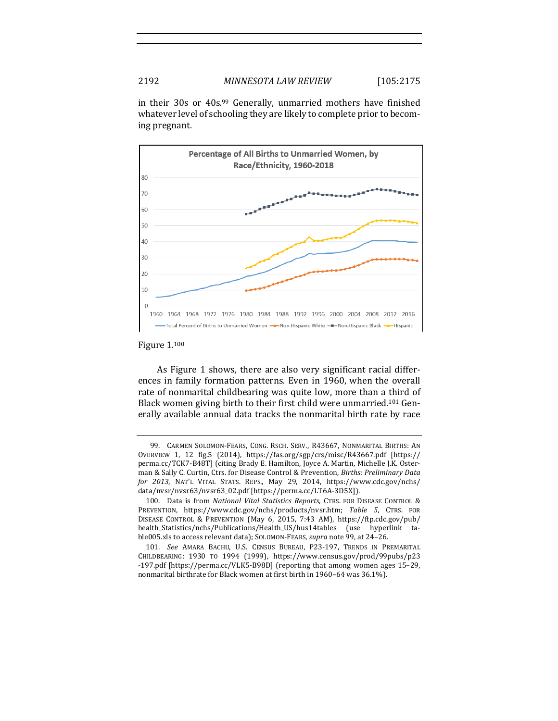in their 30s or 40s.<sup>99</sup> Generally, unmarried mothers have finished whatever level of schooling they are likely to complete prior to becoming pregnant.



Figure 1.100

As Figure 1 shows, there are also very significant racial differences in family formation patterns. Even in 1960, when the overall rate of nonmarital childbearing was quite low, more than a third of Black women giving birth to their first child were unmarried.<sup>101</sup> Generally available annual data tracks the nonmarital birth rate by race

<sup>99.</sup> CARMEN SOLOMON-FEARS, CONG. RSCH. SERV., R43667, NONMARITAL BIRTHS: AN OVERVIEW 1, 12 fig.5 (2014), https://fas.org/sgp/crs/misc/R43667.pdf [https:// perma.cc/TCK7-B48T] (citing Brady E. Hamilton, Joyce A. Martin, Michelle J.K. Osterman & Sally C. Curtin, Ctrs. for Disease Control & Prevention, *Births: Preliminary Data for 2013*, NAT'L VITAL STATS. REPS., May 29, 2014, https://www.cdc.gov/nchs/ data/nvsr/nvsr63/nvsr63\_02.pdf [https://perma.cc/LT6A-3D5X]).

<sup>100.</sup> Data is from *National Vital Statistics Reports*, CTRS. FOR DISEASE CONTROL & PREVENTION, https://www.cdc.gov/nchs/products/nvsr.htm; Table 5, CTRS. FOR DISEASE CONTROL & PREVENTION (May 6, 2015, 7:43 AM), https://ftp.cdc.gov/pub/ health\_Statistics/nchs/Publications/Health\_US/hus14tables (use hyperlink table005.xls to access relevant data); SOLOMON-FEARS, *supra* note 99, at 24-26.

<sup>101.</sup> See AMARA BACHU, U.S. CENSUS BUREAU, P23-197, TRENDS IN PREMARITAL CHILDBEARING: 1930 TO 1994 (1999), https://www.census.gov/prod/99pubs/p23 -197.pdf [https://perma.cc/VLK5-B98D] (reporting that among women ages 15-29, nonmarital birthrate for Black women at first birth in 1960-64 was 36.1%).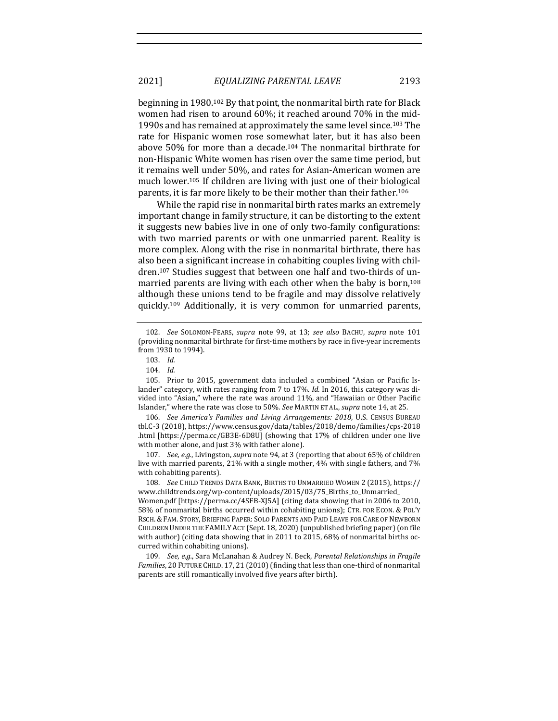beginning in  $1980$ <sup>102</sup> By that point, the nonmarital birth rate for Black women had risen to around 60%; it reached around 70% in the mid-1990s and has remained at approximately the same level since.<sup>103</sup> The rate for Hispanic women rose somewhat later, but it has also been above  $50\%$  for more than a decade.<sup>104</sup> The nonmarital birthrate for non-Hispanic White women has risen over the same time period, but it remains well under 50%, and rates for Asian-American women are much lower.<sup>105</sup> If children are living with just one of their biological parents, it is far more likely to be their mother than their father.<sup>106</sup>

While the rapid rise in nonmarital birth rates marks an extremely important change in family structure, it can be distorting to the extent it suggests new babies live in one of only two-family configurations: with two married parents or with one unmarried parent. Reality is more complex. Along with the rise in nonmarital birthrate, there has also been a significant increase in cohabiting couples living with children.<sup>107</sup> Studies suggest that between one half and two-thirds of unmarried parents are living with each other when the baby is born,<sup>108</sup> although these unions tend to be fragile and may dissolve relatively quickly.<sup>109</sup> Additionally, it is very common for unmarried parents,

106. *See America's Families and Living Arrangements: 2018*, U.S. CENSUS BUREAU tbl.C-3 (2018), https://www.census.gov/data/tables/2018/demo/families/cps-2018 .html [https://perma.cc/GB3E-6D8U] (showing that 17% of children under one live with mother alone, and just 3% with father alone).

107. *See, e.g.,* Livingston, *supra* note 94, at 3 (reporting that about 65% of children live with married parents, 21% with a single mother, 4% with single fathers, and 7% with cohabiting parents).

108. *See* CHILD TRENDS DATA BANK, BIRTHS TO UNMARRIED WOMEN 2 (2015), https:// www.childtrends.org/wp-content/uploads/2015/03/75\_Births\_to\_Unmarried\_

Women.pdf [https://perma.cc/4SFB-XJ5A] (citing data showing that in 2006 to 2010, 58% of nonmarital births occurred within cohabiting unions); CTR. FOR ECON. & POL'Y RSCH. & FAM. STORY, BRIEFING PAPER: SOLO PARENTS AND PAID LEAVE FOR CARE OF NEWBORN CHILDREN UNDER THE FAMILY ACT (Sept. 18, 2020) (unpublished briefing paper) (on file with author) (citing data showing that in 2011 to 2015,  $68\%$  of nonmarital births occurred within cohabiting unions).

109. *See, e.g.*, Sara McLanahan & Audrey N. Beck, *Parental Relationships in Fragile Families*, 20 FUTURE CHILD. 17, 21 (2010) (finding that less than one-third of nonmarital parents are still romantically involved five years after birth).

<sup>102.</sup> *See* SOLOMON-FEARS, *supra* note 99, at 13; see also BACHU, *supra* note 101 (providing nonmarital birthrate for first-time mothers by race in five-year increments from 1930 to 1994).

<sup>103.</sup> *Id.*

<sup>104.</sup> *Id.*

<sup>105.</sup> Prior to 2015, government data included a combined "Asian or Pacific Islander" category, with rates ranging from 7 to 17%. *Id.* In 2016, this category was divided into "Asian," where the rate was around 11%, and "Hawaiian or Other Pacific Islander," where the rate was close to 50%. See MARTIN ET AL., *supra* note 14, at 25.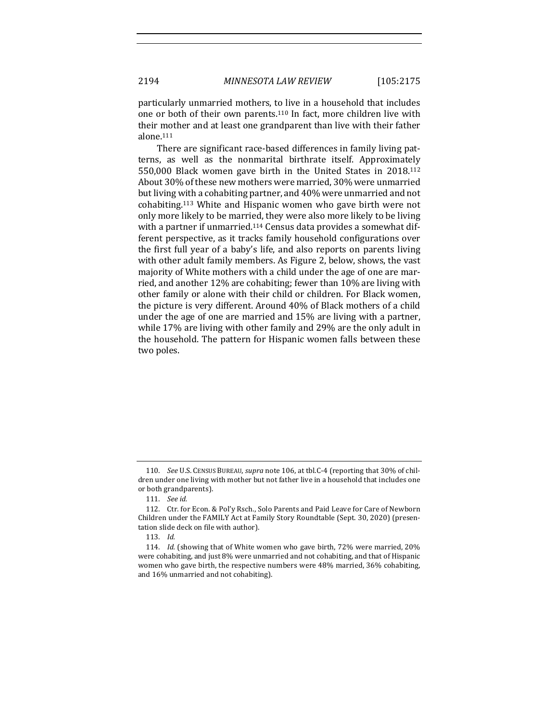particularly unmarried mothers, to live in a household that includes one or both of their own parents.<sup>110</sup> In fact, more children live with their mother and at least one grandparent than live with their father alone.111

There are significant race-based differences in family living patterns, as well as the nonmarital birthrate itself. Approximately 550,000 Black women gave birth in the United States in 2018.<sup>112</sup> About 30% of these new mothers were married, 30% were unmarried but living with a cohabiting partner, and 40% were unmarried and not cohabiting.<sup>113</sup> White and Hispanic women who gave birth were not only more likely to be married, they were also more likely to be living with a partner if unmarried.<sup>114</sup> Census data provides a somewhat different perspective, as it tracks family household configurations over the first full year of a baby's life, and also reports on parents living with other adult family members. As Figure 2, below, shows, the vast majority of White mothers with a child under the age of one are married, and another  $12\%$  are cohabiting; fewer than  $10\%$  are living with other family or alone with their child or children. For Black women, the picture is very different. Around 40% of Black mothers of a child under the age of one are married and  $15%$  are living with a partner, while 17% are living with other family and 29% are the only adult in the household. The pattern for Hispanic women falls between these two poles.

<sup>110.</sup> *See U.S. CENSUS BUREAU, supra* note 106, at tbl.C-4 (reporting that 30% of children under one living with mother but not father live in a household that includes one or both grandparents).

<sup>111.</sup> *See id.*

<sup>112.</sup> Ctr. for Econ. & Pol'y Rsch., Solo Parents and Paid Leave for Care of Newborn Children under the FAMILY Act at Family Story Roundtable (Sept. 30, 2020) (presentation slide deck on file with author).

<sup>113.</sup> *Id.*

<sup>114.</sup> *Id.* (showing that of White women who gave birth, 72% were married, 20% were cohabiting, and just 8% were unmarried and not cohabiting, and that of Hispanic women who gave birth, the respective numbers were 48% married, 36% cohabiting, and 16% unmarried and not cohabiting).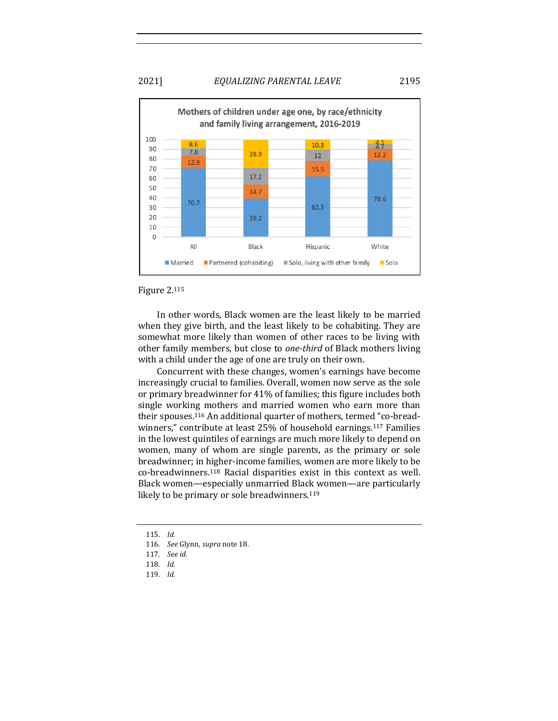## 2021] *EQUALIZING PARENTAL LEAVE* 2195



#### Figure 2.115

In other words, Black women are the least likely to be married when they give birth, and the least likely to be cohabiting. They are somewhat more likely than women of other races to be living with other family members, but close to *one-third* of Black mothers living with a child under the age of one are truly on their own.

Concurrent with these changes, women's earnings have become increasingly crucial to families. Overall, women now serve as the sole or primary breadwinner for 41% of families; this figure includes both single working mothers and married women who earn more than their spouses.<sup>116</sup> An additional quarter of mothers, termed "co-breadwinners," contribute at least 25% of household earnings.<sup>117</sup> Families in the lowest quintiles of earnings are much more likely to depend on women, many of whom are single parents, as the primary or sole breadwinner; in higher-income families, women are more likely to be  $co$ -breadwinners.<sup>118</sup> Racial disparities exist in this context as well. Black women—especially unmarried Black women—are particularly likely to be primary or sole breadwinners.<sup>119</sup>

<sup>115.</sup> *Id.*

<sup>116.</sup> *See Glynn, supra note* 18.

<sup>117.</sup> *See id.*

<sup>118.</sup> *Id.*

<sup>119.</sup> *Id.*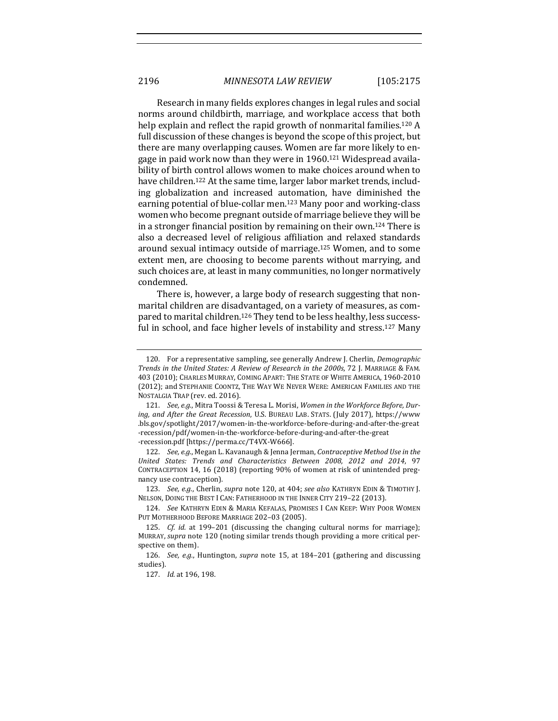Research in many fields explores changes in legal rules and social norms around childbirth, marriage, and workplace access that both help explain and reflect the rapid growth of nonmarital families.<sup>120</sup> A full discussion of these changes is beyond the scope of this project, but there are many overlapping causes. Women are far more likely to engage in paid work now than they were in  $1960$ .<sup>121</sup> Widespread availability of birth control allows women to make choices around when to have children.<sup>122</sup> At the same time, larger labor market trends, including globalization and increased automation, have diminished the earning potential of blue-collar men.<sup>123</sup> Many poor and working-class women who become pregnant outside of marriage believe they will be in a stronger financial position by remaining on their own.<sup>124</sup> There is also a decreased level of religious affiliation and relaxed standards around sexual intimacy outside of marriage.<sup>125</sup> Women, and to some extent men, are choosing to become parents without marrying, and such choices are, at least in many communities, no longer normatively condemned. 

There is, however, a large body of research suggesting that nonmarital children are disadvantaged, on a variety of measures, as compared to marital children.<sup>126</sup> They tend to be less healthy, less successful in school, and face higher levels of instability and stress.<sup>127</sup> Many

<sup>120.</sup> For a representative sampling, see generally Andrew J. Cherlin, *Demographic Trends in the United States: A Review of Research in the 2000s,* 72 J. MARRIAGE & FAM. 403 (2010); CHARLES MURRAY, COMING APART: THE STATE OF WHITE AMERICA, 1960-2010 (2012); and STEPHANIE COONTZ, THE WAY WE NEVER WERE: AMERICAN FAMILIES AND THE NOSTALGIA TRAP (rev. ed. 2016).

<sup>121.</sup> See, e.g., Mitra Toossi & Teresa L. Morisi, Women in the Workforce Before, During, and After the Great Recession, U.S. BUREAU LAB. STATS. (July 2017), https://www .bls.gov/spotlight/2017/women-in-the-workforce-before-during-and-after-the-great -recession/pdf/women-in-the-workforce-before-during-and-after-the-great -recession.pdf [https://perma.cc/T4VX-W666].

<sup>122.</sup> *See, e.g.*, Megan L. Kavanaugh & Jenna Jerman, *Contraceptive Method Use in the United States: Trends and Characteristics Between 2008, 2012 and 2014*, 97 CONTRACEPTION 14, 16 (2018) (reporting 90% of women at risk of unintended pregnancy use contraception).

<sup>123.</sup> *See, e.g.*, Cherlin, *supra* note 120, at 404; see also KATHRYN EDIN & TIMOTHY J. NELSON, DOING THE BEST I CAN: FATHERHOOD IN THE INNER CITY 219-22 (2013).

<sup>124.</sup> See KATHRYN EDIN & MARIA KEFALAS, PROMISES I CAN KEEP: WHY POOR WOMEN PUT MOTHERHOOD BEFORE MARRIAGE 202-03 (2005).

<sup>125.</sup> *Cf. id.* at 199-201 (discussing the changing cultural norms for marriage); MURRAY, *supra* note 120 (noting similar trends though providing a more critical perspective on them).

<sup>126.</sup> *See, e.g.*, Huntington, *supra* note 15, at 184-201 (gathering and discussing studies).

<sup>127.</sup> *Id.* at 196, 198.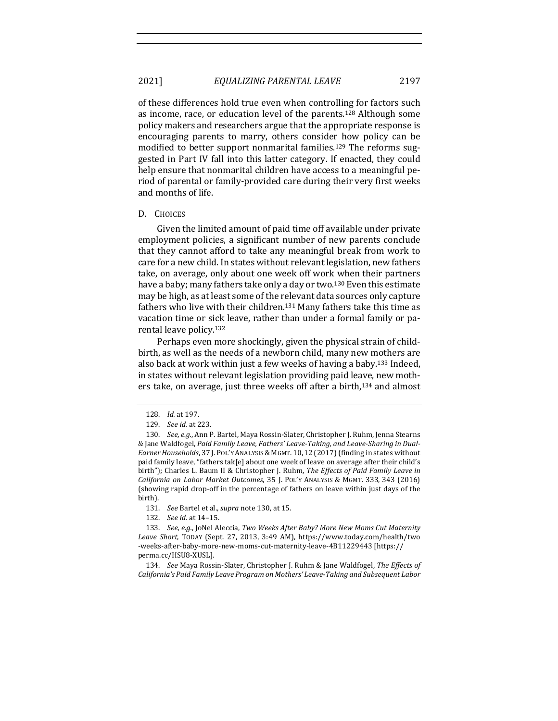2021] *EQUALIZING PARENTAL LEAVE* 2197

of these differences hold true even when controlling for factors such as income, race, or education level of the parents.<sup>128</sup> Although some policy makers and researchers argue that the appropriate response is encouraging parents to marry, others consider how policy can be modified to better support nonmarital families.<sup>129</sup> The reforms suggested in Part IV fall into this latter category. If enacted, they could help ensure that nonmarital children have access to a meaningful period of parental or family-provided care during their very first weeks and months of life.

#### D. CHOICES

Given the limited amount of paid time off available under private employment policies, a significant number of new parents conclude that they cannot afford to take any meaningful break from work to care for a new child. In states without relevant legislation, new fathers take, on average, only about one week off work when their partners have a baby; many fathers take only a day or two.<sup>130</sup> Even this estimate may be high, as at least some of the relevant data sources only capture fathers who live with their children.<sup>131</sup> Many fathers take this time as vacation time or sick leave, rather than under a formal family or parental leave policy.<sup>132</sup>

Perhaps even more shockingly, given the physical strain of childbirth, as well as the needs of a newborn child, many new mothers are also back at work within just a few weeks of having a baby.<sup>133</sup> Indeed, in states without relevant legislation providing paid leave, new mothers take, on average, just three weeks off after a birth,<sup>134</sup> and almost

<sup>128.</sup> *Id.* at 197.

<sup>129.</sup> *See id.* at 223.

<sup>130.</sup> *See, e.g.*, Ann P. Bartel, Maya Rossin-Slater, Christopher J. Ruhm, Jenna Stearns & Jane Waldfogel, Paid Family Leave, Fathers' Leave-Taking, and Leave-Sharing in Dual-Earner Households, 37 J. POL'Y ANALYSIS & MGMT. 10, 12 (2017) (finding in states without paid family leave, "fathers tak[e] about one week of leave on average after their child's birth"); Charles L. Baum II & Christopher J. Ruhm, *The Effects of Paid Family Leave in California on Labor Market Outcomes*, 35 J. POL'Y ANALYSIS & MGMT. 333, 343 (2016) (showing rapid drop-off in the percentage of fathers on leave within just days of the birth).

<sup>131.</sup> *See* Bartel et al., *supra* note 130, at 15.

<sup>132.</sup> *See id.* at 14-15.

<sup>133.</sup> *See, e.g.*, JoNel Aleccia, *Two Weeks After Baby? More New Moms Cut Maternity* Leave Short, TODAY (Sept. 27, 2013, 3:49 AM), https://www.today.com/health/two -weeks-after-baby-more-new-moms-cut-maternity-leave-4B11229443 [https:// perma.cc/HSU8-XUSL].

<sup>134.</sup> *See* Maya Rossin-Slater, Christopher J. Ruhm & Jane Waldfogel, *The Effects of* California's Paid Family Leave Program on Mothers' Leave-Taking and Subsequent Labor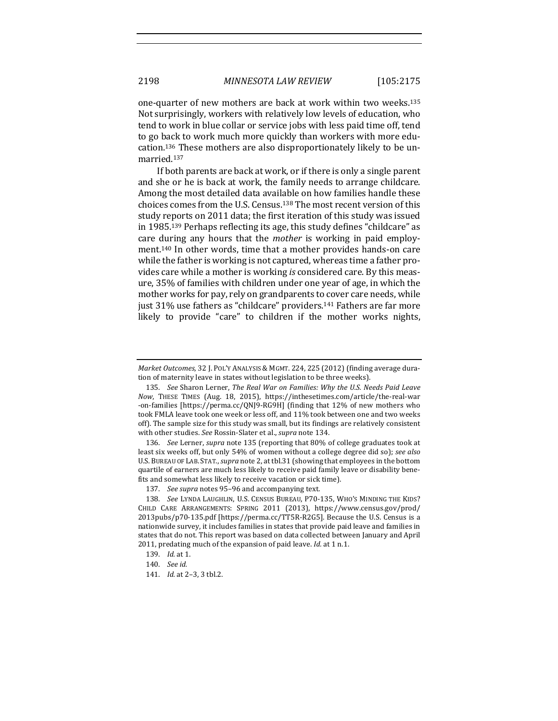one-quarter of new mothers are back at work within two weeks.<sup>135</sup> Not surprisingly, workers with relatively low levels of education, who tend to work in blue collar or service jobs with less paid time off, tend to go back to work much more quickly than workers with more education.<sup>136</sup> These mothers are also disproportionately likely to be unmarried.137

If both parents are back at work, or if there is only a single parent and she or he is back at work, the family needs to arrange childcare. Among the most detailed data available on how families handle these choices comes from the U.S. Census.<sup>138</sup> The most recent version of this study reports on 2011 data; the first iteration of this study was issued in 1985.<sup>139</sup> Perhaps reflecting its age, this study defines "childcare" as care during any hours that the *mother* is working in paid employment.<sup>140</sup> In other words, time that a mother provides hands-on care while the father is working is not captured, whereas time a father provides care while a mother is working *is* considered care. By this measure, 35% of families with children under one year of age, in which the mother works for pay, rely on grandparents to cover care needs, while just 31% use fathers as "childcare" providers.<sup>141</sup> Fathers are far more likely to provide "care" to children if the mother works nights,

136. *See* Lerner, *supra* note 135 (reporting that 80% of college graduates took at least six weeks off, but only 54% of women without a college degree did so); see also U.S. BUREAU OF LAB. STAT., *supra* note 2, at tbl.31 (showing that employees in the bottom quartile of earners are much less likely to receive paid family leave or disability benefits and somewhat less likely to receive vacation or sick time).

*Market Outcomes*, 32 J. POL'Y ANALYSIS & MGMT. 224, 225 (2012) (finding average duration of maternity leave in states without legislation to be three weeks).

<sup>135.</sup> *See* Sharon Lerner, *The Real War on Families: Why the U.S. Needs Paid Leave Now*, THESE TIMES (Aug. 18, 2015), https://inthesetimes.com/article/the-real-war -on-families [https://perma.cc/QNJ9-RG9H] (finding that 12% of new mothers who took FMLA leave took one week or less off, and 11% took between one and two weeks off). The sample size for this study was small, but its findings are relatively consistent with other studies. See Rossin-Slater et al., *supra* note 134.

<sup>137.</sup> See supra notes 95-96 and accompanying text.

<sup>138.</sup> See LYNDA LAUGHLIN, U.S. CENSUS BUREAU, P70-135, WHO'S MINDING THE KIDS? CHILD CARE ARRANGEMENTS: SPRING 2011 (2013), https://www.census.gov/prod/ 2013pubs/p70-135.pdf [https://perma.cc/TT5R-R2G5]. Because the U.S. Census is a nationwide survey, it includes families in states that provide paid leave and families in states that do not. This report was based on data collected between January and April 2011, predating much of the expansion of paid leave. *Id.* at 1 n.1.

<sup>139.</sup> *Id.* at 1.

<sup>140.</sup> *See id.*

<sup>141.</sup> *Id.* at 2-3, 3 tbl.2.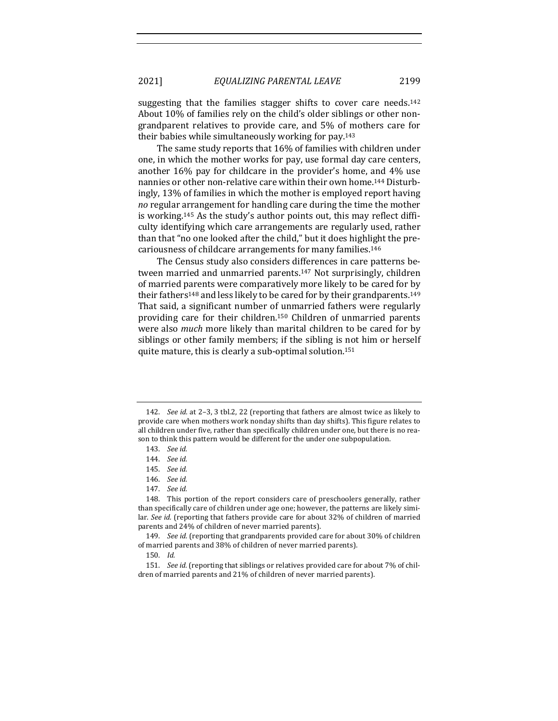suggesting that the families stagger shifts to cover care needs.<sup>142</sup> About 10% of families rely on the child's older siblings or other nongrandparent relatives to provide care, and 5% of mothers care for their babies while simultaneously working for pay.<sup>143</sup>

The same study reports that 16% of families with children under one, in which the mother works for pay, use formal day care centers, another  $16\%$  pay for childcare in the provider's home, and  $4\%$  use nannies or other non-relative care within their own home.<sup>144</sup> Disturbingly, 13% of families in which the mother is employed report having *no* regular arrangement for handling care during the time the mother is working.<sup>145</sup> As the study's author points out, this may reflect difficulty identifying which care arrangements are regularly used, rather than that "no one looked after the child," but it does highlight the precariousness of childcare arrangements for many families.<sup>146</sup>

The Census study also considers differences in care patterns between married and unmarried parents.<sup>147</sup> Not surprisingly, children of married parents were comparatively more likely to be cared for by their fathers<sup>148</sup> and less likely to be cared for by their grandparents.<sup>149</sup> That said, a significant number of unmarried fathers were regularly providing care for their children.<sup>150</sup> Children of unmarried parents were also *much* more likely than marital children to be cared for by siblings or other family members; if the sibling is not him or herself quite mature, this is clearly a sub-optimal solution.<sup>151</sup>

<sup>142.</sup> *See id.* at 2-3, 3 tbl.2, 22 (reporting that fathers are almost twice as likely to provide care when mothers work nonday shifts than day shifts). This figure relates to all children under five, rather than specifically children under one, but there is no reason to think this pattern would be different for the under one subpopulation.

<sup>143.</sup> *See id.*

<sup>144.</sup> *See id.*

<sup>145.</sup> *See id.*

<sup>146.</sup> *See id.*

<sup>147.</sup> *See id.*

<sup>148.</sup> This portion of the report considers care of preschoolers generally, rather than specifically care of children under age one; however, the patterns are likely similar. See id. (reporting that fathers provide care for about 32% of children of married parents and 24% of children of never married parents).

<sup>149.</sup> *See id.* (reporting that grandparents provided care for about 30% of children of married parents and 38% of children of never married parents).

<sup>150.</sup> *Id.*

<sup>151.</sup> *See id.* (reporting that siblings or relatives provided care for about 7% of children of married parents and 21% of children of never married parents).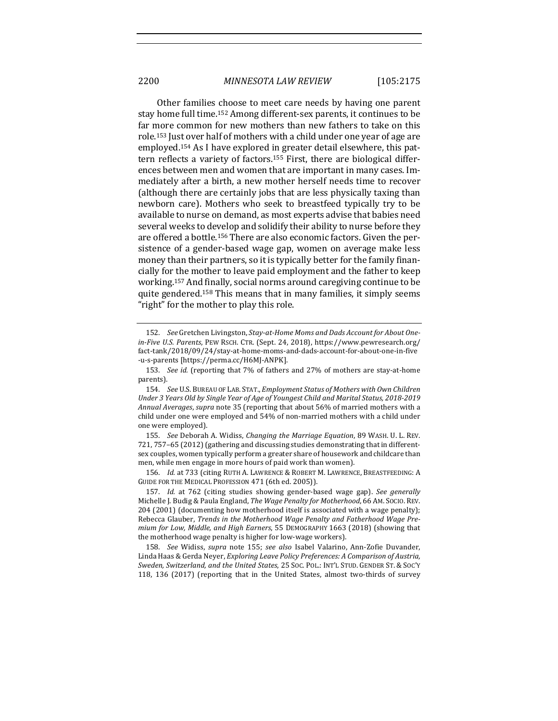Other families choose to meet care needs by having one parent stay home full time.<sup>152</sup> Among different-sex parents, it continues to be far more common for new mothers than new fathers to take on this role.<sup>153</sup> Just over half of mothers with a child under one year of age are employed.<sup>154</sup> As I have explored in greater detail elsewhere, this pattern reflects a variety of factors.<sup>155</sup> First, there are biological differences between men and women that are important in many cases. Immediately after a birth, a new mother herself needs time to recover (although there are certainly jobs that are less physically taxing than newborn care). Mothers who seek to breastfeed typically try to be available to nurse on demand, as most experts advise that babies need several weeks to develop and solidify their ability to nurse before they are offered a bottle.<sup>156</sup> There are also economic factors. Given the persistence of a gender-based wage gap, women on average make less money than their partners, so it is typically better for the family financially for the mother to leave paid employment and the father to keep working.<sup>157</sup> And finally, social norms around caregiving continue to be quite gendered.<sup>158</sup> This means that in many families, it simply seems "right" for the mother to play this role.

156. *Id.* at 733 (citing RUTH A. LAWRENCE & ROBERT M. LAWRENCE, BREASTFEEDING: A GUIDE FOR THE MEDICAL PROFESSION 471 (6th ed. 2005)).

<sup>152.</sup> See Gretchen Livingston, *Stay-at-Home Moms and Dads Account for About Onein-Five U.S. Parents*, PEW RSCH. CTR. (Sept. 24, 2018), https://www.pewresearch.org/ fact-tank/2018/09/24/stay-at-home-moms-and-dads-account-for-about-one-in-five -u-s-parents [https://perma.cc/H6MJ-ANPK].

<sup>153.</sup> *See id.* (reporting that 7% of fathers and 27% of mothers are stay-at-home parents).

<sup>154.</sup> *See* U.S. BUREAU OF LAB. STAT., *Employment Status of Mothers with Own Children* Under 3 Years Old by Single Year of Age of Youngest Child and Marital Status, 2018-2019 Annual Averages, supra note 35 (reporting that about 56% of married mothers with a child under one were employed and 54% of non-married mothers with a child under one were employed).

<sup>155.</sup> *See* Deborah A. Widiss, *Changing the Marriage Equation*, 89 WASH. U. L. REV. 721, 757–65 (2012) (gathering and discussing studies demonstrating that in differentsex couples, women typically perform a greater share of housework and childcare than men, while men engage in more hours of paid work than women).

<sup>157.</sup> *Id.* at 762 (citing studies showing gender-based wage gap). See generally Michelle J. Budig & Paula England, *The Wage Penalty for Motherhood*, 66 AM. Socio. Rev. 204 (2001) (documenting how motherhood itself is associated with a wage penalty); Rebecca Glauber, *Trends in the Motherhood Wage Penalty and Fatherhood Wage Premium for Low, Middle, and High Earners*, 55 DEMOGRAPHY 1663 (2018) (showing that the motherhood wage penalty is higher for low-wage workers).

<sup>158.</sup> *See* Widiss, *supra* note 155; *see also* Isabel Valarino, Ann-Zofie Duvander, Linda Haas & Gerda Neyer, *Exploring Leave Policy Preferences: A Comparison of Austria, Sweden, Switzerland, and the United States*, 25 SOC. POL.: INT'L STUD. GENDER ST. & SOC'Y 118, 136 (2017) (reporting that in the United States, almost two-thirds of survey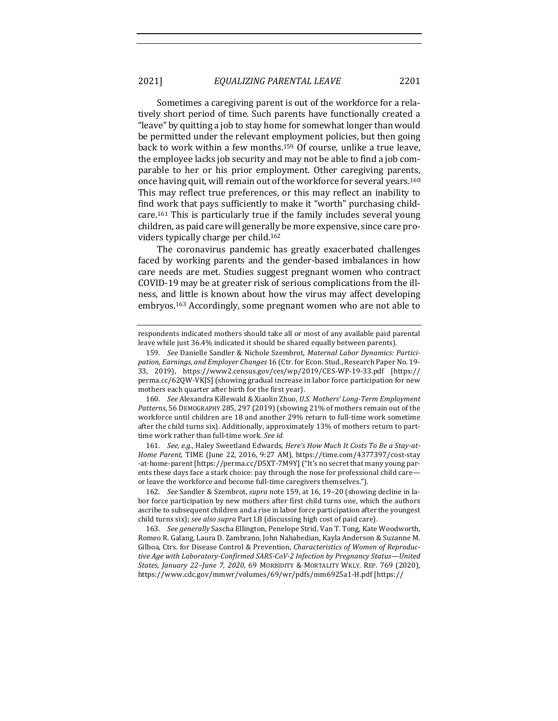Sometimes a caregiving parent is out of the workforce for a relatively short period of time. Such parents have functionally created a "leave" by quitting a job to stay home for somewhat longer than would be permitted under the relevant employment policies, but then going back to work within a few months.<sup>159</sup> Of course, unlike a true leave, the employee lacks job security and may not be able to find a job comparable to her or his prior employment. Other caregiving parents, once having quit, will remain out of the workforce for several years.<sup>160</sup> This may reflect true preferences, or this may reflect an inability to find work that pays sufficiently to make it "worth" purchasing childcare.<sup>161</sup> This is particularly true if the family includes several young children, as paid care will generally be more expensive, since care providers typically charge per child.<sup>162</sup>

The coronavirus pandemic has greatly exacerbated challenges faced by working parents and the gender-based imbalances in how care needs are met. Studies suggest pregnant women who contract COVID-19 may be at greater risk of serious complications from the illness, and little is known about how the virus may affect developing embryos.<sup>163</sup> Accordingly, some pregnant women who are not able to

160. *See* Alexandra Killewald & Xiaolin Zhuo, *U.S. Mothers' Long-Term Employment*  Patterns, 56 DEMOGRAPHY 285, 297 (2019) (showing 21% of mothers remain out of the workforce until children are 18 and another 29% return to full-time work sometime after the child turns six). Additionally, approximately 13% of mothers return to parttime work rather than full-time work. See id.

161. See, e.g., Haley Sweetland Edwards, *Here's How Much It Costs To Be a Stay-at-Home Parent*, TIME (June 22, 2016, 9:27 AM), https://time.com/4377397/cost-stay -at-home-parent [https://perma.cc/D5XT-7M9Y] ("It's no secret that many young parents these days face a stark choice: pay through the nose for professional child care or leave the workforce and become full-time caregivers themselves.").

162. *See* Sandler & Szembrot, *supra* note 159, at 16, 19-20 (showing decline in labor force participation by new mothers after first child turns one, which the authors ascribe to subsequent children and a rise in labor force participation after the youngest child turns six); see also supra Part I.B (discussing high cost of paid care).

163. *See generally* Sascha Ellington, Penelope Strid, Van T. Tong, Kate Woodworth, Romeo R. Galang, Laura D. Zambrano, John Nahabedian, Kayla Anderson & Suzanne M. Gilboa, Ctrs. for Disease Control & Prevention, *Characteristics of Women of Reproduc*tive Age with Laboratory-Confirmed SARS-CoV-2 Infection by Pregnancy Status-United *States, January 22-June 7, 2020, 69 MORBIDITY & MORTALITY WKLY. REP. 769 (2020),* https://www.cdc.gov/mmwr/volumes/69/wr/pdfs/mm6925a1-H.pdf [https://

respondents indicated mothers should take all or most of any available paid parental leave while just 36.4% indicated it should be shared equally between parents).

<sup>159.</sup> See Danielle Sandler & Nichole Szembrot, Maternal Labor Dynamics: Partici*pation, Earnings, and Employer Changes* 16 (Ctr. for Econ. Stud., Research Paper No. 19-33, 2019), https://www2.census.gov/ces/wp/2019/CES-WP-19-33.pdf [https:// perma.cc/62QW-VKJS] (showing gradual increase in labor force participation for new mothers each quarter after birth for the first year).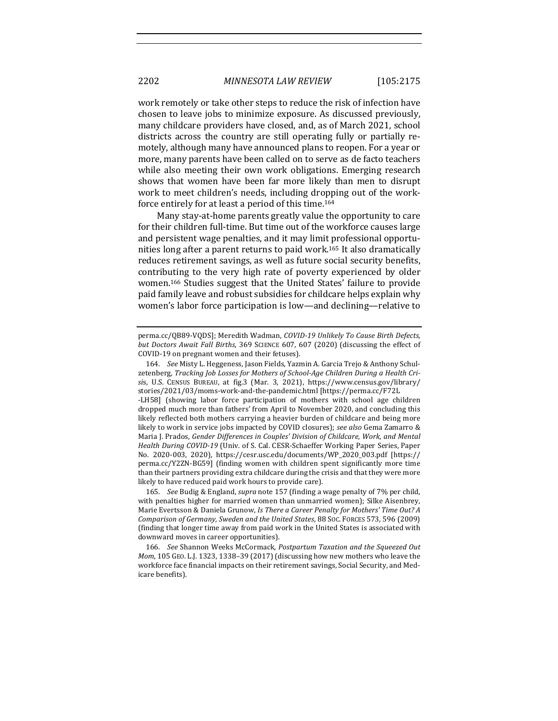work remotely or take other steps to reduce the risk of infection have chosen to leave jobs to minimize exposure. As discussed previously, many childcare providers have closed, and, as of March 2021, school districts across the country are still operating fully or partially remotely, although many have announced plans to reopen. For a year or more, many parents have been called on to serve as de facto teachers while also meeting their own work obligations. Emerging research shows that women have been far more likely than men to disrupt work to meet children's needs, including dropping out of the workforce entirely for at least a period of this time.<sup>164</sup>

Many stay-at-home parents greatly value the opportunity to care for their children full-time. But time out of the workforce causes large and persistent wage penalties, and it may limit professional opportunities long after a parent returns to paid work.<sup>165</sup> It also dramatically reduces retirement savings, as well as future social security benefits, contributing to the very high rate of poverty experienced by older women.<sup>166</sup> Studies suggest that the United States' failure to provide paid family leave and robust subsidies for childcare helps explain why women's labor force participation is low—and declining—relative to

perma.cc/QB89-VQDS]; Meredith Wadman, *COVID-19 Unlikely To Cause Birth Defects*, *but Doctors Await Fall Births*, 369 SCIENCE 607, 607 (2020) (discussing the effect of COVID-19 on pregnant women and their fetuses).

<sup>164.</sup> *See* Misty L. Heggeness, Jason Fields, Yazmin A. García Trejo & Anthony Schulzetenberg, *Tracking Job Losses for Mothers of School-Age Children During a Health Cri*sis, U.S. CENSUS BUREAU, at fig.3 (Mar. 3, 2021), https://www.census.gov/library/ stories/2021/03/moms-work-and-the-pandemic.html [https://perma.cc/F72L -LH58] (showing labor force participation of mothers with school age children dropped much more than fathers' from April to November 2020, and concluding this likely reflected both mothers carrying a heavier burden of childcare and being more likely to work in service jobs impacted by COVID closures); *see also* Gema Zamarro & Maria J. Prados, *Gender Differences in Couples' Division of Childcare, Work, and Mental Health During COVID-19* (Univ. of S. Cal. CESR-Schaeffer Working Paper Series, Paper No. 2020-003, 2020), https://cesr.usc.edu/documents/WP\_2020\_003.pdf [https:// perma.cc/Y2ZN-BG59] (finding women with children spent significantly more time than their partners providing extra childcare during the crisis and that they were more likely to have reduced paid work hours to provide care).

<sup>165.</sup> *See* Budig & England, *supra* note 157 (finding a wage penalty of 7% per child, with penalties higher for married women than unmarried women); Silke Aisenbrey, Marie Evertsson & Daniela Grunow, *Is There a Career Penalty for Mothers' Time Out? A Comparison of Germany, Sweden and the United States*, 88 SOC. FORCES 573, 596 (2009) (finding that longer time away from paid work in the United States is associated with downward moves in career opportunities).

<sup>166.</sup> *See* Shannon Weeks McCormack, *Postpartum Taxation and the Squeezed Out Mom*, 105 GEO. L.J. 1323, 1338-39 (2017) (discussing how new mothers who leave the workforce face financial impacts on their retirement savings, Social Security, and Medicare benefits).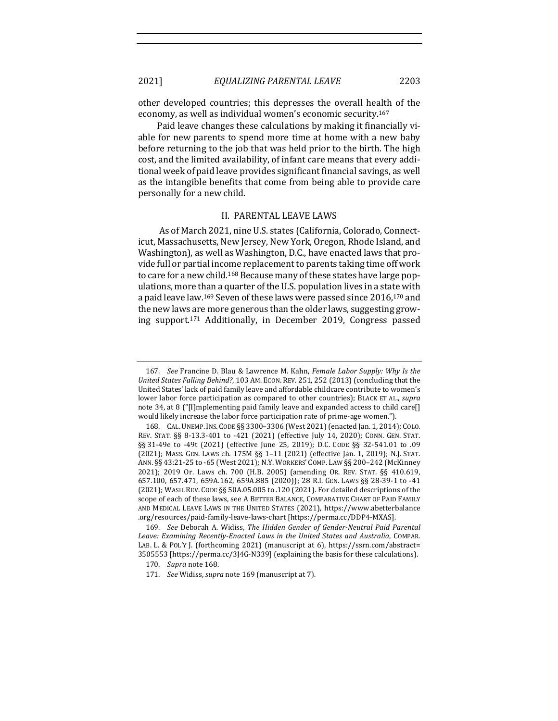#### 2021] *EQUALIZING PARENTAL LEAVE* 2203

other developed countries; this depresses the overall health of the economy, as well as individual women's economic security.<sup>167</sup>

Paid leave changes these calculations by making it financially viable for new parents to spend more time at home with a new baby before returning to the job that was held prior to the birth. The high cost, and the limited availability, of infant care means that every additional week of paid leave provides significant financial savings, as well as the intangible benefits that come from being able to provide care personally for a new child.

#### II. PARENTAL LEAVE LAWS

As of March 2021, nine U.S. states (California, Colorado, Connecticut, Massachusetts, New Jersey, New York, Oregon, Rhode Island, and Washington), as well as Washington, D.C., have enacted laws that provide full or partial income replacement to parents taking time off work to care for a new child.<sup>168</sup> Because many of these states have large populations, more than a quarter of the U.S. population lives in a state with a paid leave law.<sup>169</sup> Seven of these laws were passed since 2016,<sup>170</sup> and the new laws are more generous than the older laws, suggesting growing support.<sup>171</sup> Additionally, in December 2019, Congress passed

<sup>167.</sup> *See* Francine D. Blau & Lawrence M. Kahn, *Female Labor Supply: Why Is the* United States Falling Behind?, 103 AM. ECON. REV. 251, 252 (2013) (concluding that the United States' lack of paid family leave and affordable childcare contribute to women's lower labor force participation as compared to other countries); BLACK ET AL., *supra* note 34, at 8 ("[I]mplementing paid family leave and expanded access to child care[] would likely increase the labor force participation rate of prime-age women.").

<sup>168.</sup> CAL. UNEMP. INS. CODE §§ 3300-3306 (West 2021) (enacted Jan. 1, 2014); COLO. REV. STAT. §§ 8-13.3-401 to -421 (2021) (effective July 14, 2020); CONN. GEN. STAT. §§ 31-49e to -49t (2021) (effective June 25, 2019); D.C. CODE §§ 32-541.01 to .09 (2021); MASS. GEN. LAWS ch. 175M §§ 1-11 (2021) (effective Jan. 1, 2019); N.J. STAT. ANN. §§ 43:21-25 to -65 (West 2021); N.Y. WORKERS' COMP. LAW §§ 200-242 (McKinney 2021); 2019 Or. Laws ch. 700 (H.B. 2005) (amending OR. REV. STAT. §§ 410.619, 657.100, 657.471, 659A.162, 659A.885 (2020)); 28 R.I. GEN. LAWS §§ 28-39-1 to -41 (2021); WASH. REV. CODE  $\S$ § 50A.05.005 to .120 (2021). For detailed descriptions of the scope of each of these laws, see A BETTER BALANCE, COMPARATIVE CHART OF PAID FAMILY AND MEDICAL LEAVE LAWS IN THE UNITED STATES (2021), https://www.abetterbalance .org/resources/paid-family-leave-laws-chart [https://perma.cc/DDP4-MXAS].

<sup>169.</sup> *See Deborah A. Widiss, The Hidden Gender of Gender-Neutral Paid Parental* Leave: Examining Recently-Enacted Laws in the United States and Australia, COMPAR. LAB. L. & POL'Y J. (forthcoming 2021) (manuscript at 6), https://ssrn.com/abstract= 3505553 [https://perma.cc/3J4G-N339] (explaining the basis for these calculations).

<sup>170.</sup> *Supra* note 168.

<sup>171.</sup> *See* Widiss, *supra* note 169 (manuscript at 7).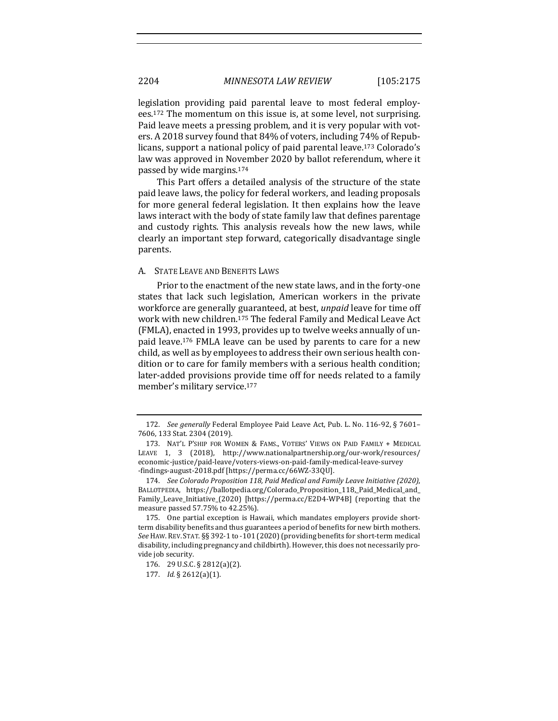legislation providing paid parental leave to most federal employees.<sup>172</sup> The momentum on this issue is, at some level, not surprising. Paid leave meets a pressing problem, and it is very popular with voters. A 2018 survey found that 84% of voters, including 74% of Republicans, support a national policy of paid parental leave.<sup>173</sup> Colorado's law was approved in November 2020 by ballot referendum, where it passed by wide margins.<sup>174</sup>

This Part offers a detailed analysis of the structure of the state paid leave laws, the policy for federal workers, and leading proposals for more general federal legislation. It then explains how the leave laws interact with the body of state family law that defines parentage and custody rights. This analysis reveals how the new laws, while clearly an important step forward, categorically disadvantage single parents. 

#### A. STATE LEAVE AND BENEFITS LAWS

Prior to the enactment of the new state laws, and in the forty-one states that lack such legislation, American workers in the private workforce are generally guaranteed, at best, *unpaid* leave for time off work with new children.<sup>175</sup> The federal Family and Medical Leave Act (FMLA), enacted in 1993, provides up to twelve weeks annually of unpaid leave.<sup>176</sup> FMLA leave can be used by parents to care for a new child, as well as by employees to address their own serious health condition or to care for family members with a serious health condition; later-added provisions provide time off for needs related to a family member's military service.<sup>177</sup>

<sup>172.</sup> *See generally* Federal Employee Paid Leave Act, Pub. L. No. 116-92, § 7601-7606, 133 Stat. 2304 (2019).

<sup>173.</sup> NAT'L P'SHIP FOR WOMEN & FAMS., VOTERS' VIEWS ON PAID FAMILY + MEDICAL LEAVE 1, 3 (2018), http://www.nationalpartnership.org/our-work/resources/ economic-justice/paid-leave/voters-views-on-paid-family-medical-leave-survey -findings-august-2018.pdf [https://perma.cc/66WZ-33QU].

<sup>174.</sup> *See Colorado Proposition 118, Paid Medical and Family Leave Initiative (2020)*, BALLOTPEDIA, https://ballotpedia.org/Colorado\_Proposition\_118,\_Paid\_Medical\_and\_ Family\_Leave\_Initiative\_(2020) [https://perma.cc/E2D4-WP4B] (reporting that the measure passed 57.75% to 42.25%).

<sup>175.</sup> One partial exception is Hawaii, which mandates employers provide shortterm disability benefits and thus guarantees a period of benefits for new birth mothers. See HAW. REV. STAT. §§ 392-1 to -101 (2020) (providing benefits for short-term medical disability, including pregnancy and childbirth). However, this does not necessarily provide job security.

<sup>176. 29</sup> U.S.C. § 2812(a)(2).

<sup>177.</sup> *Id.* § 2612(a)(1).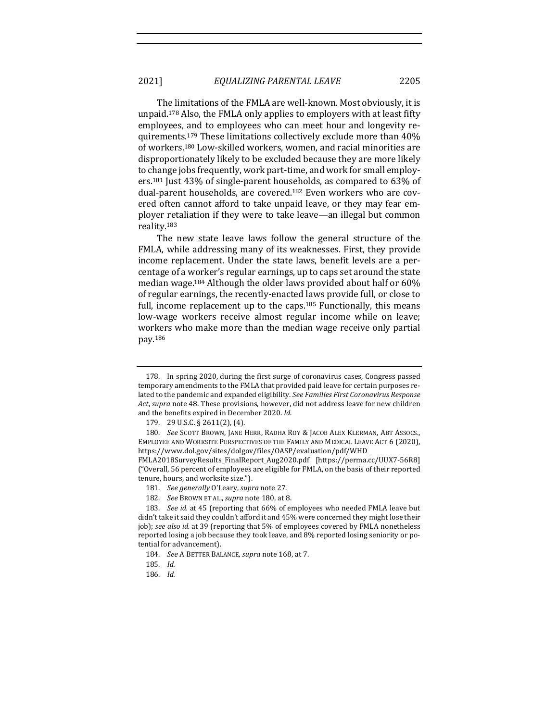The limitations of the FMLA are well-known. Most obviously, it is unpaid.<sup>178</sup> Also, the FMLA only applies to employers with at least fifty employees, and to employees who can meet hour and longevity requirements.<sup>179</sup> These limitations collectively exclude more than  $40\%$ of workers.<sup>180</sup> Low-skilled workers, women, and racial minorities are disproportionately likely to be excluded because they are more likely to change jobs frequently, work part-time, and work for small employers.<sup>181</sup> Just  $43\%$  of single-parent households, as compared to  $63\%$  of dual-parent households, are covered.<sup>182</sup> Even workers who are covered often cannot afford to take unpaid leave, or they may fear employer retaliation if they were to take leave—an illegal but common reality.183

The new state leave laws follow the general structure of the FMLA, while addressing many of its weaknesses. First, they provide income replacement. Under the state laws, benefit levels are a percentage of a worker's regular earnings, up to caps set around the state median wage.<sup>184</sup> Although the older laws provided about half or  $60\%$ of regular earnings, the recently-enacted laws provide full, or close to full, income replacement up to the caps.<sup>185</sup> Functionally, this means low-wage workers receive almost regular income while on leave; workers who make more than the median wage receive only partial pay.186

182. *See BROWN ET AL., supra note* 180, at 8.

<sup>178.</sup> In spring 2020, during the first surge of coronavirus cases, Congress passed temporary amendments to the FMLA that provided paid leave for certain purposes related to the pandemic and expanded eligibility. See *Families First Coronavirus Response* Act, *supra* note 48. These provisions, however, did not address leave for new children and the benefits expired in December 2020. Id.

<sup>179. 29</sup> U.S.C. § 2611(2), (4).

<sup>180.</sup> *See* SCOTT BROWN, JANE HERR, RADHA ROY & JACOB ALEX KLERMAN, ABT ASSOCS., EMPLOYEE AND WORKSITE PERSPECTIVES OF THE FAMILY AND MEDICAL LEAVE ACT 6 (2020), https://www.dol.gov/sites/dolgov/files/OASP/evaluation/pdf/WHD\_

FMLA2018SurveyResults\_FinalReport\_Aug2020.pdf [https://perma.cc/UUX7-56R8] ("Overall, 56 percent of employees are eligible for FMLA, on the basis of their reported tenure, hours, and worksite size.").

<sup>181.</sup> *See generally* O'Leary, *supra* note 27.

<sup>183.</sup> *See id.* at 45 (reporting that 66% of employees who needed FMLA leave but didn't take it said they couldn't afford it and 45% were concerned they might lose their job); see also *id.* at 39 (reporting that 5% of employees covered by FMLA nonetheless reported losing a job because they took leave, and 8% reported losing seniority or potential for advancement).

<sup>184.</sup> *See A BETTER BALANCE, supra note* 168, at 7.

<sup>185.</sup> *Id.*

<sup>186.</sup> *Id.*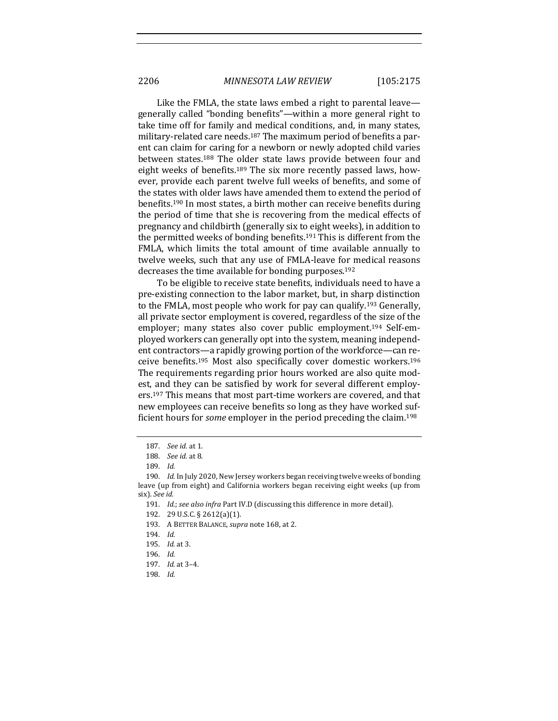Like the FMLA, the state laws embed a right to parental leave generally called "bonding benefits"—within a more general right to take time off for family and medical conditions, and, in many states, military-related care needs.<sup>187</sup> The maximum period of benefits a parent can claim for caring for a newborn or newly adopted child varies between states.<sup>188</sup> The older state laws provide between four and eight weeks of benefits.<sup>189</sup> The six more recently passed laws, however, provide each parent twelve full weeks of benefits, and some of the states with older laws have amended them to extend the period of benefits.<sup>190</sup> In most states, a birth mother can receive benefits during the period of time that she is recovering from the medical effects of pregnancy and childbirth (generally six to eight weeks), in addition to the permitted weeks of bonding benefits.<sup>191</sup> This is different from the FMLA, which limits the total amount of time available annually to twelve weeks, such that any use of FMLA-leave for medical reasons decreases the time available for bonding purposes.<sup>192</sup>

To be eligible to receive state benefits, individuals need to have a pre-existing connection to the labor market, but, in sharp distinction to the FMLA, most people who work for pay can qualify.<sup>193</sup> Generally, all private sector employment is covered, regardless of the size of the employer; many states also cover public employment.<sup>194</sup> Self-employed workers can generally opt into the system, meaning independent contractors—a rapidly growing portion of the workforce—can receive benefits.<sup>195</sup> Most also specifically cover domestic workers.<sup>196</sup> The requirements regarding prior hours worked are also quite modest, and they can be satisfied by work for several different employers.<sup>197</sup> This means that most part-time workers are covered, and that new employees can receive benefits so long as they have worked sufficient hours for *some* employer in the period preceding the claim.<sup>198</sup>

193. A BETTER BALANCE, *supra* note 168, at 2.

196. *Id.*

198. *Id.*

<sup>187.</sup> *See id.* at 1.

<sup>188.</sup> *See id.* at 8.

<sup>189.</sup> *Id.*

<sup>190.</sup> *Id.* In July 2020, New Jersey workers began receiving twelve weeks of bonding leave (up from eight) and California workers began receiving eight weeks (up from six). See id.

<sup>191.</sup> *Id.*; see also infra Part IV.D (discussing this difference in more detail).

<sup>192. 29</sup> U.S.C. § 2612(a)(1).

<sup>194.</sup> *Id.*

<sup>195.</sup> *Id.* at 3.

<sup>197.</sup> *Id.* at 3-4.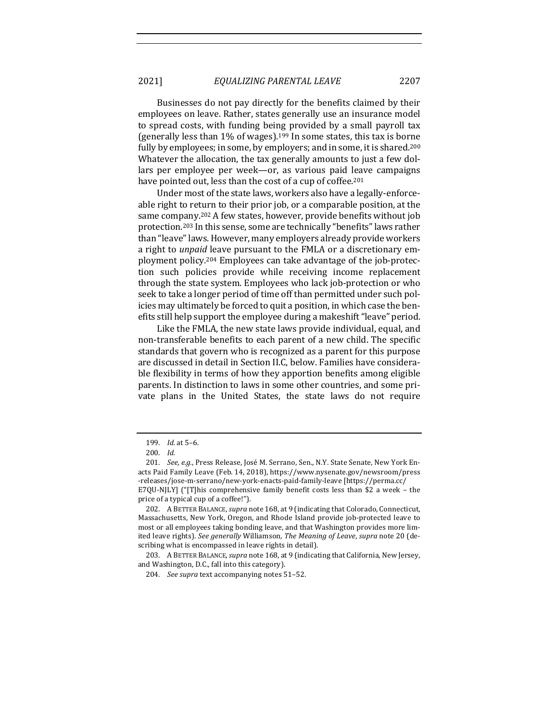2021] *EQUALIZING PARENTAL LEAVE* 2207

Businesses do not pay directly for the benefits claimed by their employees on leave. Rather, states generally use an insurance model to spread costs, with funding being provided by a small payroll tax (generally less than  $1\%$  of wages).<sup>199</sup> In some states, this tax is borne fully by employees; in some, by employers; and in some, it is shared.<sup>200</sup> Whatever the allocation, the tax generally amounts to just a few dollars per employee per week—or, as various paid leave campaigns have pointed out, less than the cost of a cup of coffee.<sup>201</sup>

Under most of the state laws, workers also have a legally-enforceable right to return to their prior job, or a comparable position, at the same company.<sup>202</sup> A few states, however, provide benefits without job protection.<sup>203</sup> In this sense, some are technically "benefits" laws rather than "leave" laws. However, many employers already provide workers a right to *unpaid* leave pursuant to the FMLA or a discretionary employment policy.<sup>204</sup> Employees can take advantage of the job-protection such policies provide while receiving income replacement through the state system. Employees who lack job-protection or who seek to take a longer period of time off than permitted under such policies may ultimately be forced to quit a position, in which case the benefits still help support the employee during a makeshift "leave" period.

Like the FMLA, the new state laws provide individual, equal, and non-transferable benefits to each parent of a new child. The specific standards that govern who is recognized as a parent for this purpose are discussed in detail in Section II.C, below. Families have considerable flexibility in terms of how they apportion benefits among eligible parents. In distinction to laws in some other countries, and some private plans in the United States, the state laws do not require

<sup>199.</sup> *Id.* at 5-6.

<sup>200.</sup> *Id.*

<sup>201.</sup> *See, e.g.*, Press Release, José M. Serrano, Sen., N.Y. State Senate, New York Enacts Paid Family Leave (Feb. 14, 2018), https://www.nysenate.gov/newsroom/press -releases/jose-m-serrano/new-york-enacts-paid-family-leave [https://perma.cc/ E7QU-NJLY] ("[T]his comprehensive family benefit costs less than \$2 a week - the

price of a typical cup of a coffee!").

<sup>202.</sup> A BETTER BALANCE, *supra* note 168, at 9 (indicating that Colorado, Connecticut, Massachusetts, New York, Oregon, and Rhode Island provide job-protected leave to most or all employees taking bonding leave, and that Washington provides more limited leave rights). See generally Williamson, The Meaning of Leave, supra note 20 (describing what is encompassed in leave rights in detail).

<sup>203.</sup> A BETTER BALANCE, *supra* note 168, at 9 (indicating that California, New Jersey, and Washington, D.C., fall into this category).

<sup>204.</sup> *See supra* text accompanying notes 51-52.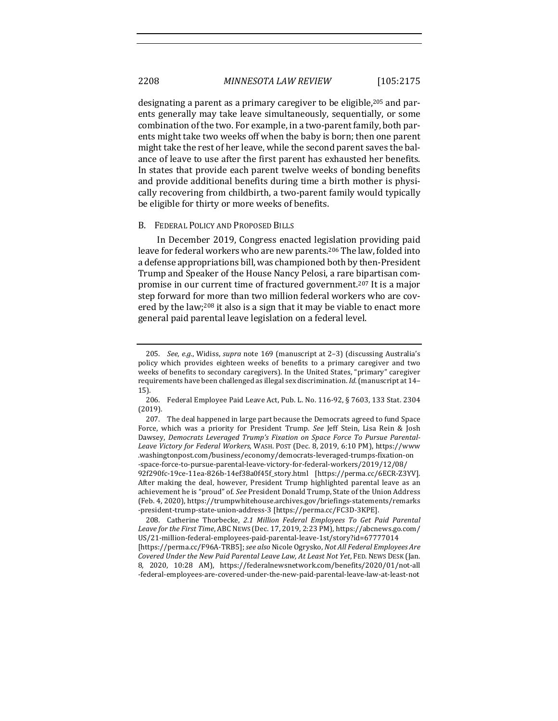designating a parent as a primary caregiver to be eligible,  $205$  and parents generally may take leave simultaneously, sequentially, or some combination of the two. For example, in a two-parent family, both parents might take two weeks off when the baby is born; then one parent might take the rest of her leave, while the second parent saves the balance of leave to use after the first parent has exhausted her benefits. In states that provide each parent twelve weeks of bonding benefits and provide additional benefits during time a birth mother is physically recovering from childbirth, a two-parent family would typically be eligible for thirty or more weeks of benefits.

#### B. FEDERAL POLICY AND PROPOSED BILLS

In December 2019, Congress enacted legislation providing paid leave for federal workers who are new parents.<sup>206</sup> The law, folded into a defense appropriations bill, was championed both by then-President Trump and Speaker of the House Nancy Pelosi, a rare bipartisan compromise in our current time of fractured government.<sup>207</sup> It is a major step forward for more than two million federal workers who are covered by the law;<sup>208</sup> it also is a sign that it may be viable to enact more general paid parental leave legislation on a federal level.

After making the deal, however, President Trump highlighted parental leave as an achievement he is "proud" of. See President Donald Trump, State of the Union Address (Feb. 4, 2020), https://trumpwhitehouse.archives.gov/briefings-statements/remarks -president-trump-state-union-address-3 [https://perma.cc/FC3D-3KPE].

208. Catherine Thorbecke, 2.1 Million Federal Employees To Get Paid Parental *Leave for the First Time*, ABC NEWS (Dec. 17, 2019, 2:23 PM), https://abcnews.go.com/ US/21-million-federal-employees-paid-parental-leave-1st/story?id=67777014 [https://perma.cc/F96A-TRB5]; *see also* Nicole Ogrysko, *Not All Federal Employees Are Covered Under the New Paid Parental Leave Law, At Least Not Yet, FED. NEWS DESK (Jan.* 8, 2020, 10:28 AM), https://federalnewsnetwork.com/benefits/2020/01/not-all -federal-employees-are-covered-under-the-new-paid-parental-leave-law-at-least-not

<sup>205.</sup> *See, e.g.*, Widiss, *supra* note 169 (manuscript at 2-3) (discussing Australia's policy which provides eighteen weeks of benefits to a primary caregiver and two weeks of benefits to secondary caregivers). In the United States, "primary" caregiver requirements have been challenged as illegal sex discrimination. *Id.* (manuscript at 14-15).

<sup>206.</sup> Federal Employee Paid Leave Act, Pub. L. No. 116-92, § 7603, 133 Stat. 2304 (2019).

<sup>207.</sup> The deal happened in large part because the Democrats agreed to fund Space Force, which was a priority for President Trump. See Jeff Stein, Lisa Rein & Josh Dawsey, Democrats Leveraged Trump's Fixation on Space Force To Pursue Parental-Leave Victory for Federal Workers, WASH. POST (Dec. 8, 2019, 6:10 PM), https://www .washingtonpost.com/business/economy/democrats-leveraged-trumps-fixation-on -space-force-to-pursue-parental-leave-victory-for-federal-workers/2019/12/08/ 92f290fc-19ce-11ea-826b-14ef38a0f45f\_story.html [https://perma.cc/6ECR-Z3YV].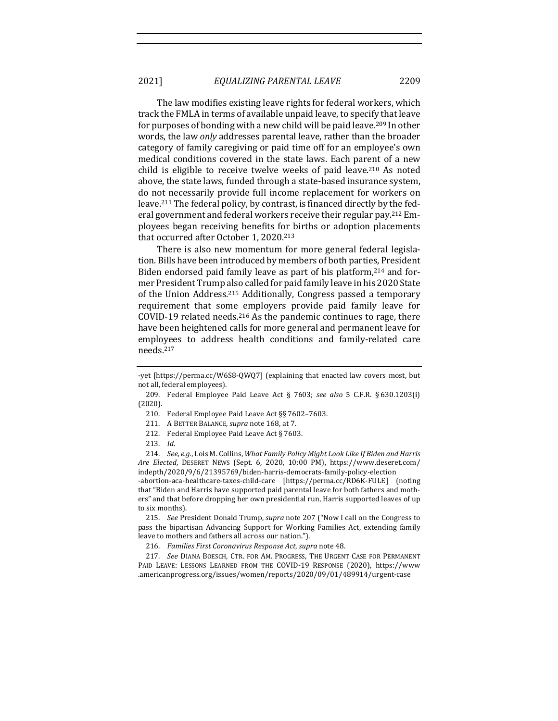The law modifies existing leave rights for federal workers, which track the FMLA in terms of available unpaid leave, to specify that leave for purposes of bonding with a new child will be paid leave.<sup>209</sup> In other words, the law *only* addresses parental leave, rather than the broader category of family caregiving or paid time off for an employee's own medical conditions covered in the state laws. Each parent of a new child is eligible to receive twelve weeks of paid leave.<sup>210</sup> As noted above, the state laws, funded through a state-based insurance system, do not necessarily provide full income replacement for workers on leave.<sup>211</sup> The federal policy, by contrast, is financed directly by the federal government and federal workers receive their regular pay.<sup>212</sup> Employees began receiving benefits for births or adoption placements that occurred after October 1, 2020.<sup>213</sup>

There is also new momentum for more general federal legislation. Bills have been introduced by members of both parties, President Biden endorsed paid family leave as part of his platform, $214$  and former President Trump also called for paid family leave in his 2020 State of the Union Address.<sup>215</sup> Additionally, Congress passed a temporary requirement that some employers provide paid family leave for COVID-19 related needs.<sup>216</sup> As the pandemic continues to rage, there have been heightened calls for more general and permanent leave for employees to address health conditions and family-related care needs.217

- 210. Federal Employee Paid Leave Act §§ 7602-7603.
- 211. A BETTER BALANCE, *supra* note 168, at 7.
- 212. Federal Employee Paid Leave Act  $\S 7603$ .
- 213. *Id*.

214. *See, e.g.*, Lois M. Collins, *What Family Policy Might Look Like If Biden and Harris Are Elected*, DESERET NEWS (Sept. 6, 2020, 10:00 PM), https://www.deseret.com/ indepth/2020/9/6/21395769/biden-harris-democrats-family-policy-election

-abortion-aca-healthcare-taxes-child-care [https://perma.cc/RD6K-FULE] (noting that "Biden and Harris have supported paid parental leave for both fathers and mothers" and that before dropping her own presidential run, Harris supported leaves of up to six months).

215. *See* President Donald Trump, *supra* note 207 ("Now I call on the Congress to pass the bipartisan Advancing Support for Working Families Act, extending family leave to mothers and fathers all across our nation.").

216. Families First Coronavirus Response Act, supra note 48.

217. *See* DIANA BOESCH, CTR. FOR AM. PROGRESS, THE URGENT CASE FOR PERMANENT PAID LEAVE: LESSONS LEARNED FROM THE COVID-19 RESPONSE (2020), https://www .americanprogress.org/issues/women/reports/2020/09/01/489914/urgent-case

<sup>-</sup>yet [https://perma.cc/W6S8-QWQ7] (explaining that enacted law covers most, but not all, federal employees).

<sup>209.</sup> Federal Employee Paid Leave Act § 7603; see also 5 C.F.R. § 630.1203(i) (2020).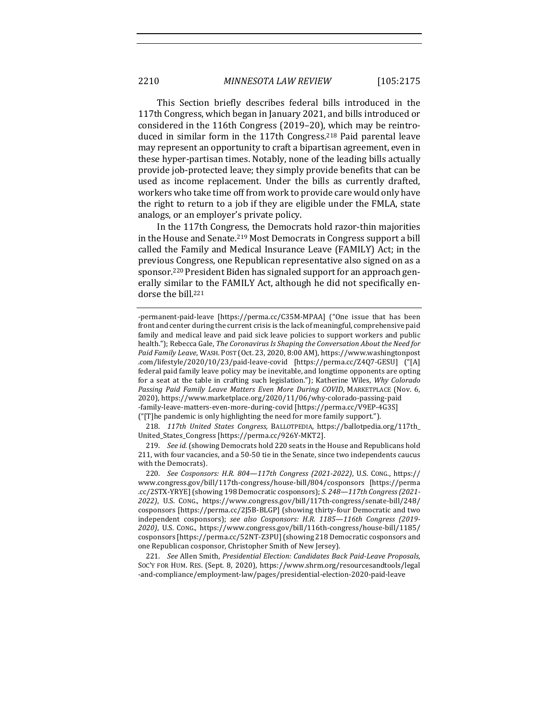This Section briefly describes federal bills introduced in the 117th Congress, which began in January 2021, and bills introduced or considered in the 116th Congress (2019-20), which may be reintroduced in similar form in the 117th Congress.<sup>218</sup> Paid parental leave may represent an opportunity to craft a bipartisan agreement, even in these hyper-partisan times. Notably, none of the leading bills actually provide job-protected leave; they simply provide benefits that can be used as income replacement. Under the bills as currently drafted, workers who take time off from work to provide care would only have the right to return to a job if they are eligible under the FMLA, state analogs, or an employer's private policy.

In the 117th Congress, the Democrats hold razor-thin majorities in the House and Senate.<sup>219</sup> Most Democrats in Congress support a bill called the Family and Medical Insurance Leave (FAMILY) Act; in the previous Congress, one Republican representative also signed on as a sponsor.<sup>220</sup> President Biden has signaled support for an approach generally similar to the FAMILY Act, although he did not specifically endorse the bill.<sup>221</sup>

218. 117th United States Congress, BALLOTPEDIA, https://ballotpedia.org/117th\_ United\_States\_Congress [https://perma.cc/926Y-MKT2].

219. *See id.* (showing Democrats hold 220 seats in the House and Republicans hold 211, with four vacancies, and a 50-50 tie in the Senate, since two independents caucus with the Democrats).

220. *See Cosponsors: H.R. 804—117th Congress (2021-2022)*, U.S. CONG., https:// www.congress.gov/bill/117th-congress/house-bill/804/cosponsors [https://perma .cc/2STX-YRYE] (showing 198 Democratic cosponsors); *S. 248-117th Congress (2021-2022)*, U.S. CONG., https://www.congress.gov/bill/117th-congress/senate-bill/248/ cosponsors [https://perma.cc/2J5B-BLGP] (showing thirty-four Democratic and two independent cosponsors); see also *Cosponsors: H.R.* 1185—116th *Congress* (2019-*2020)*, U.S. CONG., https://www.congress.gov/bill/116th-congress/house-bill/1185/ cosponsors [https://perma.cc/52NT-Z3PU] (showing 218 Democratic cosponsors and one Republican cosponsor, Christopher Smith of New Jersey).

221. *See Allen Smith, Presidential Election: Candidates Back Paid-Leave Proposals,* SOC'Y FOR HUM. RES. (Sept. 8, 2020), https://www.shrm.org/resourcesandtools/legal -and-compliance/employment-law/pages/presidential-election-2020-paid-leave

<sup>-</sup>permanent-paid-leave [https://perma.cc/C35M-MPAA] ("One issue that has been front and center during the current crisis is the lack of meaningful, comprehensive paid family and medical leave and paid sick leave policies to support workers and public health."); Rebecca Gale, *The Coronavirus Is Shaping the Conversation About the Need for* Paid Family Leave, WASH. POST (Oct. 23, 2020, 8:00 AM), https://www.washingtonpost .com/lifestyle/2020/10/23/paid-leave-covid [https://perma.cc/Z4Q7-GESU] ("[A] federal paid family leave policy may be inevitable, and longtime opponents are opting for a seat at the table in crafting such legislation."); Katherine Wiles, *Why Colorado* Passing Paid Family Leave Matters Even More During COVID, MARKETPLACE (Nov. 6, 2020), https://www.marketplace.org/2020/11/06/why-colorado-passing-paid -family-leave-matters-even-more-during-covid [https://perma.cc/V9EP-4G3S] ("[T]he pandemic is only highlighting the need for more family support.").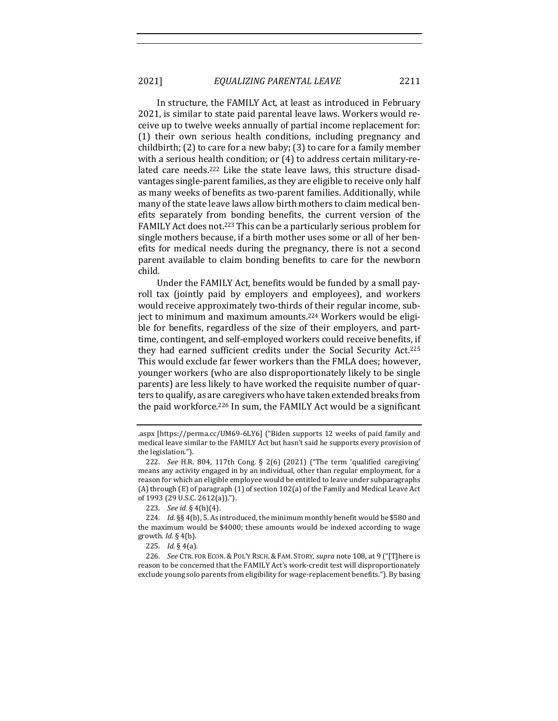In structure, the FAMILY Act, at least as introduced in February 2021, is similar to state paid parental leave laws. Workers would receive up to twelve weeks annually of partial income replacement for: (1) their own serious health conditions, including pregnancy and childbirth;  $(2)$  to care for a new baby;  $(3)$  to care for a family member with a serious health condition; or  $(4)$  to address certain military-related care needs.<sup>222</sup> Like the state leave laws, this structure disadvantages single-parent families, as they are eligible to receive only half as many weeks of benefits as two-parent families. Additionally, while many of the state leave laws allow birth mothers to claim medical benefits separately from bonding benefits, the current version of the FAMILY Act does not.<sup>223</sup> This can be a particularly serious problem for single mothers because, if a birth mother uses some or all of her benefits for medical needs during the pregnancy, there is not a second parent available to claim bonding benefits to care for the newborn child. 

Under the FAMILY Act, benefits would be funded by a small payroll tax (jointly paid by employers and employees), and workers would receive approximately two-thirds of their regular income, subject to minimum and maximum amounts.<sup>224</sup> Workers would be eligible for benefits, regardless of the size of their employers, and parttime, contingent, and self-employed workers could receive benefits, if they had earned sufficient credits under the Social Security Act.<sup>225</sup> This would exclude far fewer workers than the FMLA does; however, younger workers (who are also disproportionately likely to be single parents) are less likely to have worked the requisite number of quarters to qualify, as are caregivers who have taken extended breaks from the paid workforce.<sup>226</sup> In sum, the FAMILY Act would be a significant

<sup>.</sup>aspx [https://perma.cc/UM69-6LY6] ("Biden supports 12 weeks of paid family and medical leave similar to the FAMILY Act but hasn't said he supports every provision of the legislation.").

<sup>222.</sup> *See* H.R. 804, 117th Cong. § 2(6) (2021) ("The term 'qualified caregiving' means any activity engaged in by an individual, other than regular employment, for a reason for which an eligible employee would be entitled to leave under subparagraphs (A) through  $(E)$  of paragraph  $(1)$  of section  $102(a)$  of the Family and Medical Leave Act of 1993 (29 U.S.C. 2612(a)).").

<sup>223.</sup> *See id.* § 4(b)(4).

<sup>224.</sup> *Id.* §§ 4(b), 5. As introduced, the minimum monthly benefit would be \$580 and the maximum would be \$4000; these amounts would be indexed according to wage growth. *Id.* § 4(b).

<sup>225.</sup> *Id.* § 4(a).

<sup>226.</sup> *See* CTR. FOR ECON. & POL'Y RSCH. & FAM. STORY, *supra* note 108, at 9 ("[T]here is reason to be concerned that the FAMILY Act's work-credit test will disproportionately exclude young solo parents from eligibility for wage-replacement benefits."). By basing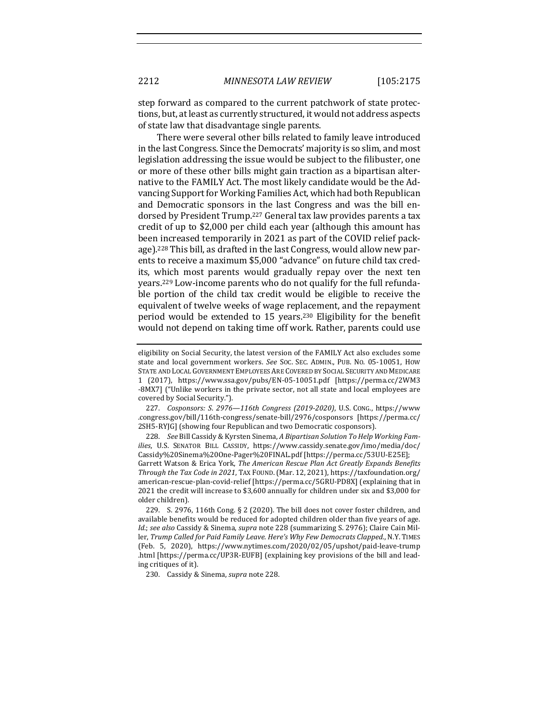step forward as compared to the current patchwork of state protections, but, at least as currently structured, it would not address aspects of state law that disadvantage single parents.

There were several other bills related to family leave introduced in the last Congress. Since the Democrats' majority is so slim, and most legislation addressing the issue would be subject to the filibuster, one or more of these other bills might gain traction as a bipartisan alternative to the FAMILY Act. The most likely candidate would be the Advancing Support for Working Families Act, which had both Republican and Democratic sponsors in the last Congress and was the bill endorsed by President Trump.<sup>227</sup> General tax law provides parents a tax credit of up to \$2,000 per child each year (although this amount has been increased temporarily in 2021 as part of the COVID relief package).<sup>228</sup> This bill, as drafted in the last Congress, would allow new parents to receive a maximum \$5,000 "advance" on future child tax credits, which most parents would gradually repay over the next ten years.<sup>229</sup> Low-income parents who do not qualify for the full refundable portion of the child tax credit would be eligible to receive the equivalent of twelve weeks of wage replacement, and the repayment period would be extended to 15 years.<sup>230</sup> Eligibility for the benefit would not depend on taking time off work. Rather, parents could use

227. *Cosponsors: S*. *2976—116th Congress (2019-2020)*, U.S. CONG., https://www .congress.gov/bill/116th-congress/senate-bill/2976/cosponsors [https://perma.cc/ 2SH5-RYJG] (showing four Republican and two Democratic cosponsors).

228. See Bill Cassidy & Kyrsten Sinema, A Bipartisan Solution To Help Working Fam*ilies*, U.S. SENATOR BILL CASSIDY, https://www.cassidy.senate.gov/imo/media/doc/ Cassidy%20Sinema%20One-Pager%20FINAL.pdf [https://perma.cc/53UU-E25E]; Garrett Watson & Erica York, *The American Rescue Plan Act Greatly Expands Benefits Through the Tax Code in 2021*, TAX FOUND. (Mar. 12, 2021), https://taxfoundation.org/ american-rescue-plan-covid-relief [https://perma.cc/5GRU-PD8X] (explaining that in 2021 the credit will increase to \$3,600 annually for children under six and \$3,000 for older children).

229. S. 2976, 116th Cong. § 2 (2020). The bill does not cover foster children, and available benefits would be reduced for adopted children older than five years of age. *Id.*; see also Cassidy & Sinema, *supra* note 228 (summarizing S. 2976); Claire Cain Miller, Trump Called for Paid Family Leave. Here's Why Few Democrats Clapped., N.Y. TIMES (Feb. 5, 2020), https://www.nytimes.com/2020/02/05/upshot/paid-leave-trump .html [https://perma.cc/UP3R-EUFB] (explaining key provisions of the bill and leading critiques of it).

230. Cassidy & Sinema, *supra* note 228.

eligibility on Social Security, the latest version of the FAMILY Act also excludes some state and local government workers. See Soc. SEC. ADMIN., PUB. No. 05-10051, How STATE AND LOCAL GOVERNMENT EMPLOYEES ARE COVERED BY SOCIAL SECURITY AND MEDICARE 1 (2017), https://www.ssa.gov/pubs/EN-05-10051.pdf [https://perma.cc/2WM3 -8MX7] ("Unlike workers in the private sector, not all state and local employees are covered by Social Security.").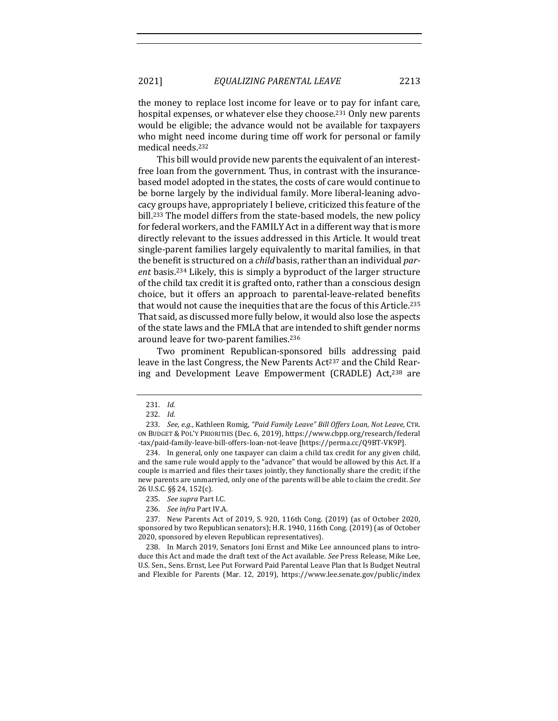the money to replace lost income for leave or to pay for infant care, hospital expenses, or whatever else they choose.<sup>231</sup> Only new parents would be eligible; the advance would not be available for taxpayers who might need income during time off work for personal or family medical needs.<sup>232</sup>

This bill would provide new parents the equivalent of an interestfree loan from the government. Thus, in contrast with the insurancebased model adopted in the states, the costs of care would continue to be borne largely by the individual family. More liberal-leaning advocacy groups have, appropriately I believe, criticized this feature of the bill.<sup>233</sup> The model differs from the state-based models, the new policy for federal workers, and the FAMILY Act in a different way that is more directly relevant to the issues addressed in this Article. It would treat single-parent families largely equivalently to marital families, in that the benefit is structured on a *child* basis, rather than an individual par*ent* basis.<sup>234</sup> Likely, this is simply a byproduct of the larger structure of the child tax credit it is grafted onto, rather than a conscious design choice, but it offers an approach to parental-leave-related benefits that would not cause the inequities that are the focus of this Article.<sup>235</sup> That said, as discussed more fully below, it would also lose the aspects of the state laws and the FMLA that are intended to shift gender norms around leave for two-parent families.<sup>236</sup>

Two prominent Republican-sponsored bills addressing paid leave in the last Congress, the New Parents Act<sup>237</sup> and the Child Rearing and Development Leave Empowerment (CRADLE) Act,<sup>238</sup> are

238. In March 2019, Senators Joni Ernst and Mike Lee announced plans to introduce this Act and made the draft text of the Act available. See Press Release, Mike Lee, U.S. Sen., Sens. Ernst, Lee Put Forward Paid Parental Leave Plan that Is Budget Neutral and Flexible for Parents (Mar. 12, 2019), https://www.lee.senate.gov/public/index

<sup>231.</sup> *Id.*

<sup>232.</sup> *Id.*

<sup>233.</sup> See, e.g., Kathleen Romig, "Paid Family Leave" Bill Offers Loan, Not Leave, CTR. ON BUDGET & POL'Y PRIORITIES (Dec. 6, 2019), https://www.cbpp.org/research/federal -tax/paid-family-leave-bill-offers-loan-not-leave [https://perma.cc/Q9BT-VK9P].

<sup>234.</sup> In general, only one taxpayer can claim a child tax credit for any given child, and the same rule would apply to the "advance" that would be allowed by this Act. If a couple is married and files their taxes jointly, they functionally share the credit; if the new parents are unmarried, only one of the parents will be able to claim the credit. See 26 U.S.C. §§ 24, 152(c).

<sup>235.</sup> See supra Part I.C.

<sup>236.</sup> *See infra Part IV.A.* 

<sup>237.</sup> New Parents Act of 2019, S. 920, 116th Cong. (2019) (as of October 2020, sponsored by two Republican senators); H.R. 1940, 116th Cong. (2019) (as of October 2020, sponsored by eleven Republican representatives).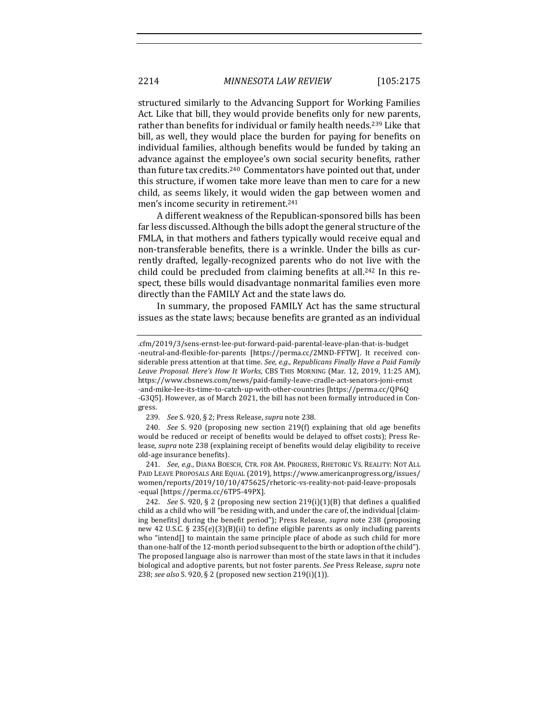structured similarly to the Advancing Support for Working Families Act. Like that bill, they would provide benefits only for new parents, rather than benefits for individual or family health needs.<sup>239</sup> Like that bill, as well, they would place the burden for paying for benefits on individual families, although benefits would be funded by taking an advance against the employee's own social security benefits, rather than future tax credits.<sup>240</sup> Commentators have pointed out that, under this structure, if women take more leave than men to care for a new child, as seems likely, it would widen the gap between women and men's income security in retirement.<sup>241</sup>

A different weakness of the Republican-sponsored bills has been far less discussed. Although the bills adopt the general structure of the FMLA, in that mothers and fathers typically would receive equal and non-transferable benefits, there is a wrinkle. Under the bills as currently drafted, legally-recognized parents who do not live with the child could be precluded from claiming benefits at all.<sup>242</sup> In this respect, these bills would disadvantage nonmarital families even more directly than the FAMILY Act and the state laws do.

In summary, the proposed FAMILY Act has the same structural issues as the state laws; because benefits are granted as an individual

241. *See, e.g.*, DIANA BOESCH, CTR. FOR AM. PROGRESS, RHETORIC VS. REALITY: NOT ALL PAID LEAVE PROPOSALS ARE EQUAL (2019), https://www.americanprogress.org/issues/ women/reports/2019/10/10/475625/rhetoric-vs-reality-not-paid-leave-proposals -equal [https://perma.cc/6TP5-49PX].

<sup>.</sup>cfm/2019/3/sens-ernst-lee-put-forward-paid-parental-leave-plan-that-is-budget -neutral-and-flexible-for-parents [https://perma.cc/2MND-FFTW]. It received considerable press attention at that time. See, e.g., Republicans Finally Have a Paid Family Leave Proposal. Here's How It Works, CBS THIS MORNING (Mar. 12, 2019, 11:25 AM), https://www.cbsnews.com/news/paid-family-leave-cradle-act-senators-joni-ernst -and-mike-lee-its-time-to-catch-up-with-other-countries [https://perma.cc/QP6Q -G3Q5]. However, as of March 2021, the bill has not been formally introduced in Congress.

<sup>239.</sup> *See* S. 920, § 2; Press Release, *supra* note 238.

<sup>240.</sup> *See* S. 920 (proposing new section 219(f) explaining that old age benefits would be reduced or receipt of benefits would be delayed to offset costs); Press Release, *supra* note 238 (explaining receipt of benefits would delay eligibility to receive old-age insurance benefits).

<sup>242.</sup> *See* S. 920, § 2 (proposing new section  $219(i)(1)(B)$  that defines a qualified child as a child who will "be residing with, and under the care of, the individual [claiming benefits] during the benefit period"); Press Release, *supra* note 238 (proposing new 42 U.S.C. § 235(e)(3)(B)(ii) to define eligible parents as only including parents who "intend $[]$  to maintain the same principle place of abode as such child for more than one-half of the 12-month period subsequent to the birth or adoption of the child"). The proposed language also is narrower than most of the state laws in that it includes biological and adoptive parents, but not foster parents. *See* Press Release, *supra* note 238; *see also* S. 920, § 2 (proposed new section 219(i)(1)).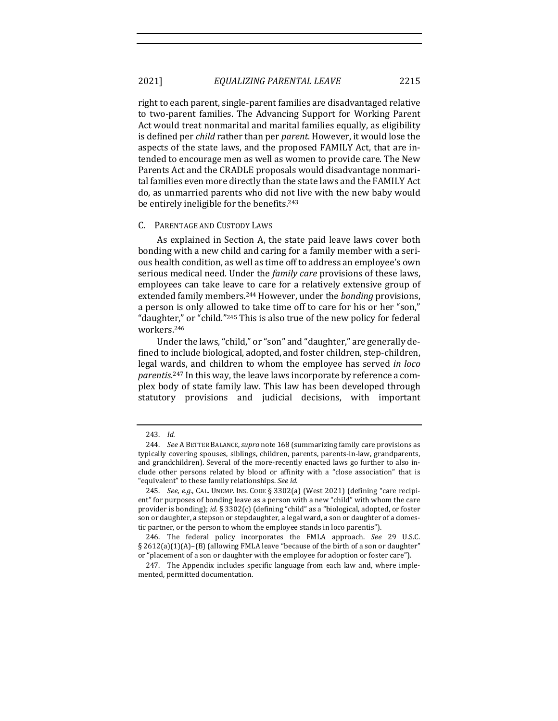right to each parent, single-parent families are disadvantaged relative to two-parent families. The Advancing Support for Working Parent Act would treat nonmarital and marital families equally, as eligibility is defined per *child* rather than per *parent*. However, it would lose the aspects of the state laws, and the proposed FAMILY Act, that are intended to encourage men as well as women to provide care. The New Parents Act and the CRADLE proposals would disadvantage nonmarital families even more directly than the state laws and the FAMILY Act do, as unmarried parents who did not live with the new baby would be entirely ineligible for the benefits.<sup>243</sup>

#### C. PARENTAGE AND CUSTODY LAWS

As explained in Section A, the state paid leave laws cover both bonding with a new child and caring for a family member with a serious health condition, as well as time off to address an employee's own serious medical need. Under the *family care* provisions of these laws, employees can take leave to care for a relatively extensive group of extended family members.<sup>244</sup> However, under the *bonding* provisions, a person is only allowed to take time off to care for his or her "son," "daughter," or "child."<sup>245</sup> This is also true of the new policy for federal workers.246

Under the laws, "child," or "son" and "daughter," are generally defined to include biological, adopted, and foster children, step-children, legal wards, and children to whom the employee has served *in loco* parentis.<sup>247</sup> In this way, the leave laws incorporate by reference a complex body of state family law. This law has been developed through statutory provisions and judicial decisions, with important

<sup>243.</sup> *Id.*

<sup>244.</sup> *See* A BETTER BALANCE, *supra* note 168 (summarizing family care provisions as typically covering spouses, siblings, children, parents, parents-in-law, grandparents, and grandchildren). Several of the more-recently enacted laws go further to also include other persons related by blood or affinity with a "close association" that is "equivalent" to these family relationships. See id.

<sup>245.</sup> *See, e.g.*, CAL. UNEMP. INS. CODE § 3302(a) (West 2021) (defining "care recipient" for purposes of bonding leave as a person with a new "child" with whom the care provider is bonding); *id.* § 3302(c) (defining "child" as a "biological, adopted, or foster son or daughter, a stepson or stepdaughter, a legal ward, a son or daughter of a domestic partner, or the person to whom the employee stands in loco parentis").

<sup>246.</sup> The federal policy incorporates the FMLA approach. See 29 U.S.C. § 2612(a)(1)(A)-(B) (allowing FMLA leave "because of the birth of a son or daughter" or "placement of a son or daughter with the employee for adoption or foster care").

<sup>247.</sup> The Appendix includes specific language from each law and, where implemented, permitted documentation.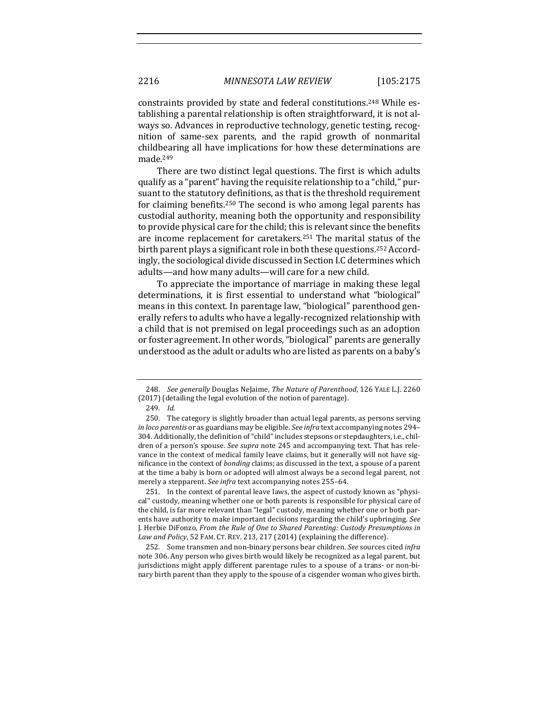constraints provided by state and federal constitutions.<sup>248</sup> While establishing a parental relationship is often straightforward, it is not always so. Advances in reproductive technology, genetic testing, recognition of same-sex parents, and the rapid growth of nonmarital childbearing all have implications for how these determinations are made.249

There are two distinct legal questions. The first is which adults qualify as a "parent" having the requisite relationship to a "child," pursuant to the statutory definitions, as that is the threshold requirement for claiming benefits.<sup>250</sup> The second is who among legal parents has custodial authority, meaning both the opportunity and responsibility to provide physical care for the child; this is relevant since the benefits are income replacement for caretakers.<sup>251</sup> The marital status of the birth parent plays a significant role in both these questions.<sup>252</sup> Accordingly, the sociological divide discussed in Section I.C determines which adults—and how many adults—will care for a new child.

To appreciate the importance of marriage in making these legal determinations, it is first essential to understand what "biological" means in this context. In parentage law, "biological" parenthood generally refers to adults who have a legally-recognized relationship with a child that is not premised on legal proceedings such as an adoption or foster agreement. In other words, "biological" parents are generally understood as the adult or adults who are listed as parents on a baby's

251. In the context of parental leave laws, the aspect of custody known as "physical" custody, meaning whether one or both parents is responsible for physical care of the child, is far more relevant than "legal" custody, meaning whether one or both parents have authority to make important decisions regarding the child's upbringing. See J. Herbie DiFonzo, *From the Rule of One to Shared Parenting: Custody Presumptions in* Law and Policy, 52 FAM. CT. REV. 213, 217 (2014) (explaining the difference).

252. Some transmen and non-binary persons bear children. *See* sources cited *infra* note 306. Any person who gives birth would likely be recognized as a legal parent, but jurisdictions might apply different parentage rules to a spouse of a trans- or non-binary birth parent than they apply to the spouse of a cisgender woman who gives birth.

<sup>248.</sup> *See generally* Douglas NeJaime, *The Nature of Parenthood*, 126 YALE L.J. 2260 (2017) (detailing the legal evolution of the notion of parentage).

<sup>249.</sup> *Id.*

<sup>250.</sup> The category is slightly broader than actual legal parents, as persons serving *in loco parentis* or as guardians may be eligible. See infra text accompanying notes 294– 304. Additionally, the definition of "child" includes stepsons or stepdaughters, i.e., children of a person's spouse. See supra note 245 and accompanying text. That has relevance in the context of medical family leave claims, but it generally will not have significance in the context of *bonding* claims; as discussed in the text, a spouse of a parent at the time a baby is born or adopted will almost always be a second legal parent, not merely a stepparent. See infra text accompanying notes 255-64.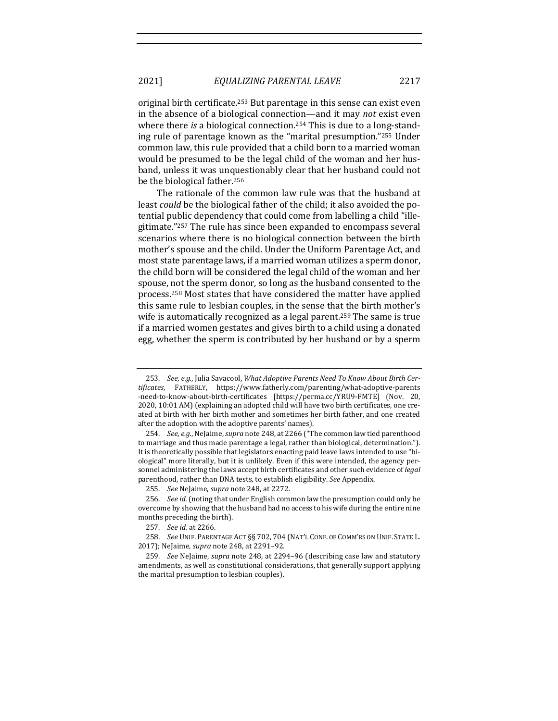original birth certificate.<sup>253</sup> But parentage in this sense can exist even in the absence of a biological connection—and it may *not* exist even where there *is* a biological connection.<sup>254</sup> This is due to a long-standing rule of parentage known as the "marital presumption."<sup>255</sup> Under common law, this rule provided that a child born to a married woman would be presumed to be the legal child of the woman and her husband, unless it was unquestionably clear that her husband could not be the biological father.<sup>256</sup>

The rationale of the common law rule was that the husband at least *could* be the biological father of the child; it also avoided the potential public dependency that could come from labelling a child "illegitimate."257 The rule has since been expanded to encompass several scenarios where there is no biological connection between the birth mother's spouse and the child. Under the Uniform Parentage Act, and most state parentage laws, if a married woman utilizes a sperm donor, the child born will be considered the legal child of the woman and her spouse, not the sperm donor, so long as the husband consented to the process.<sup>258</sup> Most states that have considered the matter have applied this same rule to lesbian couples, in the sense that the birth mother's wife is automatically recognized as a legal parent.<sup>259</sup> The same is true if a married women gestates and gives birth to a child using a donated egg, whether the sperm is contributed by her husband or by a sperm

<sup>253.</sup> See, e.g., Julia Savacool, What Adoptive Parents Need To Know About Birth Cer*tificates*, FATHERLY, https://www.fatherly.com/parenting/what-adoptive-parents -need-to-know-about-birth-certificates [https://perma.cc/YRU9-FMTE] (Nov. 20, 2020, 10:01 AM) (explaining an adopted child will have two birth certificates, one created at birth with her birth mother and sometimes her birth father, and one created after the adoption with the adoptive parents' names).

<sup>254.</sup> *See, e.g.*, NeJaime, *supra* note 248, at 2266 ("The common law tied parenthood to marriage and thus made parentage a legal, rather than biological, determination."). It is theoretically possible that legislators enacting paid leave laws intended to use "biological" more literally, but it is unlikely. Even if this were intended, the agency personnel administering the laws accept birth certificates and other such evidence of *legal* parenthood, rather than DNA tests, to establish eligibility. See Appendix.

<sup>255.</sup> *See* NeJaime, *supra* note 248, at 2272.

<sup>256.</sup> *See id.* (noting that under English common law the presumption could only be overcome by showing that the husband had no access to his wife during the entire nine months preceding the birth).

<sup>257.</sup> *See id.* at 2266.

<sup>258.</sup> *See* UNIF. PARENTAGE ACT §§ 702, 704 (NAT'L CONF. OF COMM'RS ON UNIF. STATE L. 2017); NeJaime, *supra* note 248, at 2291-92.

<sup>259.</sup> *See* NeJaime, *supra* note 248, at 2294-96 (describing case law and statutory amendments, as well as constitutional considerations, that generally support applying the marital presumption to lesbian couples).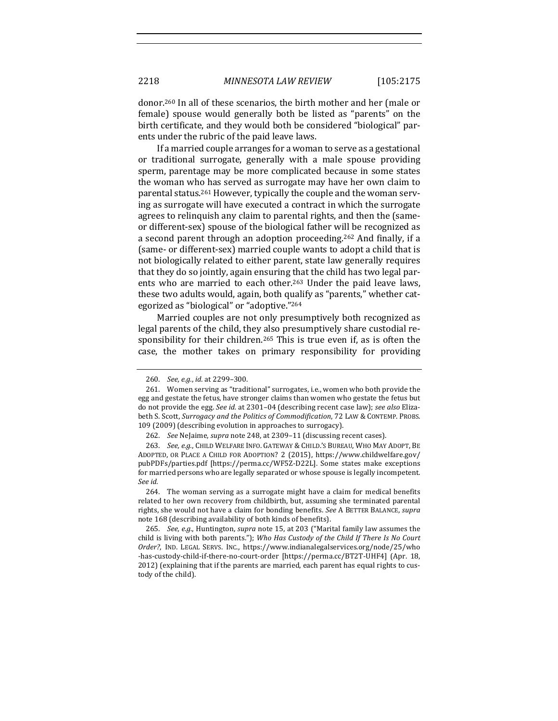donor.<sup>260</sup> In all of these scenarios, the birth mother and her (male or female) spouse would generally both be listed as "parents" on the birth certificate, and they would both be considered "biological" parents under the rubric of the paid leave laws.

If a married couple arranges for a woman to serve as a gestational or traditional surrogate, generally with a male spouse providing sperm, parentage may be more complicated because in some states the woman who has served as surrogate may have her own claim to parental status.<sup>261</sup> However, typically the couple and the woman serving as surrogate will have executed a contract in which the surrogate agrees to relinquish any claim to parental rights, and then the (sameor different-sex) spouse of the biological father will be recognized as a second parent through an adoption proceeding.<sup>262</sup> And finally, if a (same- or different-sex) married couple wants to adopt a child that is not biologically related to either parent, state law generally requires that they do so jointly, again ensuring that the child has two legal parents who are married to each other.<sup>263</sup> Under the paid leave laws, these two adults would, again, both qualify as "parents," whether categorized as "biological" or "adoptive."264

Married couples are not only presumptively both recognized as legal parents of the child, they also presumptively share custodial responsibility for their children.<sup>265</sup> This is true even if, as is often the case, the mother takes on primary responsibility for providing

<sup>260.</sup> *See, e.g., id.* at 2299-300.

<sup>261.</sup> Women serving as "traditional" surrogates, i.e., women who both provide the egg and gestate the fetus, have stronger claims than women who gestate the fetus but do not provide the egg. See id. at 2301–04 (describing recent case law); see also Elizabeth S. Scott, Surrogacy and the Politics of Commodification, 72 LAW & CONTEMP. PROBS. 109 (2009) (describing evolution in approaches to surrogacy).

<sup>262.</sup> *See* NeJaime, *supra* note 248, at 2309-11 (discussing recent cases).

<sup>263.</sup> *See, e.g.*, CHILD WELFARE INFO. GATEWAY & CHILD.'S BUREAU, WHO MAY ADOPT, BE ADOPTED, OR PLACE A CHILD FOR ADOPTION? 2 (2015), https://www.childwelfare.gov/ pubPDFs/parties.pdf [https://perma.cc/WF5Z-D22L]. Some states make exceptions for married persons who are legally separated or whose spouse is legally incompetent. *See id.*

<sup>264.</sup> The woman serving as a surrogate might have a claim for medical benefits related to her own recovery from childbirth, but, assuming she terminated parental rights, she would not have a claim for bonding benefits. See A BETTER BALANCE, supra note 168 (describing availability of both kinds of benefits).

<sup>265.</sup> *See, e.g.*, Huntington, *supra* note 15, at 203 ("Marital family law assumes the child is living with both parents."); Who Has Custody of the Child If There Is No Court *Order?*, IND. LEGAL SERVS. INC., https://www.indianalegalservices.org/node/25/who -has-custody-child-if-there-no-court-order [https://perma.cc/BT2T-UHF4] (Apr. 18, 2012) (explaining that if the parents are married, each parent has equal rights to custody of the child).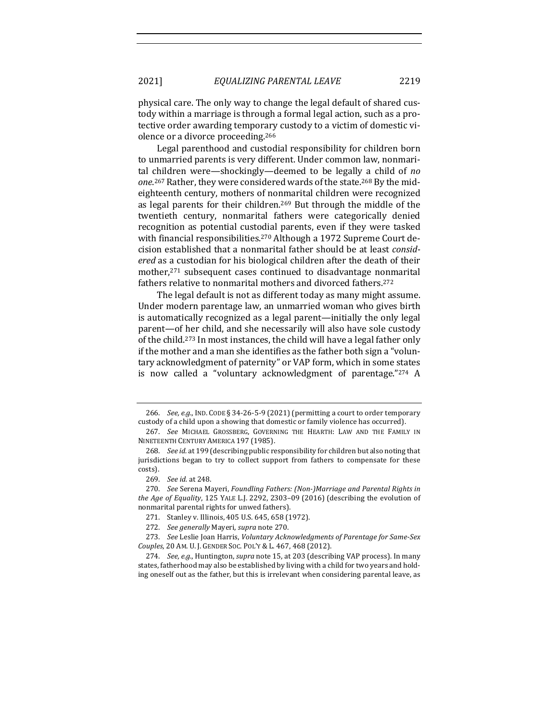physical care. The only way to change the legal default of shared custody within a marriage is through a formal legal action, such as a protective order awarding temporary custody to a victim of domestic violence or a divorce proceeding.<sup>266</sup>

Legal parenthood and custodial responsibility for children born to unmarried parents is very different. Under common law, nonmarital children were—shockingly—deemed to be legally a child of *no* one.<sup>267</sup> Rather, they were considered wards of the state.<sup>268</sup> By the mideighteenth century, mothers of nonmarital children were recognized as legal parents for their children.<sup>269</sup> But through the middle of the twentieth century, nonmarital fathers were categorically denied recognition as potential custodial parents, even if they were tasked with financial responsibilities.<sup>270</sup> Although a 1972 Supreme Court decision established that a nonmarital father should be at least *consid*ered as a custodian for his biological children after the death of their mother,<sup>271</sup> subsequent cases continued to disadvantage nonmarital fathers relative to nonmarital mothers and divorced fathers.<sup>272</sup>

The legal default is not as different today as many might assume. Under modern parentage law, an unmarried woman who gives birth is automatically recognized as a legal parent—initially the only legal parent—of her child, and she necessarily will also have sole custody of the child.<sup>273</sup> In most instances, the child will have a legal father only if the mother and a man she identifies as the father both sign a "voluntary acknowledgment of paternity" or VAP form, which in some states is now called a "voluntary acknowledgment of parentage." $274$  A

<sup>266.</sup> *See, e.g.*, IND. CODE § 34-26-5-9 (2021) (permitting a court to order temporary custody of a child upon a showing that domestic or family violence has occurred).

<sup>267.</sup> See MICHAEL GROSSBERG, GOVERNING THE HEARTH: LAW AND THE FAMILY IN NINETEENTH CENTURY AMERICA 197 (1985).

<sup>268.</sup> *See id.* at 199 (describing public responsibility for children but also noting that jurisdictions began to try to collect support from fathers to compensate for these costs).

<sup>269.</sup> *See id.* at 248.

<sup>270.</sup> *See* Serena Mayeri, *Foundling Fathers: (Non-)Marriage and Parental Rights in the Age of Equality*, 125 YALE L.J. 2292, 2303-09 (2016) (describing the evolution of nonmarital parental rights for unwed fathers).

<sup>271.</sup> Stanley v. Illinois, 405 U.S. 645, 658 (1972).

<sup>272.</sup> See generally Mayeri, supra note 270.

<sup>273.</sup> *See* Leslie Joan Harris, *Voluntary Acknowledgments of Parentage for Same-Sex Couples*, 20 AM. U. J. GENDER SOC. POL'Y & L. 467, 468 (2012).

<sup>274.</sup> *See, e.g.*, Huntington, *supra* note 15, at 203 (describing VAP process). In many states, fatherhood may also be established by living with a child for two years and holding oneself out as the father, but this is irrelevant when considering parental leave, as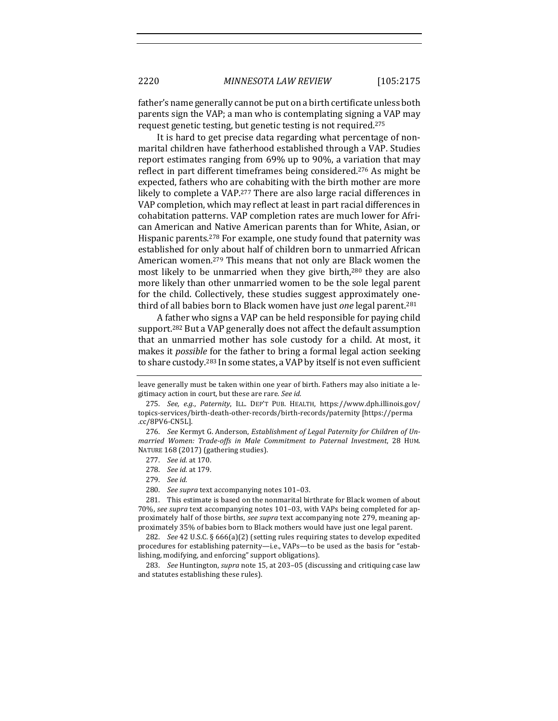father's name generally cannot be put on a birth certificate unless both parents sign the VAP; a man who is contemplating signing a VAP may request genetic testing, but genetic testing is not required.<sup>275</sup>

It is hard to get precise data regarding what percentage of nonmarital children have fatherhood established through a VAP. Studies report estimates ranging from 69% up to 90%, a variation that may reflect in part different timeframes being considered.<sup>276</sup> As might be expected, fathers who are cohabiting with the birth mother are more likely to complete a VAP.<sup>277</sup> There are also large racial differences in VAP completion, which may reflect at least in part racial differences in cohabitation patterns. VAP completion rates are much lower for African American and Native American parents than for White, Asian, or Hispanic parents.<sup>278</sup> For example, one study found that paternity was established for only about half of children born to unmarried African American women.<sup>279</sup> This means that not only are Black women the most likely to be unmarried when they give birth,<sup>280</sup> they are also more likely than other unmarried women to be the sole legal parent for the child. Collectively, these studies suggest approximately onethird of all babies born to Black women have just *one* legal parent.<sup>281</sup>

A father who signs a VAP can be held responsible for paying child support.<sup>282</sup> But a VAP generally does not affect the default assumption that an unmarried mother has sole custody for a child. At most, it makes it *possible* for the father to bring a formal legal action seeking to share custody.<sup>283</sup> In some states, a VAP by itself is not even sufficient

- 277. *See id.* at 170.
- 278. *See id.* at 179.
- 279. *See id.*
- 280. *See supra* text accompanying notes 101-03.

281. This estimate is based on the nonmarital birthrate for Black women of about 70%, see supra text accompanying notes 101–03, with VAPs being completed for approximately half of those births, *see supra* text accompanying note 279, meaning approximately 35% of babies born to Black mothers would have just one legal parent.

282. *See* 42 U.S.C. § 666(a)(2) (setting rules requiring states to develop expedited procedures for establishing paternity-i.e., VAPs-to be used as the basis for "establishing, modifying, and enforcing" support obligations).

283. *See* Huntington, *supra* note 15, at 203–05 (discussing and critiquing case law and statutes establishing these rules).

leave generally must be taken within one year of birth. Fathers may also initiate a legitimacy action in court, but these are rare. See id.

<sup>275.</sup> *See, e.g., Paternity, ILL. DEP'T PUB. HEALTH, https://www.dph.illinois.gov/* topics-services/birth-death-other-records/birth-records/paternity [https://perma .cc/8PV6-CN5L].

<sup>276.</sup> See Kermyt G. Anderson, *Establishment of Legal Paternity for Children of Unmarried Women: Trade-offs in Male Commitment to Paternal Investment*, 28 HUM. NATURE 168 (2017) (gathering studies).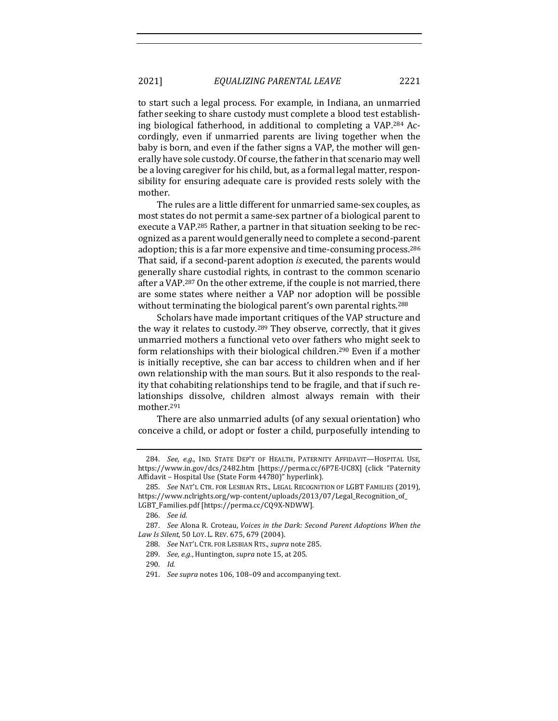to start such a legal process. For example, in Indiana, an unmarried father seeking to share custody must complete a blood test establishing biological fatherhood, in additional to completing a VAP.<sup>284</sup> Accordingly, even if unmarried parents are living together when the baby is born, and even if the father signs a VAP, the mother will generally have sole custody. Of course, the father in that scenario may well be a loving caregiver for his child, but, as a formal legal matter, responsibility for ensuring adequate care is provided rests solely with the mother. 

The rules are a little different for unmarried same-sex couples, as most states do not permit a same-sex partner of a biological parent to execute a VAP.<sup>285</sup> Rather, a partner in that situation seeking to be recognized as a parent would generally need to complete a second-parent adoption; this is a far more expensive and time-consuming process.<sup>286</sup> That said, if a second-parent adoption *is* executed, the parents would generally share custodial rights, in contrast to the common scenario after a VAP.<sup>287</sup> On the other extreme, if the couple is not married, there are some states where neither a VAP nor adoption will be possible without terminating the biological parent's own parental rights.<sup>288</sup>

Scholars have made important critiques of the VAP structure and the way it relates to custody.<sup>289</sup> They observe, correctly, that it gives unmarried mothers a functional veto over fathers who might seek to form relationships with their biological children.<sup>290</sup> Even if a mother is initially receptive, she can bar access to children when and if her own relationship with the man sours. But it also responds to the reality that cohabiting relationships tend to be fragile, and that if such relationships dissolve, children almost always remain with their mother.291

There are also unmarried adults (of any sexual orientation) who conceive a child, or adopt or foster a child, purposefully intending to

289. *See, e.g.*, Huntington, *supra* note 15, at 205.

<sup>284.</sup> *See, e.g.*, IND. STATE DEP'T OF HEALTH, PATERNITY AFFIDAVIT—HOSPITAL USE, https://www.in.gov/dcs/2482.htm [https://perma.cc/6P7E-UC8X] (click "Paternity Affidavit - Hospital Use (State Form 44780)" hyperlink).

<sup>285.</sup> *See* NAT'L CTR. FOR LESBIAN RTS., LEGAL RECOGNITION OF LGBT FAMILIES (2019), https://www.nclrights.org/wp-content/uploads/2013/07/Legal\_Recognition\_of\_ LGBT\_Families.pdf [https://perma.cc/CQ9X-NDWW].

<sup>286.</sup> *See id.*

<sup>287.</sup> *See* Alona R. Croteau, *Voices in the Dark: Second Parent Adoptions When the* Law *Is Silent*, 50 Loy. L. REV. 675, 679 (2004).

<sup>288.</sup> *See NAT'L CTR. FOR LESBIAN RTS., supra note* 285.

<sup>290.</sup> *Id.*

<sup>291.</sup> *See supra* notes 106, 108-09 and accompanying text.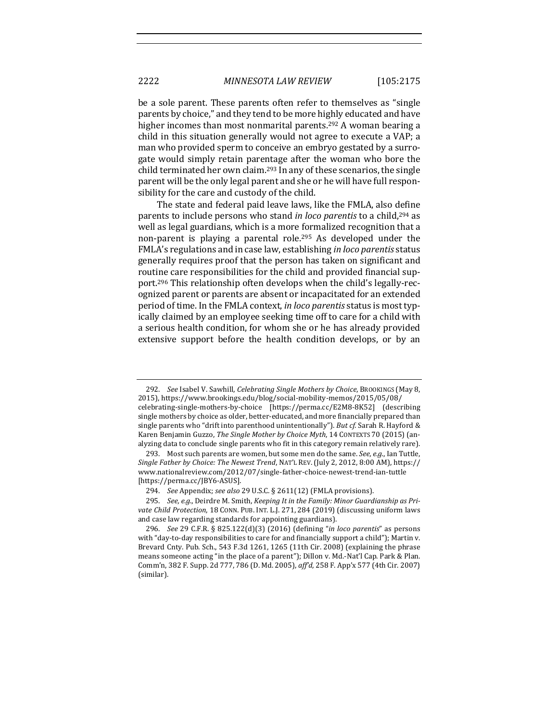be a sole parent. These parents often refer to themselves as "single parents by choice," and they tend to be more highly educated and have higher incomes than most nonmarital parents.<sup>292</sup> A woman bearing a child in this situation generally would not agree to execute a VAP; a man who provided sperm to conceive an embryo gestated by a surrogate would simply retain parentage after the woman who bore the child terminated her own claim.<sup>293</sup> In any of these scenarios, the single parent will be the only legal parent and she or he will have full responsibility for the care and custody of the child.

The state and federal paid leave laws, like the FMLA, also define parents to include persons who stand *in loco parentis* to a child,<sup>294</sup> as well as legal guardians, which is a more formalized recognition that a non-parent is playing a parental role.<sup>295</sup> As developed under the FMLA's regulations and in case law, establishing *in loco parentis* status generally requires proof that the person has taken on significant and routine care responsibilities for the child and provided financial support.<sup>296</sup> This relationship often develops when the child's legally-recognized parent or parents are absent or incapacitated for an extended period of time. In the FMLA context, *in loco parentis* status is most typically claimed by an employee seeking time off to care for a child with a serious health condition, for whom she or he has already provided extensive support before the health condition develops, or by an

<sup>292.</sup> *See* Isabel V. Sawhill, *Celebrating Single Mothers by Choice*, BROOKINGS (May 8, 2015), https://www.brookings.edu/blog/social-mobility-memos/2015/05/08/

celebrating-single-mothers-by-choice [https://perma.cc/E2M8-8K52] (describing single mothers by choice as older, better-educated, and more financially prepared than single parents who "drift into parenthood unintentionally"). *But cf.* Sarah R. Hayford & Karen Benjamin Guzzo, *The Single Mother by Choice Myth*, 14 CONTEXTS 70 (2015) (analyzing data to conclude single parents who fit in this category remain relatively rare).

<sup>293.</sup> Most such parents are women, but some men do the same. *See, e.g.*, Ian Tuttle, *Single Father by Choice: The Newest Trend*, NAT'L REV. (July 2, 2012, 8:00 AM), https:// www.nationalreview.com/2012/07/single-father-choice-newest-trend-ian-tuttle [https://perma.cc/JBY6-ASUS].

<sup>294.</sup> *See* Appendix; see also 29 U.S.C. § 2611(12) (FMLA provisions).

<sup>295.</sup> See, e.g., Deirdre M. Smith, *Keeping It in the Family: Minor Guardianship as Pri*vate Child Protection, 18 CONN. PUB. INT. L.J. 271, 284 (2019) (discussing uniform laws and case law regarding standards for appointing guardians).

<sup>296.</sup> *See* 29 C.F.R. § 825.122(d)(3) (2016) (defining "*in loco parentis*" as persons with "day-to-day responsibilities to care for and financially support a child"); Martin  $v$ . Brevard Cnty. Pub. Sch., 543 F.3d  $1261$ , 1265 (11th Cir. 2008) (explaining the phrase means someone acting "in the place of a parent"); Dillon v. Md.-Nat'l Cap. Park & Plan. Comm'n, 382 F. Supp. 2d 777, 786 (D. Md. 2005), aff'd, 258 F. App'x 577 (4th Cir. 2007) (similar).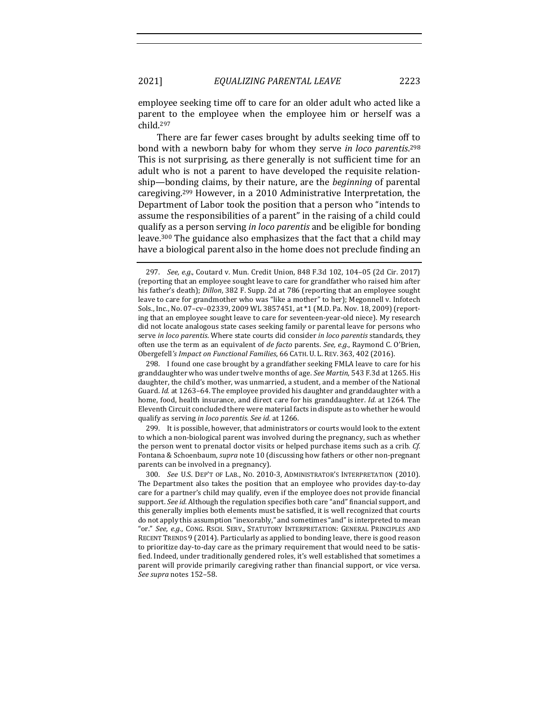employee seeking time off to care for an older adult who acted like a parent to the employee when the employee him or herself was a child.297

There are far fewer cases brought by adults seeking time off to bond with a newborn baby for whom they serve *in loco parentis*.<sup>298</sup> This is not surprising, as there generally is not sufficient time for an adult who is not a parent to have developed the requisite relationship—bonding claims, by their nature, are the *beginning* of parental caregiving.<sup>299</sup> However, in a 2010 Administrative Interpretation, the Department of Labor took the position that a person who "intends to assume the responsibilities of a parent" in the raising of a child could qualify as a person serving *in loco parentis* and be eligible for bonding leave.<sup>300</sup> The guidance also emphasizes that the fact that a child may have a biological parent also in the home does not preclude finding an

298. I found one case brought by a grandfather seeking FMLA leave to care for his granddaughter who was under twelve months of age. See Martin, 543 F.3d at 1265. His daughter, the child's mother, was unmarried, a student, and a member of the National Guard. *Id.* at 1263-64. The employee provided his daughter and granddaughter with a home, food, health insurance, and direct care for his granddaughter. *Id.* at 1264. The Eleventh Circuit concluded there were material facts in dispute as to whether he would qualify as serving *in loco parentis. See id.* at 1266.

299. It is possible, however, that administrators or courts would look to the extent to which a non-biological parent was involved during the pregnancy, such as whether the person went to prenatal doctor visits or helped purchase items such as a crib. *Cf.* Fontana & Schoenbaum, *supra* note 10 (discussing how fathers or other non-pregnant parents can be involved in a pregnancy).

<sup>297.</sup> *See, e.g.*, Coutard v. Mun. Credit Union, 848 F.3d 102, 104-05 (2d Cir. 2017) (reporting that an employee sought leave to care for grandfather who raised him after his father's death); *Dillon*, 382 F. Supp. 2d at 786 (reporting that an employee sought leave to care for grandmother who was "like a mother" to her); Megonnell v. Infotech Sols., Inc., No. 07-cv-02339, 2009 WL 3857451, at \*1 (M.D. Pa. Nov. 18, 2009) (reporting that an employee sought leave to care for seventeen-year-old niece). My research did not locate analogous state cases seeking family or parental leave for persons who serve in loco parentis. Where state courts did consider in loco parentis standards, they often use the term as an equivalent of *de facto* parents. See, e.g., Raymond C. O'Brien, Obergefell's Impact on Functional Families, 66 CATH. U. L. REV. 363, 402 (2016).

<sup>300.</sup> *See U.S. DEP'T OF LAB., No. 2010-3, ADMINISTRATOR'S INTERPRETATION (2010).* The Department also takes the position that an employee who provides day-to-day care for a partner's child may qualify, even if the employee does not provide financial support. See id. Although the regulation specifies both care "and" financial support, and this generally implies both elements must be satisfied, it is well recognized that courts do not apply this assumption "inexorably," and sometimes "and" is interpreted to mean "or." See, e.g., CONG. RSCH. SERV., STATUTORY INTERPRETATION: GENERAL PRINCIPLES AND RECENT TRENDS  $9$  (2014). Particularly as applied to bonding leave, there is good reason to prioritize day-to-day care as the primary requirement that would need to be satisfied. Indeed, under traditionally gendered roles, it's well established that sometimes a parent will provide primarily caregiving rather than financial support, or vice versa. *See supra* notes 152–58.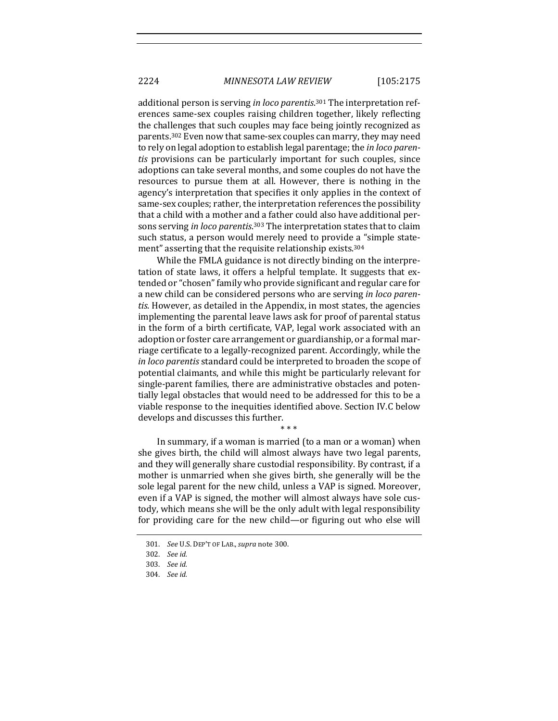additional person is serving in loco parentis.<sup>301</sup> The interpretation references same-sex couples raising children together, likely reflecting the challenges that such couples may face being jointly recognized as parents.<sup>302</sup> Even now that same-sex couples can marry, they may need to rely on legal adoption to establish legal parentage; the *in loco parentis* provisions can be particularly important for such couples, since adoptions can take several months, and some couples do not have the resources to pursue them at all. However, there is nothing in the agency's interpretation that specifies it only applies in the context of same-sex couples; rather, the interpretation references the possibility that a child with a mother and a father could also have additional persons serving *in loco parentis*.<sup>303</sup> The interpretation states that to claim such status, a person would merely need to provide a "simple statement" asserting that the requisite relationship exists.<sup>304</sup>

While the FMLA guidance is not directly binding on the interpretation of state laws, it offers a helpful template. It suggests that extended or "chosen" family who provide significant and regular care for a new child can be considered persons who are serving *in loco paren*tis. However, as detailed in the Appendix, in most states, the agencies implementing the parental leave laws ask for proof of parental status in the form of a birth certificate, VAP, legal work associated with an adoption or foster care arrangement or guardianship, or a formal marriage certificate to a legally-recognized parent. Accordingly, while the *in loco parentis* standard could be interpreted to broaden the scope of potential claimants, and while this might be particularly relevant for single-parent families, there are administrative obstacles and potentially legal obstacles that would need to be addressed for this to be a viable response to the inequities identified above. Section IV.C below develops and discusses this further.

\* \* \* In summary, if a woman is married (to a man or a woman) when she gives birth, the child will almost always have two legal parents, and they will generally share custodial responsibility. By contrast, if a mother is unmarried when she gives birth, she generally will be the sole legal parent for the new child, unless a VAP is signed. Moreover, even if a VAP is signed, the mother will almost always have sole custody, which means she will be the only adult with legal responsibility

for providing care for the new child—or figuring out who else will

<sup>301.</sup> *See* U.S. DEP'T OF LAB.,*supra* note 300.

<sup>302.</sup> *See id.*

<sup>303.</sup> *See id.*

<sup>304.</sup> *See id.*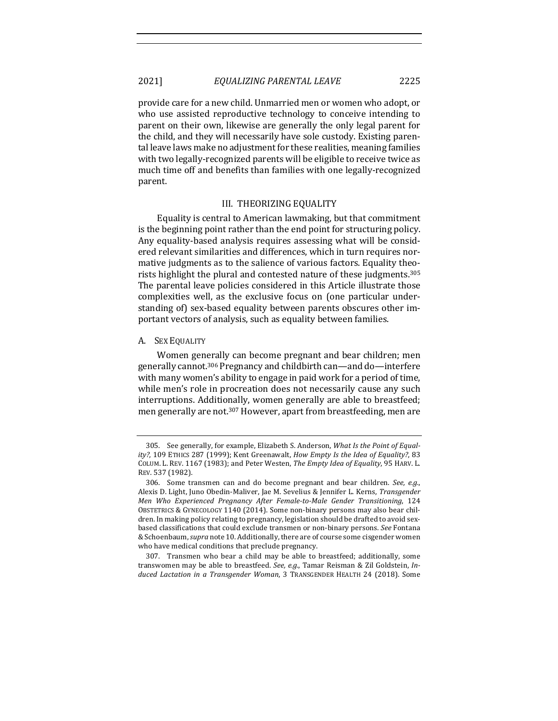provide care for a new child. Unmarried men or women who adopt, or who use assisted reproductive technology to conceive intending to parent on their own, likewise are generally the only legal parent for the child, and they will necessarily have sole custody. Existing parental leave laws make no adjustment for these realities, meaning families with two legally-recognized parents will be eligible to receive twice as much time off and benefits than families with one legally-recognized parent. 

### III. THEORIZING EQUALITY

Equality is central to American lawmaking, but that commitment is the beginning point rather than the end point for structuring policy. Any equality-based analysis requires assessing what will be considered relevant similarities and differences, which in turn requires normative judgments as to the salience of various factors. Equality theorists highlight the plural and contested nature of these judgments.<sup>305</sup> The parental leave policies considered in this Article illustrate those complexities well, as the exclusive focus on (one particular understanding of) sex-based equality between parents obscures other important vectors of analysis, such as equality between families.

# A. SEX EQUALITY

Women generally can become pregnant and bear children; men generally cannot.<sup>306</sup> Pregnancy and childbirth can—and do—interfere with many women's ability to engage in paid work for a period of time, while men's role in procreation does not necessarily cause any such interruptions. Additionally, women generally are able to breastfeed; men generally are not.<sup>307</sup> However, apart from breastfeeding, men are

<sup>305.</sup> See generally, for example, Elizabeth S. Anderson, What Is the Point of Equality?, 109 ETHICS 287 (1999); Kent Greenawalt, *How Empty Is the Idea of Equality?*, 83 COLUM. L. REV. 1167 (1983); and Peter Westen, *The Empty Idea of Equality*, 95 HARV. L. REV. 537 (1982).

<sup>306.</sup> Some transmen can and do become pregnant and bear children. See, e.g., Alexis D. Light, Juno Obedin-Maliver, Jae M. Sevelius & Jennifer L. Kerns, *Transgender Men Who Experienced Pregnancy After Female-to-Male Gender Transitioning*, 124 OBSTETRICS & GYNECOLOGY 1140 (2014). Some non-binary persons may also bear children. In making policy relating to pregnancy, legislation should be drafted to avoid sexbased classifications that could exclude transmen or non-binary persons. See Fontana & Schoenbaum, *supra* note 10. Additionally, there are of course some cisgender women who have medical conditions that preclude pregnancy.

<sup>307.</sup> Transmen who bear a child may be able to breastfeed; additionally, some transwomen may be able to breastfeed. See, e.g., Tamar Reisman & Zil Goldstein, *Induced Lactation in a Transgender Woman*, 3 TRANSGENDER HEALTH 24 (2018). Some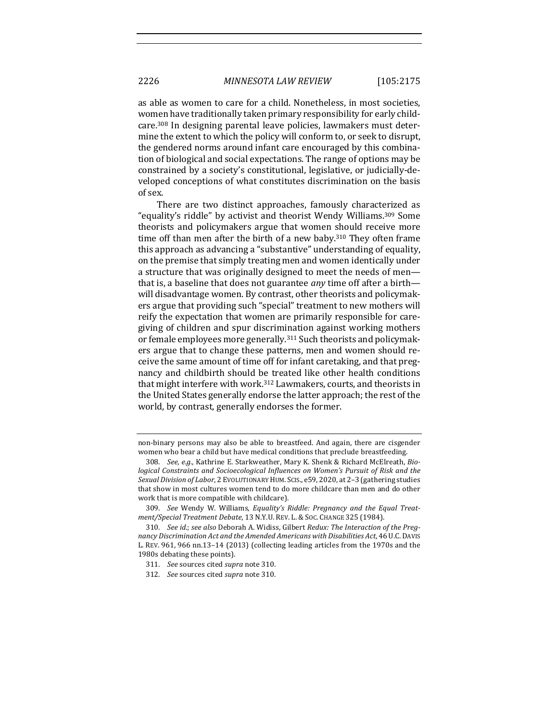as able as women to care for a child. Nonetheless, in most societies, women have traditionally taken primary responsibility for early childcare.<sup>308</sup> In designing parental leave policies, lawmakers must determine the extent to which the policy will conform to, or seek to disrupt, the gendered norms around infant care encouraged by this combination of biological and social expectations. The range of options may be constrained by a society's constitutional, legislative, or judicially-developed conceptions of what constitutes discrimination on the basis of sex.

There are two distinct approaches, famously characterized as "equality's riddle" by activist and theorist Wendy Williams.<sup>309</sup> Some theorists and policymakers argue that women should receive more time off than men after the birth of a new baby.<sup>310</sup> They often frame this approach as advancing a "substantive" understanding of equality, on the premise that simply treating men and women identically under a structure that was originally designed to meet the needs of menthat is, a baseline that does not guarantee *any* time off after a birth will disadvantage women. By contrast, other theorists and policymakers argue that providing such "special" treatment to new mothers will reify the expectation that women are primarily responsible for caregiving of children and spur discrimination against working mothers or female employees more generally.<sup>311</sup> Such theorists and policymakers argue that to change these patterns, men and women should receive the same amount of time off for infant caretaking, and that pregnancy and childbirth should be treated like other health conditions that might interfere with work.<sup>312</sup> Lawmakers, courts, and theorists in the United States generally endorse the latter approach; the rest of the world, by contrast, generally endorses the former.

non-binary persons may also be able to breastfeed. And again, there are cisgender women who bear a child but have medical conditions that preclude breastfeeding.

<sup>308.</sup> *See, e.g.*, Kathrine E. Starkweather, Mary K. Shenk & Richard McElreath, Bio*logical Constraints and Socioecological Influences on Women's Pursuit of Risk and the* Sexual Division of Labor, 2 EVOLUTIONARY HUM. SCIS., e59, 2020, at 2-3 (gathering studies that show in most cultures women tend to do more childcare than men and do other work that is more compatible with childcare).

<sup>309.</sup> See Wendy W. Williams, Equality's Riddle: Pregnancy and the Equal Treat*ment/Special Treatment Debate*, 13 N.Y.U. REV. L. & SOC. CHANGE 325 (1984).

<sup>310.</sup> *See id.*; *see also* Deborah A. Widiss, Gilbert Redux: The Interaction of the Preg*nancy Discrimination Act and the Amended Americans with Disabilities Act*, 46 U.C.DAVIS L. REV. 961, 966 nn.13-14 (2013) (collecting leading articles from the 1970s and the 1980s debating these points).

<sup>311.</sup> *See* sources cited *supra* note 310.

<sup>312.</sup> *See* sources cited *supra* note 310.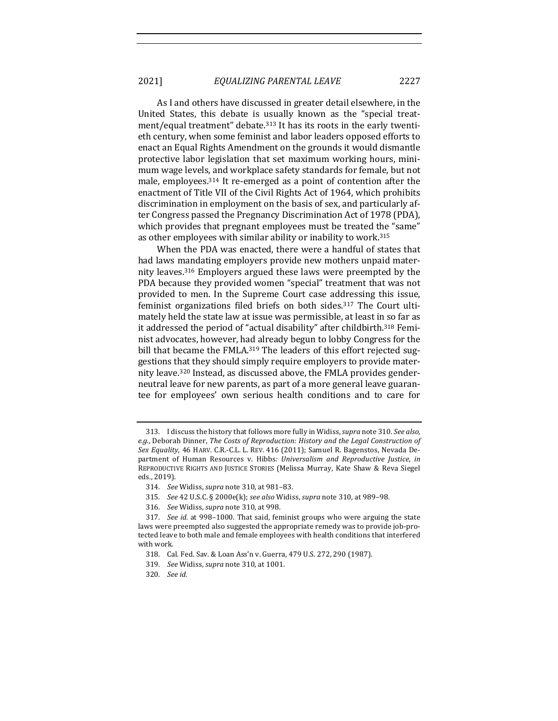As I and others have discussed in greater detail elsewhere, in the United States, this debate is usually known as the "special treatment/equal treatment" debate.<sup>313</sup> It has its roots in the early twentieth century, when some feminist and labor leaders opposed efforts to enact an Equal Rights Amendment on the grounds it would dismantle protective labor legislation that set maximum working hours, minimum wage levels, and workplace safety standards for female, but not male, employees.<sup>314</sup> It re-emerged as a point of contention after the enactment of Title VII of the Civil Rights Act of 1964, which prohibits discrimination in employment on the basis of sex, and particularly after Congress passed the Pregnancy Discrimination Act of 1978 (PDA), which provides that pregnant employees must be treated the "same" as other employees with similar ability or inability to work.<sup>315</sup>

When the PDA was enacted, there were a handful of states that had laws mandating employers provide new mothers unpaid maternity leaves.<sup>316</sup> Employers argued these laws were preempted by the PDA because they provided women "special" treatment that was not provided to men. In the Supreme Court case addressing this issue, feminist organizations filed briefs on both sides.<sup>317</sup> The Court ultimately held the state law at issue was permissible, at least in so far as it addressed the period of "actual disability" after childbirth.<sup>318</sup> Feminist advocates, however, had already begun to lobby Congress for the bill that became the FMLA.<sup>319</sup> The leaders of this effort rejected suggestions that they should simply require employers to provide maternity leave.<sup>320</sup> Instead, as discussed above, the FMLA provides genderneutral leave for new parents, as part of a more general leave guarantee for employees' own serious health conditions and to care for

<sup>313.</sup> I discuss the history that follows more fully in Widiss, *supra* note 310. See also, e.g., Deborah Dinner, *The Costs of Reproduction: History and the Legal Construction of* Sex Equality, 46 HARV. C.R.-C.L. L. REV. 416 (2011); Samuel R. Bagenstos, Nevada Department of Human Resources v. Hibbs: *Universalism and Reproductive Justice*, *in* REPRODUCTIVE RIGHTS AND JUSTICE STORIES (Melissa Murray, Kate Shaw & Reva Siegel eds., 2019).

<sup>314.</sup> *See* Widiss, *supra* note 310, at 981–83.

<sup>315.</sup> *See* 42 U.S.C. § 2000e(k); *see also* Widiss, *supra* note 310, at 989-98.

<sup>316.</sup> *See* Widiss, *supra* note 310, at 998.

<sup>317.</sup> *See id.* at 998–1000. That said, feminist groups who were arguing the state laws were preempted also suggested the appropriate remedy was to provide job-protected leave to both male and female employees with health conditions that interfered with work.

<sup>318.</sup> Cal. Fed. Sav. & Loan Ass'n v. Guerra, 479 U.S. 272, 290 (1987).

<sup>319.</sup> *See* Widiss, *supra* note 310, at 1001.

<sup>320.</sup> *See id.*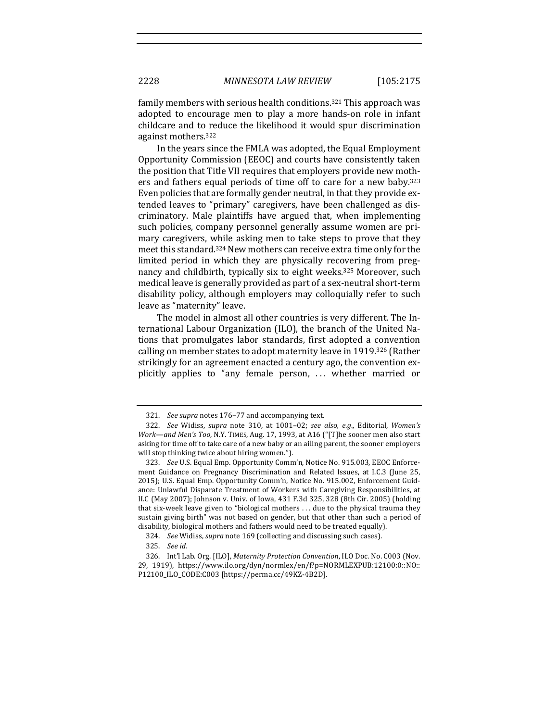family members with serious health conditions.<sup>321</sup> This approach was adopted to encourage men to play a more hands-on role in infant childcare and to reduce the likelihood it would spur discrimination against mothers.<sup>322</sup>

In the years since the FMLA was adopted, the Equal Employment Opportunity Commission (EEOC) and courts have consistently taken the position that Title VII requires that employers provide new mothers and fathers equal periods of time off to care for a new baby.<sup>323</sup> Even policies that are formally gender neutral, in that they provide extended leaves to "primary" caregivers, have been challenged as discriminatory. Male plaintiffs have argued that, when implementing such policies, company personnel generally assume women are primary caregivers, while asking men to take steps to prove that they meet this standard.<sup>324</sup> New mothers can receive extra time only for the limited period in which they are physically recovering from pregnancy and childbirth, typically six to eight weeks.<sup>325</sup> Moreover, such medical leave is generally provided as part of a sex-neutral short-term disability policy, although employers may colloquially refer to such leave as "maternity" leave.

The model in almost all other countries is very different. The International Labour Organization (ILO), the branch of the United Nations that promulgates labor standards, first adopted a convention calling on member states to adopt maternity leave in 1919.<sup>326</sup> (Rather strikingly for an agreement enacted a century ago, the convention explicitly applies to "any female person, ... whether married or

324. *See* Widiss, *supra* note 169 (collecting and discussing such cases).

<sup>321.</sup> *See supra* notes 176-77 and accompanying text.

<sup>322.</sup> *See* Widiss, *supra* note 310, at 1001-02; *see also, e.g.*, Editorial, *Women's Work—and Men's Too*, N.Y. TIMES, Aug. 17, 1993, at A16 ("[T]he sooner men also start asking for time off to take care of a new baby or an ailing parent, the sooner employers will stop thinking twice about hiring women.").

<sup>323.</sup> *See* U.S. Equal Emp. Opportunity Comm'n, Notice No. 915.003, EEOC Enforcement Guidance on Pregnancy Discrimination and Related Issues, at I.C.3 (June 25, 2015); U.S. Equal Emp. Opportunity Comm'n, Notice No. 915.002, Enforcement Guidance: Unlawful Disparate Treatment of Workers with Caregiving Responsibilities, at II.C (May 2007); Johnson v. Univ. of Iowa, 431 F.3d 325, 328 (8th Cir. 2005) (holding that six-week leave given to "biological mothers  $\dots$  due to the physical trauma they sustain giving birth" was not based on gender, but that other than such a period of disability, biological mothers and fathers would need to be treated equally).

<sup>325.</sup> *See id.*

<sup>326.</sup> Int'l Lab. Org. [ILO], *Maternity Protection Convention*, ILO Doc. No. C003 (Nov. 29, 1919), https://www.ilo.org/dyn/normlex/en/f?p=NORMLEXPUB:12100:0::NO:: P12100\_ILO\_CODE:C003 [https://perma.cc/49KZ-4B2D].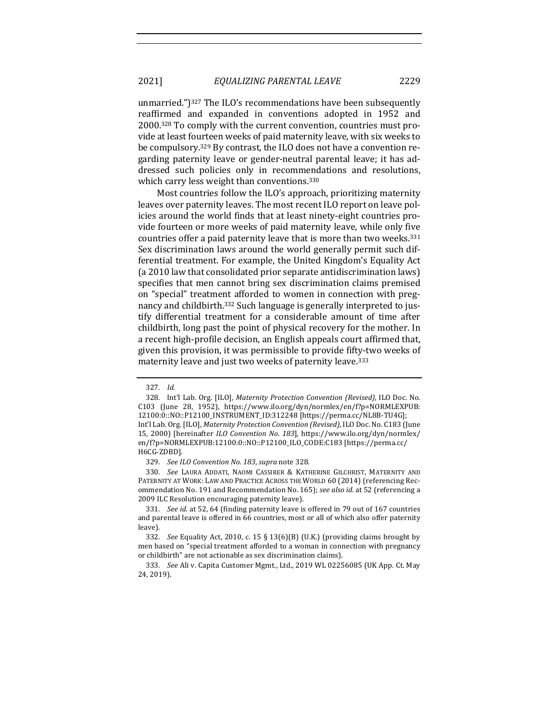unmarried." $]$ <sup>327</sup> The ILO's recommendations have been subsequently reaffirmed and expanded in conventions adopted in 1952 and 2000.<sup>328</sup> To comply with the current convention, countries must provide at least fourteen weeks of paid maternity leave, with six weeks to be compulsory.<sup>329</sup> By contrast, the ILO does not have a convention regarding paternity leave or gender-neutral parental leave; it has addressed such policies only in recommendations and resolutions, which carry less weight than conventions. $330$ 

Most countries follow the ILO's approach, prioritizing maternity leaves over paternity leaves. The most recent ILO report on leave policies around the world finds that at least ninety-eight countries provide fourteen or more weeks of paid maternity leave, while only five countries offer a paid paternity leave that is more than two weeks.<sup>331</sup> Sex discrimination laws around the world generally permit such differential treatment. For example, the United Kingdom's Equality Act (a 2010 law that consolidated prior separate antidiscrimination laws) specifies that men cannot bring sex discrimination claims premised on "special" treatment afforded to women in connection with pregnancy and childbirth.<sup>332</sup> Such language is generally interpreted to justify differential treatment for a considerable amount of time after childbirth, long past the point of physical recovery for the mother. In a recent high-profile decision, an English appeals court affirmed that, given this provision, it was permissible to provide fifty-two weeks of maternity leave and just two weeks of paternity leave.<sup>333</sup>

<sup>327.</sup> *Id.*

<sup>328.</sup> Int'l Lab. Org. [ILO], Maternity Protection Convention (Revised), ILO Doc. No. C103 (June 28, 1952), https://www.ilo.org/dyn/normlex/en/f?p=NORMLEXPUB: 12100:0::NO::P12100\_INSTRUMENT\_ID:312248 [https://perma.cc/NL8B-TU4G]; Int'l Lab. Org. [ILO], Maternity Protection Convention (Revised), ILO Doc. No. C183 (June 15, 2000) [hereinafter *ILO Convention No. 183*], https://www.ilo.org/dyn/normlex/ en/f?p=NORMLEXPUB:12100:0::NO::P12100\_ILO\_CODE:C183 [https://perma.cc/ H6CG-ZDBD].

<sup>329.</sup> *See ILO Convention No. 183, supra note 328.* 

<sup>330.</sup> *See LAURA ADDATI, NAOMI CASSIRER & KATHERINE GILCHRIST, MATERNITY AND* PATERNITY AT WORK: LAW AND PRACTICE ACROSS THE WORLD 60 (2014) (referencing Recommendation No. 191 and Recommendation No. 165); see also id. at 52 (referencing a 2009 ILC Resolution encouraging paternity leave).

<sup>331.</sup> *See id.* at 52, 64 (finding paternity leave is offered in 79 out of 167 countries and parental leave is offered in 66 countries, most or all of which also offer paternity leave).

<sup>332.</sup> *See* Equality Act, 2010, c. 15 § 13(6)(B) (U.K.) (providing claims brought by men based on "special treatment afforded to a woman in connection with pregnancy or childbirth" are not actionable as sex discrimination claims).

<sup>333.</sup> *See* Ali v. Capita Customer Mgmt., Ltd., 2019 WL 02256085 (UK App. Ct. May 24, 2019).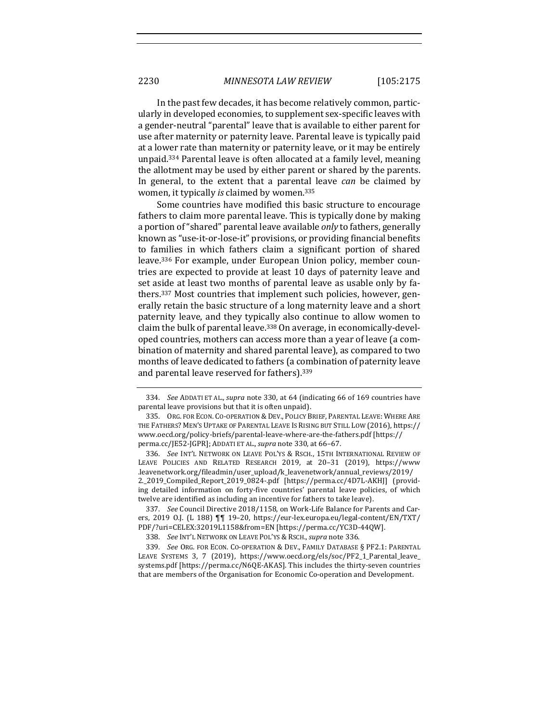In the past few decades, it has become relatively common, particularly in developed economies, to supplement sex-specific leaves with a gender-neutral "parental" leave that is available to either parent for use after maternity or paternity leave. Parental leave is typically paid at a lower rate than maternity or paternity leave, or it may be entirely unpaid.<sup>334</sup> Parental leave is often allocated at a family level, meaning the allotment may be used by either parent or shared by the parents. In general, to the extent that a parental leave *can* be claimed by women, it typically *is* claimed by women.<sup>335</sup>

Some countries have modified this basic structure to encourage fathers to claim more parental leave. This is typically done by making a portion of "shared" parental leave available *only* to fathers, generally known as "use-it-or-lose-it" provisions, or providing financial benefits to families in which fathers claim a significant portion of shared leave.<sup>336</sup> For example, under European Union policy, member countries are expected to provide at least 10 days of paternity leave and set aside at least two months of parental leave as usable only by fathers.<sup>337</sup> Most countries that implement such policies, however, generally retain the basic structure of a long maternity leave and a short paternity leave, and they typically also continue to allow women to claim the bulk of parental leave.<sup>338</sup> On average, in economically-developed countries, mothers can access more than a year of leave (a combination of maternity and shared parental leave), as compared to two months of leave dedicated to fathers (a combination of paternity leave and parental leave reserved for fathers).<sup>339</sup>

<sup>334.</sup> *See* ADDATI ET AL., *supra* note 330, at 64 (indicating 66 of 169 countries have parental leave provisions but that it is often unpaid).

<sup>335.</sup> ORG. FOR ECON. CO-OPERATION & DEV., POLICY BRIEF, PARENTAL LEAVE: WHERE ARE THE FATHERS? MEN'S UPTAKE OF PARENTAL LEAVE IS RISING BUT STILL LOW (2016), https:// www.oecd.org/policy-briefs/parental-leave-where-are-the-fathers.pdf [https:// perma.cc/JE52-JGPR]; ADDATI ET AL., *supra* note 330, at 66-67.

<sup>336.</sup> *See* INT'L NETWORK ON LEAVE POL'YS & RSCH., 15TH INTERNATIONAL REVIEW OF LEAVE POLICIES AND RELATED RESEARCH 2019, at 20-31 (2019), https://www .leavenetwork.org/fileadmin/user\_upload/k\_leavenetwork/annual\_reviews/2019/ 2.\_2019\_Compiled\_Report\_2019\_0824-.pdf [https://perma.cc/4D7L-AKHJ] (providing detailed information on forty-five countries' parental leave policies, of which twelve are identified as including an incentive for fathers to take leave).

<sup>337.</sup> *See* Council Directive 2018/1158, on Work-Life Balance for Parents and Carers, 2019 O.J. (L 188)  $\P\P$  19-20, https://eur-lex.europa.eu/legal-content/EN/TXT/ PDF/?uri=CELEX:32019L1158&from=EN [https://perma.cc/YC3D-44QW].

<sup>338.</sup> *See INT'L NETWORK ON LEAVE POL'YS & RSCH., supra note 336.* 

<sup>339.</sup> *See* ORG. FOR ECON. CO-OPERATION & DEV., FAMILY DATABASE § PF2.1: PARENTAL LEAVE SYSTEMS 3, 7 (2019), https://www.oecd.org/els/soc/PF2\_1\_Parental\_leave\_ systems.pdf [https://perma.cc/N6QE-AKAS]. This includes the thirty-seven countries that are members of the Organisation for Economic Co-operation and Development.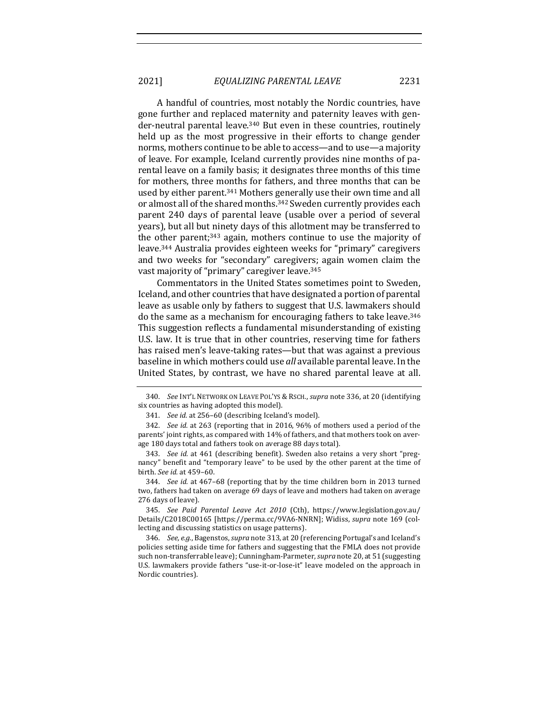A handful of countries, most notably the Nordic countries, have gone further and replaced maternity and paternity leaves with gender-neutral parental leave.<sup>340</sup> But even in these countries, routinely held up as the most progressive in their efforts to change gender norms, mothers continue to be able to access—and to use—a majority of leave. For example, Iceland currently provides nine months of parental leave on a family basis; it designates three months of this time for mothers, three months for fathers, and three months that can be used by either parent.<sup>341</sup> Mothers generally use their own time and all or almost all of the shared months.<sup>342</sup> Sweden currently provides each parent 240 days of parental leave (usable over a period of several years), but all but ninety days of this allotment may be transferred to the other parent;<sup>343</sup> again, mothers continue to use the majority of leave.<sup>344</sup> Australia provides eighteen weeks for "primary" caregivers and two weeks for "secondary" caregivers; again women claim the vast majority of "primary" caregiver leave.<sup>345</sup>

Commentators in the United States sometimes point to Sweden, Iceland, and other countries that have designated a portion of parental leave as usable only by fathers to suggest that U.S. lawmakers should do the same as a mechanism for encouraging fathers to take leave.<sup>346</sup> This suggestion reflects a fundamental misunderstanding of existing U.S. law. It is true that in other countries, reserving time for fathers has raised men's leave-taking rates—but that was against a previous baseline in which mothers could use *all* available parental leave. In the United States, by contrast, we have no shared parental leave at all.

<sup>340.</sup> *See* INT'L NETWORK ON LEAVE POL'YS & RSCH., *supra* note 336, at 20 (identifying six countries as having adopted this model).

<sup>341.</sup> *See id.* at 256-60 (describing Iceland's model).

<sup>342.</sup> *See id.* at 263 (reporting that in 2016, 96% of mothers used a period of the parents' joint rights, as compared with 14% of fathers, and that mothers took on average 180 days total and fathers took on average 88 days total).

<sup>343.</sup> *See id.* at 461 (describing benefit). Sweden also retains a very short "pregnancy" benefit and "temporary leave" to be used by the other parent at the time of birth. *See id.* at 459–60.

<sup>344.</sup> *See id.* at 467-68 (reporting that by the time children born in 2013 turned two, fathers had taken on average 69 days of leave and mothers had taken on average 276 days of leave).

<sup>345.</sup> See Paid Parental Leave Act 2010 (Cth), https://www.legislation.gov.au/ Details/C2018C00165 [https://perma.cc/9VA6-NNRN]; Widiss, *supra* note 169 (collecting and discussing statistics on usage patterns).

<sup>346.</sup> *See, e.g.*, Bagenstos, *supra* note 313, at 20 (referencing Portugal's and Iceland's policies setting aside time for fathers and suggesting that the FMLA does not provide such non-transferrable leave); Cunningham-Parmeter, *supra* note 20, at 51 (suggesting U.S. lawmakers provide fathers "use-it-or-lose-it" leave modeled on the approach in Nordic countries).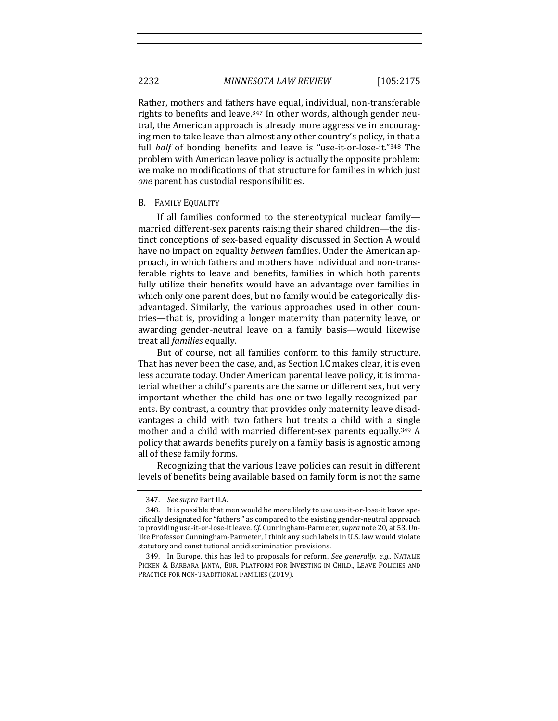Rather, mothers and fathers have equal, individual, non-transferable rights to benefits and leave.<sup>347</sup> In other words, although gender neutral, the American approach is already more aggressive in encouraging men to take leave than almost any other country's policy, in that a full *half* of bonding benefits and leave is "use-it-or-lose-it."<sup>348</sup> The problem with American leave policy is actually the opposite problem: we make no modifications of that structure for families in which just *one* parent has custodial responsibilities.

#### B. FAMILY EQUALITY

If all families conformed to the stereotypical nuclear familymarried different-sex parents raising their shared children—the distinct conceptions of sex-based equality discussed in Section A would have no impact on equality *between* families. Under the American approach, in which fathers and mothers have individual and non-transferable rights to leave and benefits, families in which both parents fully utilize their benefits would have an advantage over families in which only one parent does, but no family would be categorically disadvantaged. Similarly, the various approaches used in other countries—that is, providing a longer maternity than paternity leave, or awarding gender-neutral leave on a family basis—would likewise treat all *families* equally.

But of course, not all families conform to this family structure. That has never been the case, and, as Section I.C makes clear, it is even less accurate today. Under American parental leave policy, it is immaterial whether a child's parents are the same or different sex, but very important whether the child has one or two legally-recognized parents. By contrast, a country that provides only maternity leave disadvantages a child with two fathers but treats a child with a single mother and a child with married different-sex parents equally.<sup>349</sup> A policy that awards benefits purely on a family basis is agnostic among all of these family forms.

Recognizing that the various leave policies can result in different levels of benefits being available based on family form is not the same

<sup>347.</sup> *See supra Part II.A.* 

<sup>348.</sup> It is possible that men would be more likely to use use-it-or-lose-it leave specifically designated for "fathers," as compared to the existing gender-neutral approach to providing use-it-or-lose-it leave. *Cf.* Cunningham-Parmeter, *supra* note 20, at 53. Unlike Professor Cunningham-Parmeter, I think any such labels in U.S. law would violate statutory and constitutional antidiscrimination provisions.

<sup>349.</sup> In Europe, this has led to proposals for reform. See generally, e.g., NATALIE PICKEN & BARBARA JANTA, EUR. PLATFORM FOR INVESTING IN CHILD., LEAVE POLICIES AND PRACTICE FOR NON-TRADITIONAL FAMILIES (2019).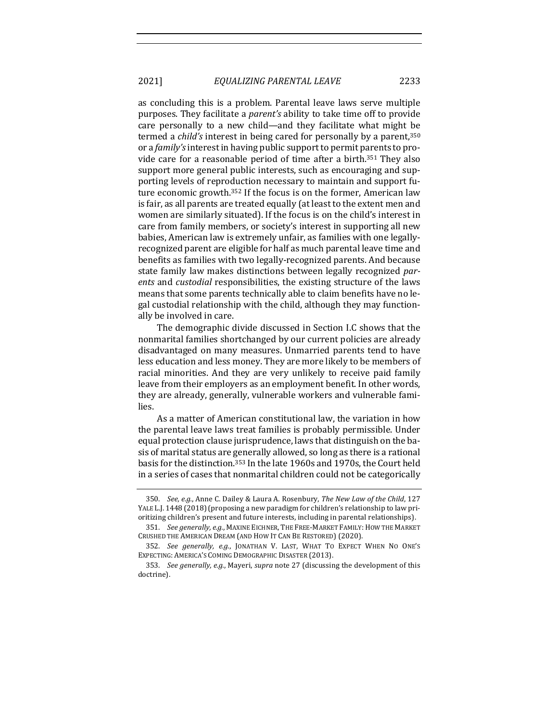as concluding this is a problem. Parental leave laws serve multiple purposes. They facilitate a *parent's* ability to take time off to provide care personally to a new child—and they facilitate what might be termed a *child's* interest in being cared for personally by a parent,<sup>350</sup> or a *family's* interest in having public support to permit parents to provide care for a reasonable period of time after a birth.<sup>351</sup> They also support more general public interests, such as encouraging and supporting levels of reproduction necessary to maintain and support future economic growth.<sup>352</sup> If the focus is on the former, American law is fair, as all parents are treated equally (at least to the extent men and women are similarly situated). If the focus is on the child's interest in care from family members, or society's interest in supporting all new babies, American law is extremely unfair, as families with one legallyrecognized parent are eligible for half as much parental leave time and benefits as families with two legally-recognized parents. And because state family law makes distinctions between legally recognized *par*ents and *custodial* responsibilities, the existing structure of the laws means that some parents technically able to claim benefits have no legal custodial relationship with the child, although they may functionally be involved in care.

The demographic divide discussed in Section I.C shows that the nonmarital families shortchanged by our current policies are already disadvantaged on many measures. Unmarried parents tend to have less education and less money. They are more likely to be members of racial minorities. And they are very unlikely to receive paid family leave from their employers as an employment benefit. In other words, they are already, generally, vulnerable workers and vulnerable families. 

As a matter of American constitutional law, the variation in how the parental leave laws treat families is probably permissible. Under equal protection clause jurisprudence, laws that distinguish on the basis of marital status are generally allowed, so long as there is a rational basis for the distinction.<sup>353</sup> In the late 1960s and 1970s, the Court held in a series of cases that nonmarital children could not be categorically

<sup>350.</sup> *See, e.g.*, Anne C. Dailey & Laura A. Rosenbury, *The New Law of the Child*, 127 YALE L.J. 1448 (2018) (proposing a new paradigm for children's relationship to law prioritizing children's present and future interests, including in parental relationships).

<sup>351.</sup> *See generally, e.g.*, MAXINE EICHNER, THE FREE-MARKET FAMILY: HOW THE MARKET CRUSHED THE AMERICAN DREAM (AND HOW IT CAN BE RESTORED) (2020).

<sup>352.</sup> See generally, e.g., JONATHAN V. LAST, WHAT TO EXPECT WHEN NO ONE'S EXPECTING: AMERICA'S COMING DEMOGRAPHIC DISASTER (2013).

<sup>353.</sup> *See generally, e.g.,* Mayeri, *supra* note 27 (discussing the development of this doctrine).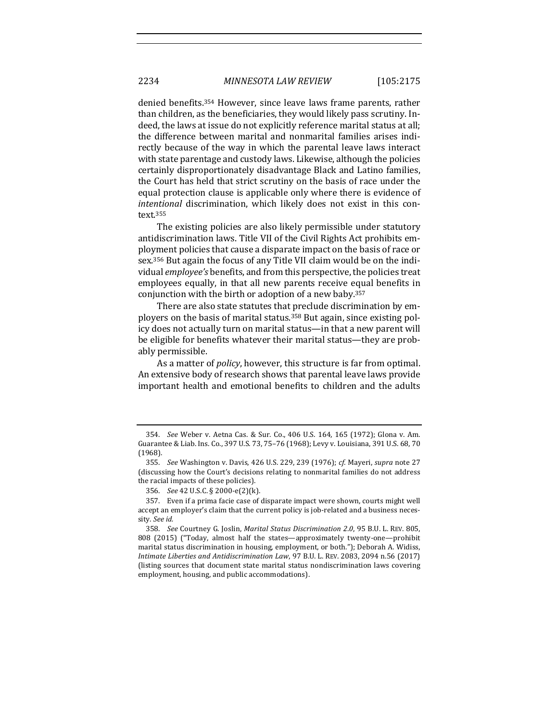denied benefits.<sup>354</sup> However, since leave laws frame parents, rather than children, as the beneficiaries, they would likely pass scrutiny. Indeed, the laws at issue do not explicitly reference marital status at all; the difference between marital and nonmarital families arises indirectly because of the way in which the parental leave laws interact with state parentage and custody laws. Likewise, although the policies certainly disproportionately disadvantage Black and Latino families, the Court has held that strict scrutiny on the basis of race under the equal protection clause is applicable only where there is evidence of *intentional* discrimination, which likely does not exist in this context. 355

The existing policies are also likely permissible under statutory antidiscrimination laws. Title VII of the Civil Rights Act prohibits employment policies that cause a disparate impact on the basis of race or sex.<sup>356</sup> But again the focus of any Title VII claim would be on the individual *employee's* benefits, and from this perspective, the policies treat employees equally, in that all new parents receive equal benefits in conjunction with the birth or adoption of a new baby.<sup>357</sup>

There are also state statutes that preclude discrimination by employers on the basis of marital status.<sup>358</sup> But again, since existing policy does not actually turn on marital status—in that a new parent will be eligible for benefits whatever their marital status—they are probably permissible.

As a matter of *policy*, however, this structure is far from optimal. An extensive body of research shows that parental leave laws provide important health and emotional benefits to children and the adults

<sup>354.</sup> *See* Weber v. Aetna Cas. & Sur. Co., 406 U.S. 164, 165 (1972); Glona v. Am. Guarantee & Liab. Ins. Co., 397 U.S. 73, 75-76 (1968); Levy v. Louisiana, 391 U.S. 68, 70 (1968).

<sup>355.</sup> *See* Washington v. Davis, 426 U.S. 229, 239 (1976); *cf.* Mayeri, *supra* note 27 (discussing how the Court's decisions relating to nonmarital families do not address the racial impacts of these policies).

<sup>356.</sup> *See* 42 U.S.C. § 2000-e(2)(k).

<sup>357.</sup> Even if a prima facie case of disparate impact were shown, courts might well accept an employer's claim that the current policy is job-related and a business necessity. See id.

<sup>358.</sup> *See* Courtney G. Joslin, *Marital Status Discrimination 2*.*0*, 95 B.U. L. REV. 805, 808 (2015) ("Today, almost half the states—approximately twenty-one—prohibit marital status discrimination in housing, employment, or both."); Deborah A. Widiss, *Intimate Liberties and Antidiscrimination Law*, 97 B.U. L. REV. 2083, 2094 n.56 (2017) (listing sources that document state marital status nondiscrimination laws covering employment, housing, and public accommodations).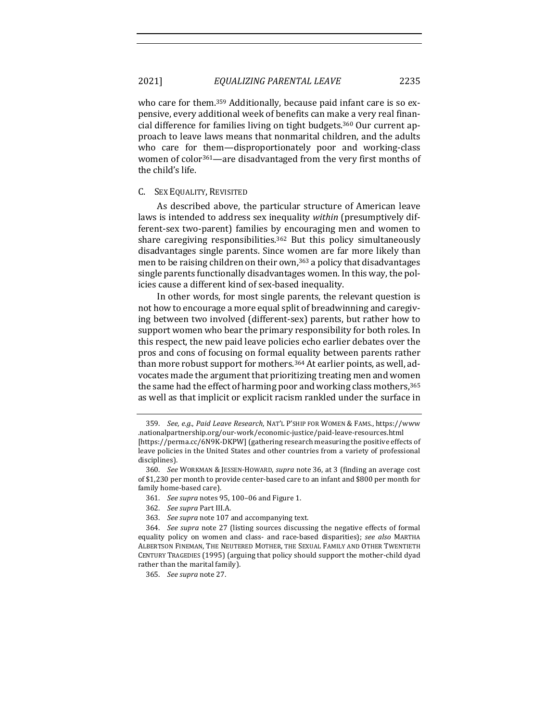who care for them.<sup>359</sup> Additionally, because paid infant care is so expensive, every additional week of benefits can make a very real financial difference for families living on tight budgets.<sup>360</sup> Our current approach to leave laws means that nonmarital children, and the adults who care for them—disproportionately poor and working-class women of color<sup>361</sup>—are disadvantaged from the very first months of the child's life.

### C. SEX EQUALITY, REVISITED

As described above, the particular structure of American leave laws is intended to address sex inequality *within* (presumptively different-sex two-parent) families by encouraging men and women to share caregiving responsibilities.<sup>362</sup> But this policy simultaneously disadvantages single parents. Since women are far more likely than men to be raising children on their own,  $363$  a policy that disadvantages single parents functionally disadvantages women. In this way, the policies cause a different kind of sex-based inequality.

In other words, for most single parents, the relevant question is not how to encourage a more equal split of breadwinning and caregiving between two involved (different-sex) parents, but rather how to support women who bear the primary responsibility for both roles. In this respect, the new paid leave policies echo earlier debates over the pros and cons of focusing on formal equality between parents rather than more robust support for mothers.<sup>364</sup> At earlier points, as well, advocates made the argument that prioritizing treating men and women the same had the effect of harming poor and working class mothers,<sup>365</sup> as well as that implicit or explicit racism rankled under the surface in

- 362. *See supra* Part III.A.
- 363. See supra note 107 and accompanying text.

<sup>359.</sup> *See, e.g., Paid Leave Research, NAT'L P'SHIP FOR WOMEN & FAMS., https://www* .nationalpartnership.org/our-work/economic-justice/paid-leave-resources.html [https://perma.cc/6N9K-DKPW] (gathering research measuring the positive effects of leave policies in the United States and other countries from a variety of professional disciplines).

<sup>360.</sup> *See* WORKMAN & JESSEN-HOWARD, *supra* note 36, at 3 (finding an average cost of \$1,230 per month to provide center-based care to an infant and \$800 per month for family home-based care).

<sup>361.</sup> *See supra* notes 95, 100-06 and Figure 1.

<sup>364.</sup> *See supra* note 27 (listing sources discussing the negative effects of formal equality policy on women and class- and race-based disparities); *see also* MARTHA ALBERTSON FINEMAN, THE NEUTERED MOTHER, THE SEXUAL FAMILY AND OTHER TWENTIETH CENTURY TRAGEDIES (1995) (arguing that policy should support the mother-child dyad rather than the marital family).

<sup>365.</sup> *See supra* note 27.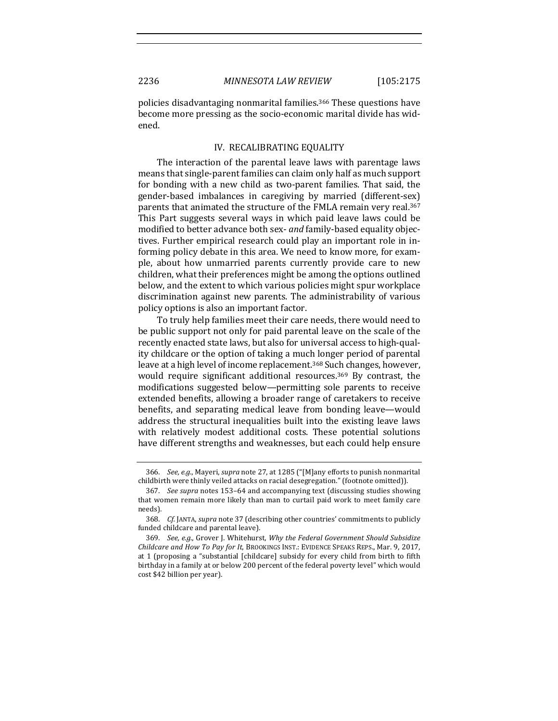policies disadvantaging nonmarital families.<sup>366</sup> These questions have become more pressing as the socio-economic marital divide has widened. 

## IV. RECALIBRATING EQUALITY

The interaction of the parental leave laws with parentage laws means that single-parent families can claim only half as much support for bonding with a new child as two-parent families. That said, the gender-based imbalances in caregiving by married (different-sex) parents that animated the structure of the FMLA remain very real.<sup>367</sup> This Part suggests several ways in which paid leave laws could be modified to better advance both sex- *and* family-based equality objectives. Further empirical research could play an important role in informing policy debate in this area. We need to know more, for example, about how unmarried parents currently provide care to new children, what their preferences might be among the options outlined below, and the extent to which various policies might spur workplace discrimination against new parents. The administrability of various policy options is also an important factor.

To truly help families meet their care needs, there would need to be public support not only for paid parental leave on the scale of the recently enacted state laws, but also for universal access to high-quality childcare or the option of taking a much longer period of parental leave at a high level of income replacement.<sup>368</sup> Such changes, however, would require significant additional resources.<sup>369</sup> By contrast, the modifications suggested below—permitting sole parents to receive extended benefits, allowing a broader range of caretakers to receive benefits, and separating medical leave from bonding leave—would address the structural inequalities built into the existing leave laws with relatively modest additional costs. These potential solutions have different strengths and weaknesses, but each could help ensure

<sup>366.</sup> *See, e.g.*, Mayeri, *supra* note 27, at 1285 ("[M]any efforts to punish nonmarital childbirth were thinly veiled attacks on racial desegregation." (footnote omitted)).

<sup>367.</sup> *See supra* notes 153-64 and accompanying text (discussing studies showing that women remain more likely than man to curtail paid work to meet family care needs).

<sup>368.</sup> *Cf.* JANTA, *supra* note 37 (describing other countries' commitments to publicly funded childcare and parental leave).

<sup>369.</sup> *See, e.g.*, Grover J. Whitehurst, *Why the Federal Government Should Subsidize Childcare and How To Pay for It, BROOKINGS INST.: EVIDENCE SPEAKS REPS., Mar.* 9, 2017, at 1 (proposing a "substantial [childcare] subsidy for every child from birth to fifth birthday in a family at or below 200 percent of the federal poverty level" which would cost \$42 billion per year).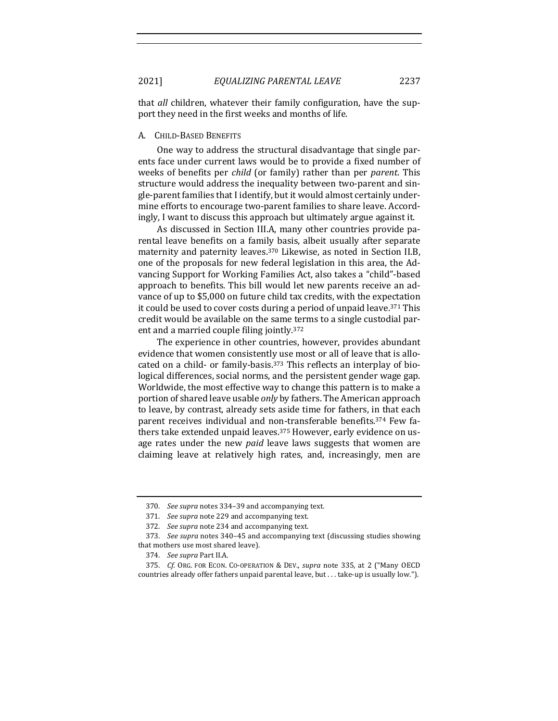that *all* children, whatever their family configuration, have the support they need in the first weeks and months of life.

### A. CHILD-BASED BENEFITS

One way to address the structural disadvantage that single parents face under current laws would be to provide a fixed number of weeks of benefits per *child* (or family) rather than per *parent*. This structure would address the inequality between two-parent and single-parent families that I identify, but it would almost certainly undermine efforts to encourage two-parent families to share leave. Accordingly, I want to discuss this approach but ultimately argue against it.

As discussed in Section III.A, many other countries provide parental leave benefits on a family basis, albeit usually after separate maternity and paternity leaves.<sup>370</sup> Likewise, as noted in Section II.B, one of the proposals for new federal legislation in this area, the Advancing Support for Working Families Act, also takes a "child"-based approach to benefits. This bill would let new parents receive an advance of up to \$5,000 on future child tax credits, with the expectation it could be used to cover costs during a period of unpaid leave.<sup>371</sup> This credit would be available on the same terms to a single custodial parent and a married couple filing jointly.<sup>372</sup>

The experience in other countries, however, provides abundant evidence that women consistently use most or all of leave that is allocated on a child- or family-basis.<sup>373</sup> This reflects an interplay of biological differences, social norms, and the persistent gender wage gap. Worldwide, the most effective way to change this pattern is to make a portion of shared leave usable *only* by fathers. The American approach to leave, by contrast, already sets aside time for fathers, in that each parent receives individual and non-transferable benefits.<sup>374</sup> Few fathers take extended unpaid leaves.<sup>375</sup> However, early evidence on usage rates under the new *paid* leave laws suggests that women are claiming leave at relatively high rates, and, increasingly, men are

<sup>370.</sup> See supra notes 334-39 and accompanying text.

<sup>371.</sup> See supra note 229 and accompanying text.

<sup>372.</sup> See supra note 234 and accompanying text.

<sup>373.</sup> See supra notes 340-45 and accompanying text (discussing studies showing that mothers use most shared leave).

<sup>374.</sup> *See supra Part II.A.* 

<sup>375.</sup> *Cf.* ORG. FOR ECON. CO-OPERATION & DEV., *supra* note 335, at 2 ("Many OECD countries already offer fathers unpaid parental leave, but . . . take-up is usually low.").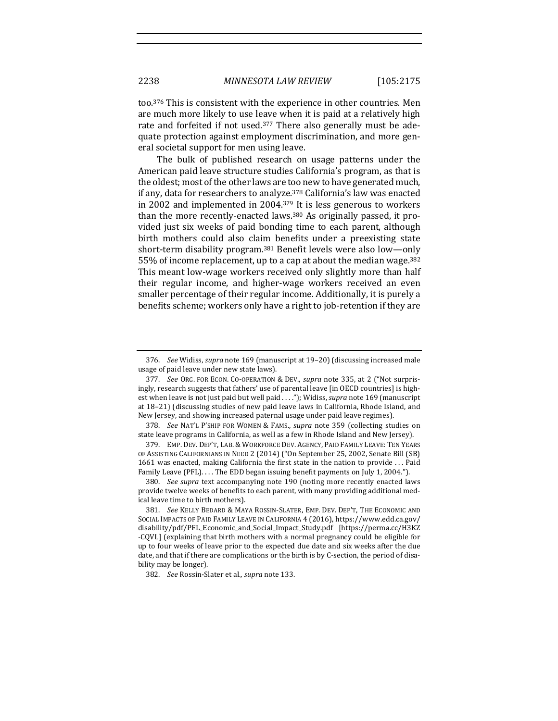too.<sup>376</sup> This is consistent with the experience in other countries. Men are much more likely to use leave when it is paid at a relatively high rate and forfeited if not used.<sup>377</sup> There also generally must be adequate protection against employment discrimination, and more general societal support for men using leave.

The bulk of published research on usage patterns under the American paid leave structure studies California's program, as that is the oldest; most of the other laws are too new to have generated much, if any, data for researchers to analyze.<sup>378</sup> California's law was enacted in 2002 and implemented in 2004. $379$  It is less generous to workers than the more recently-enacted laws. $380$  As originally passed, it provided just six weeks of paid bonding time to each parent, although birth mothers could also claim benefits under a preexisting state short-term disability program.<sup>381</sup> Benefit levels were also low—only 55% of income replacement, up to a cap at about the median wage.<sup>382</sup> This meant low-wage workers received only slightly more than half their regular income, and higher-wage workers received an even smaller percentage of their regular income. Additionally, it is purely a benefits scheme; workers only have a right to job-retention if they are

<sup>376.</sup> *See* Widiss, *supra* note 169 (manuscript at 19-20) (discussing increased male usage of paid leave under new state laws).

<sup>377.</sup> *See* ORG. FOR ECON. CO-OPERATION & DEV., *supra* note 335, at 2 ("Not surprisingly, research suggests that fathers' use of parental leave [in OECD countries] is highest when leave is not just paid but well paid . . . ."); Widiss, *supra* note 169 (manuscript at 18-21) (discussing studies of new paid leave laws in California, Rhode Island, and New Jersey, and showing increased paternal usage under paid leave regimes).

<sup>378.</sup> *See* NAT'L P'SHIP FOR WOMEN & FAMS., *supra* note 359 (collecting studies on state leave programs in California, as well as a few in Rhode Island and New Jersey).

<sup>379.</sup> EMP. DEV. DEP'T, LAB. & WORKFORCE DEV. AGENCY, PAID FAMILY LEAVE: TEN YEARS OF ASSISTING CALIFORNIANS IN NEED 2 (2014) ("On September 25, 2002, Senate Bill (SB) 1661 was enacted, making California the first state in the nation to provide ... Paid Family Leave (PFL).... The EDD began issuing benefit payments on July 1, 2004.").

<sup>380.</sup> *See supra* text accompanying note 190 (noting more recently enacted laws provide twelve weeks of benefits to each parent, with many providing additional medical leave time to birth mothers).

<sup>381.</sup> See KELLY BEDARD & MAYA ROSSIN-SLATER, EMP. DEV. DEP'T, THE ECONOMIC AND SOCIAL IMPACTS OF PAID FAMILY LEAVE IN CALIFORNIA 4 (2016), https://www.edd.ca.gov/ disability/pdf/PFL\_Economic\_and\_Social\_Impact\_Study.pdf [https://perma.cc/H3KZ -CQVL] (explaining that birth mothers with a normal pregnancy could be eligible for up to four weeks of leave prior to the expected due date and six weeks after the due date, and that if there are complications or the birth is by C-section, the period of disability may be longer).

<sup>382.</sup> *See* Rossin-Slater et al., *supra* note 133.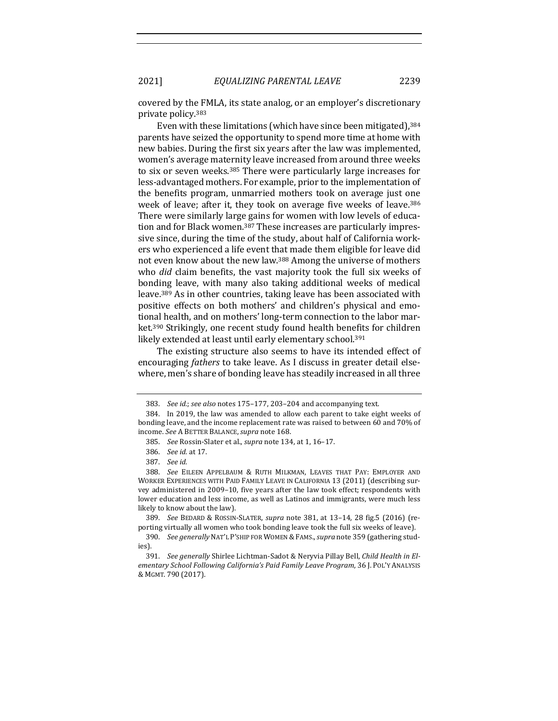covered by the FMLA, its state analog, or an employer's discretionary private policy.<sup>383</sup>

Even with these limitations (which have since been mitigated), $384$ parents have seized the opportunity to spend more time at home with new babies. During the first six years after the law was implemented, women's average maternity leave increased from around three weeks to six or seven weeks.<sup>385</sup> There were particularly large increases for less-advantaged mothers. For example, prior to the implementation of the benefits program, unmarried mothers took on average just one week of leave; after it, they took on average five weeks of leave.<sup>386</sup> There were similarly large gains for women with low levels of education and for Black women.<sup>387</sup> These increases are particularly impressive since, during the time of the study, about half of California workers who experienced a life event that made them eligible for leave did not even know about the new law.<sup>388</sup> Among the universe of mothers who *did* claim benefits, the vast majority took the full six weeks of bonding leave, with many also taking additional weeks of medical leave.<sup>389</sup> As in other countries, taking leave has been associated with positive effects on both mothers' and children's physical and emotional health, and on mothers' long-term connection to the labor market.<sup>390</sup> Strikingly, one recent study found health benefits for children likely extended at least until early elementary school.<sup>391</sup>

The existing structure also seems to have its intended effect of encouraging *fathers* to take leave. As I discuss in greater detail elsewhere, men's share of bonding leave has steadily increased in all three

389. *See* BEDARD & ROSSIN-SLATER, *supra* note 381, at 13–14, 28 fig.5 (2016) (reporting virtually all women who took bonding leave took the full six weeks of leave).

<sup>383.</sup> See id.; see also notes 175-177, 203-204 and accompanying text.

<sup>384.</sup> In 2019, the law was amended to allow each parent to take eight weeks of bonding leave, and the income replacement rate was raised to between 60 and 70% of income. *See* A BETTER BALANCE,*supra* note 168.

<sup>385.</sup> *See* Rossin-Slater et al., *supra* note 134, at 1, 16-17.

<sup>386.</sup> *See id.* at 17.

<sup>387.</sup> *See id.*

<sup>388.</sup> *See* EILEEN APPELBAUM & RUTH MILKMAN, LEAVES THAT PAY: EMPLOYER AND WORKER EXPERIENCES WITH PAID FAMILY LEAVE IN CALIFORNIA 13 (2011) (describing survey administered in 2009-10, five years after the law took effect; respondents with lower education and less income, as well as Latinos and immigrants, were much less likely to know about the law).

<sup>390.</sup> *See generally* NAT'L P'SHIP FOR WOMEN & FAMS., *supra* note 359 (gathering studies).

<sup>391.</sup> *See generally* Shirlee Lichtman-Sadot & Neryvia Pillay Bell, *Child Health in El*ementary School Following California's Paid Family Leave Program, 36 J. POL'Y ANALYSIS & MGMT. 790 (2017).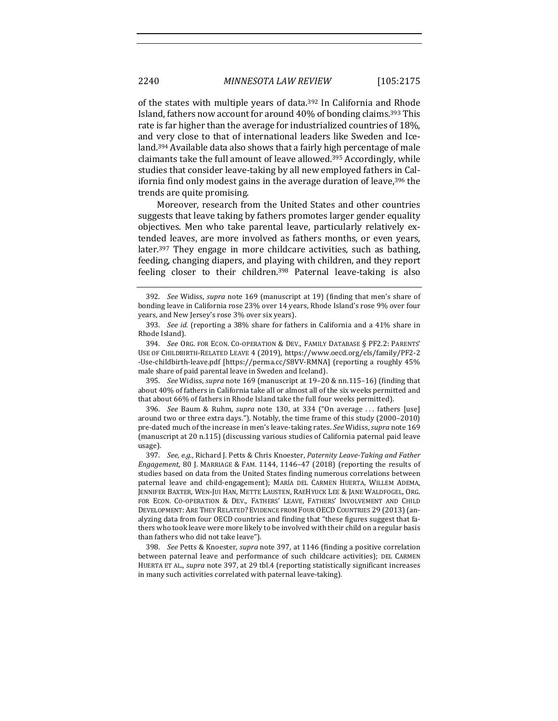of the states with multiple years of data.<sup>392</sup> In California and Rhode Island, fathers now account for around 40% of bonding claims.<sup>393</sup> This rate is far higher than the average for industrialized countries of 18%, and very close to that of international leaders like Sweden and Iceland.<sup>394</sup> Available data also shows that a fairly high percentage of male claimants take the full amount of leave allowed.<sup>395</sup> Accordingly, while studies that consider leave-taking by all new employed fathers in California find only modest gains in the average duration of leave,<sup>396</sup> the trends are quite promising.

Moreover, research from the United States and other countries suggests that leave taking by fathers promotes larger gender equality objectives. Men who take parental leave, particularly relatively extended leaves, are more involved as fathers months, or even years, later.<sup>397</sup> They engage in more childcare activities, such as bathing, feeding, changing diapers, and playing with children, and they report feeling closer to their children.<sup>398</sup> Paternal leave-taking is also

395. *See* Widiss, *supra* note 169 (manuscript at 19-20 & nn.115-16) (finding that about 40% of fathers in California take all or almost all of the six weeks permitted and that about 66% of fathers in Rhode Island take the full four weeks permitted).

396. *See* Baum & Ruhm, *supra* note 130, at 334 ("On average ... fathers [use] around two or three extra days."). Notably, the time frame of this study  $(2000-2010)$ pre-dated much of the increase in men's leave-taking rates. See Widiss, *supra* note 169 (manuscript at 20 n.115) (discussing various studies of California paternal paid leave usage).

397. *See, e.g.*, Richard J. Petts & Chris Knoester, Paternity Leave-Taking and Father *Engagement*, 80 *J.* MARRIAGE & FAM. 1144, 1146–47 (2018) (reporting the results of studies based on data from the United States finding numerous correlations between paternal leave and child-engagement); MARÍA DEL CARMEN HUERTA, WILLEM ADEMA, JENNIFER BAXTER, WEN-JUI HAN, METTE LAUSTEN, RAEHYUCK LEE & JANE WALDFOGEL, ORG. FOR ECON. CO-OPERATION & DEV., FATHERS' LEAVE, FATHERS' INVOLVEMENT AND CHILD DEVELOPMENT: ARE THEY RELATED? EVIDENCE FROM FOUR OECD COUNTRIES 29 (2013) (analyzing data from four OECD countries and finding that "these figures suggest that fathers who took leave were more likely to be involved with their child on a regular basis than fathers who did not take leave").

398. *See* Petts & Knoester, *supra* note 397, at 1146 (finding a positive correlation between paternal leave and performance of such childcare activities); DEL CARMEN HUERTA ET AL., *supra* note 397, at 29 tbl.4 (reporting statistically significant increases in many such activities correlated with paternal leave-taking).

<sup>392.</sup> *See* Widiss, *supra* note 169 (manuscript at 19) (finding that men's share of bonding leave in California rose 23% over 14 years, Rhode Island's rose 9% over four years, and New Jersey's rose 3% over six years).

<sup>393.</sup> *See id.* (reporting a 38% share for fathers in California and a 41% share in Rhode Island).

<sup>394.</sup> *See* ORG. FOR ECON. CO-OPERATION & DEV., FAMILY DATABASE § PF2.2: PARENTS' USE OF CHILDBIRTH-RELATED LEAVE 4 (2019), https://www.oecd.org/els/family/PF2-2 -Use-childbirth-leave.pdf [https://perma.cc/S8VV-RMNA] (reporting a roughly 45% male share of paid parental leave in Sweden and Iceland).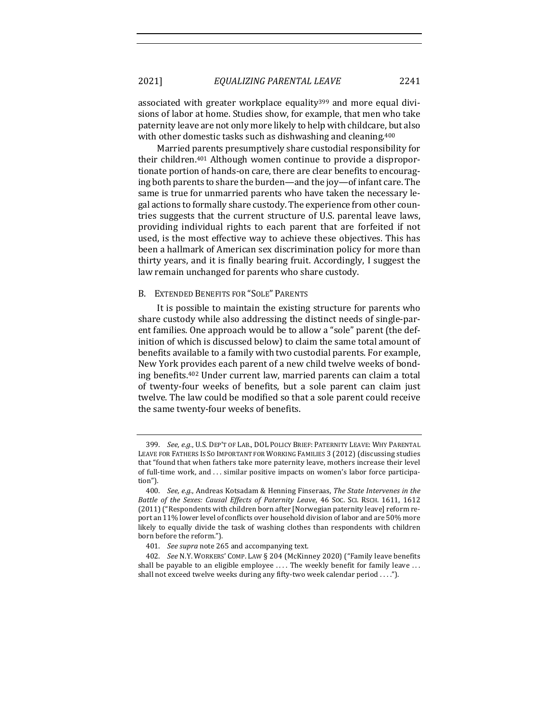associated with greater workplace equality<sup>399</sup> and more equal divisions of labor at home. Studies show, for example, that men who take paternity leave are not only more likely to help with childcare, but also with other domestic tasks such as dishwashing and cleaning.<sup>400</sup>

Married parents presumptively share custodial responsibility for their children.<sup>401</sup> Although women continue to provide a disproportionate portion of hands-on care, there are clear benefits to encouraging both parents to share the burden—and the joy—of infant care. The same is true for unmarried parents who have taken the necessary legal actions to formally share custody. The experience from other countries suggests that the current structure of U.S. parental leave laws, providing individual rights to each parent that are forfeited if not used, is the most effective way to achieve these objectives. This has been a hallmark of American sex discrimination policy for more than thirty years, and it is finally bearing fruit. Accordingly, I suggest the law remain unchanged for parents who share custody.

#### B. EXTENDED BENEFITS FOR "SOLE" PARENTS

It is possible to maintain the existing structure for parents who share custody while also addressing the distinct needs of single-parent families. One approach would be to allow a "sole" parent (the definition of which is discussed below) to claim the same total amount of benefits available to a family with two custodial parents. For example, New York provides each parent of a new child twelve weeks of bonding benefits.<sup>402</sup> Under current law, married parents can claim a total of twenty-four weeks of benefits, but a sole parent can claim just twelve. The law could be modified so that a sole parent could receive the same twenty-four weeks of benefits.

<sup>399.</sup> *See, e.g.*, U.S. DEP'T OF LAB., DOL POLICY BRIEF: PATERNITY LEAVE: WHY PARENTAL LEAVE FOR FATHERS IS SO IMPORTANT FOR WORKING FAMILIES 3 (2012) (discussing studies that "found that when fathers take more paternity leave, mothers increase their level of full-time work, and ... similar positive impacts on women's labor force participation").

<sup>400.</sup> See, e.g., Andreas Kotsadam & Henning Finseraas, The State Intervenes in the *Battle of the Sexes: Causal Effects of Paternity Leave, 46 Soc. Sci. RSCH. 1611, 1612* (2011) ("Respondents with children born after [Norwegian paternity leave] reform report an 11% lower level of conflicts over household division of labor and are 50% more likely to equally divide the task of washing clothes than respondents with children born before the reform.").

<sup>401.</sup> *See supra* note 265 and accompanying text.

<sup>402.</sup> *See* N.Y. WORKERS' COMP. LAW § 204 (McKinney 2020) ("Family leave benefits shall be payable to an eligible employee  $\ldots$  The weekly benefit for family leave  $\ldots$ shall not exceed twelve weeks during any fifty-two week calendar period  $\dots$ ").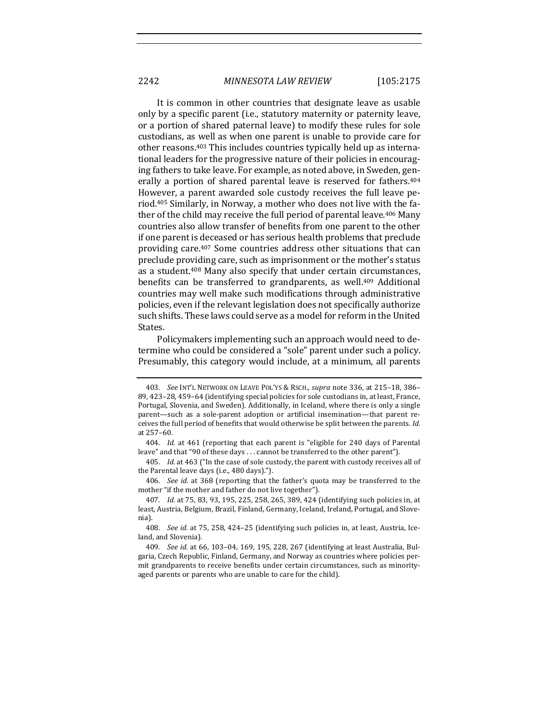It is common in other countries that designate leave as usable only by a specific parent (i.e., statutory maternity or paternity leave, or a portion of shared paternal leave) to modify these rules for sole custodians, as well as when one parent is unable to provide care for other reasons.<sup>403</sup> This includes countries typically held up as international leaders for the progressive nature of their policies in encouraging fathers to take leave. For example, as noted above, in Sweden, generally a portion of shared parental leave is reserved for fathers.<sup>404</sup> However, a parent awarded sole custody receives the full leave period.<sup>405</sup> Similarly, in Norway, a mother who does not live with the father of the child may receive the full period of parental leave.<sup>406</sup> Many countries also allow transfer of benefits from one parent to the other if one parent is deceased or has serious health problems that preclude providing care.<sup>407</sup> Some countries address other situations that can preclude providing care, such as imprisonment or the mother's status as a student.<sup>408</sup> Many also specify that under certain circumstances, benefits can be transferred to grandparents, as well.<sup>409</sup> Additional countries may well make such modifications through administrative policies, even if the relevant legislation does not specifically authorize such shifts. These laws could serve as a model for reform in the United States.

Policymakers implementing such an approach would need to determine who could be considered a "sole" parent under such a policy. Presumably, this category would include, at a minimum, all parents

406. *See id.* at 368 (reporting that the father's quota may be transferred to the mother "if the mother and father do not live together").

<sup>403.</sup> *See* INT'L NETWORK ON LEAVE POL'YS & RSCH., *supra* note 336, at 215–18, 386– 89, 423-28, 459-64 (identifying special policies for sole custodians in, at least, France, Portugal, Slovenia, and Sweden). Additionally, in Iceland, where there is only a single parent—such as a sole-parent adoption or artificial insemination—that parent receives the full period of benefits that would otherwise be split between the parents. *Id.* at 257–60.

<sup>404.</sup> *Id.* at 461 (reporting that each parent is "eligible for 240 days of Parental leave" and that "90 of these days ... cannot be transferred to the other parent").

<sup>405.</sup> *Id.* at 463 ("In the case of sole custody, the parent with custody receives all of the Parental leave days (i.e., 480 days).").

<sup>407.</sup> *Id.* at 75, 83, 93, 195, 225, 258, 265, 389, 424 (identifying such policies in, at least, Austria, Belgium, Brazil, Finland, Germany, Iceland, Ireland, Portugal, and Slovenia).

<sup>408.</sup> *See id.* at 75, 258, 424-25 (identifying such policies in, at least, Austria, Iceland, and Slovenia).

<sup>409.</sup> *See id.* at 66, 103-04, 169, 195, 228, 267 (identifying at least Australia, Bulgaria, Czech Republic, Finland, Germany, and Norway as countries where policies permit grandparents to receive benefits under certain circumstances, such as minorityaged parents or parents who are unable to care for the child).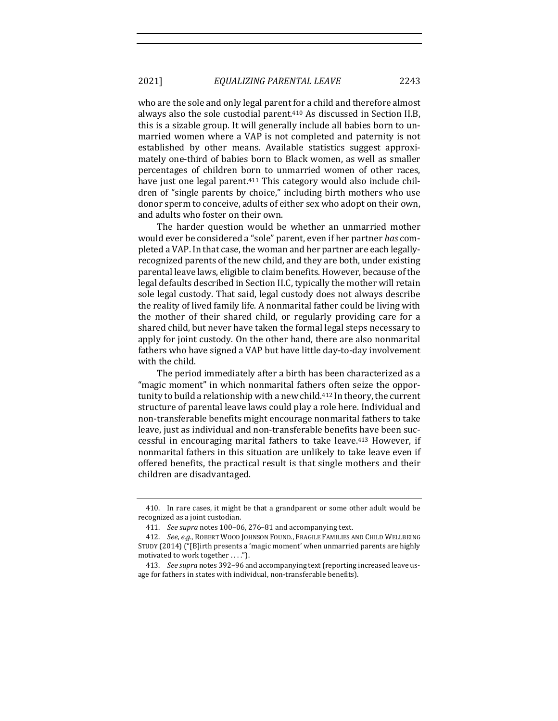who are the sole and only legal parent for a child and therefore almost always also the sole custodial parent.<sup>410</sup> As discussed in Section II.B, this is a sizable group. It will generally include all babies born to unmarried women where a VAP is not completed and paternity is not established by other means. Available statistics suggest approximately one-third of babies born to Black women, as well as smaller percentages of children born to unmarried women of other races, have just one legal parent.<sup>411</sup> This category would also include children of "single parents by choice," including birth mothers who use donor sperm to conceive, adults of either sex who adopt on their own, and adults who foster on their own.

The harder question would be whether an unmarried mother would ever be considered a "sole" parent, even if her partner has completed a VAP. In that case, the woman and her partner are each legallyrecognized parents of the new child, and they are both, under existing parental leave laws, eligible to claim benefits. However, because of the legal defaults described in Section II.C, typically the mother will retain sole legal custody. That said, legal custody does not always describe the reality of lived family life. A nonmarital father could be living with the mother of their shared child, or regularly providing care for a shared child, but never have taken the formal legal steps necessary to apply for joint custody. On the other hand, there are also nonmarital fathers who have signed a VAP but have little day-to-day involvement with the child.

The period immediately after a birth has been characterized as a "magic moment" in which nonmarital fathers often seize the opportunity to build a relationship with a new child.<sup>412</sup> In theory, the current structure of parental leave laws could play a role here. Individual and non-transferable benefits might encourage nonmarital fathers to take leave, just as individual and non-transferable benefits have been successful in encouraging marital fathers to take leave.<sup>413</sup> However, if nonmarital fathers in this situation are unlikely to take leave even if offered benefits, the practical result is that single mothers and their children are disadvantaged.

<sup>410.</sup> In rare cases, it might be that a grandparent or some other adult would be recognized as a joint custodian.

<sup>411.</sup> *See supra* notes 100-06, 276-81 and accompanying text.

<sup>412.</sup> *See, e.g.*, ROBERT WOOD JOHNSON FOUND., FRAGILE FAMILIES AND CHILD WELLBEING STUDY (2014) ("[B]irth presents a 'magic moment' when unmarried parents are highly motivated to work together . . . .").

<sup>413.</sup> *See supra* notes 392–96 and accompanying text (reporting increased leave usage for fathers in states with individual, non-transferable benefits).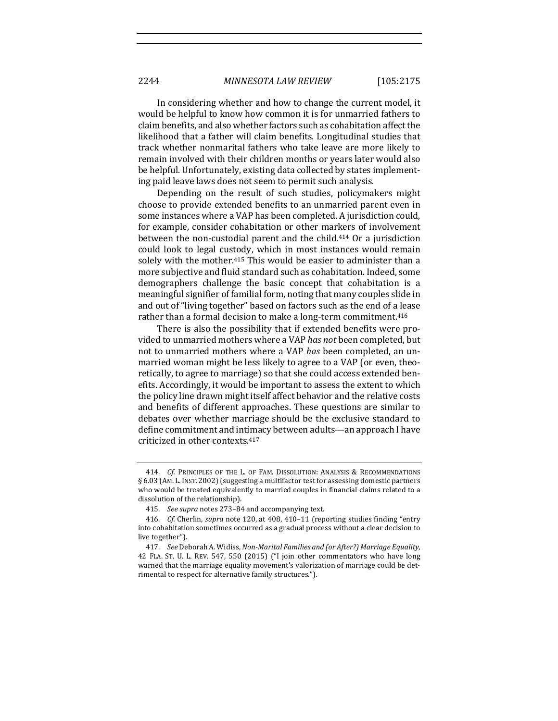In considering whether and how to change the current model, it would be helpful to know how common it is for unmarried fathers to claim benefits, and also whether factors such as cohabitation affect the likelihood that a father will claim benefits. Longitudinal studies that track whether nonmarital fathers who take leave are more likely to remain involved with their children months or years later would also be helpful. Unfortunately, existing data collected by states implementing paid leave laws does not seem to permit such analysis.

Depending on the result of such studies, policymakers might choose to provide extended benefits to an unmarried parent even in some instances where a VAP has been completed. A jurisdiction could, for example, consider cohabitation or other markers of involvement between the non-custodial parent and the child.<sup>414</sup> Or a jurisdiction could look to legal custody, which in most instances would remain solely with the mother.<sup>415</sup> This would be easier to administer than a more subjective and fluid standard such as cohabitation. Indeed, some demographers challenge the basic concept that cohabitation is a meaningful signifier of familial form, noting that many couples slide in and out of "living together" based on factors such as the end of a lease rather than a formal decision to make a long-term commitment.<sup>416</sup>

There is also the possibility that if extended benefits were provided to unmarried mothers where a VAP has not been completed, but not to unmarried mothers where a VAP has been completed, an unmarried woman might be less likely to agree to a VAP (or even, theoretically, to agree to marriage) so that she could access extended benefits. Accordingly, it would be important to assess the extent to which the policy line drawn might itself affect behavior and the relative costs and benefits of different approaches. These questions are similar to debates over whether marriage should be the exclusive standard to define commitment and intimacy between adults—an approach I have criticized in other contexts.<sup>417</sup>

<sup>414.</sup> *Cf.* PRINCIPLES OF THE L. OF FAM. DISSOLUTION: ANALYSIS & RECOMMENDATIONS § 6.03 (AM. L. INST. 2002) (suggesting a multifactor test for assessing domestic partners who would be treated equivalently to married couples in financial claims related to a dissolution of the relationship).

<sup>415.</sup> *See supra* notes 273-84 and accompanying text.

<sup>416.</sup> *Cf.* Cherlin, *supra* note 120, at 408, 410–11 (reporting studies finding "entry into cohabitation sometimes occurred as a gradual process without a clear decision to live together").

<sup>417.</sup> *See* Deborah A. Widiss, *Non-Marital Families and (or After?) Marriage Equality,* 42 FLA. ST. U. L. REV. 547, 550 (2015) ("I join other commentators who have long warned that the marriage equality movement's valorization of marriage could be detrimental to respect for alternative family structures.").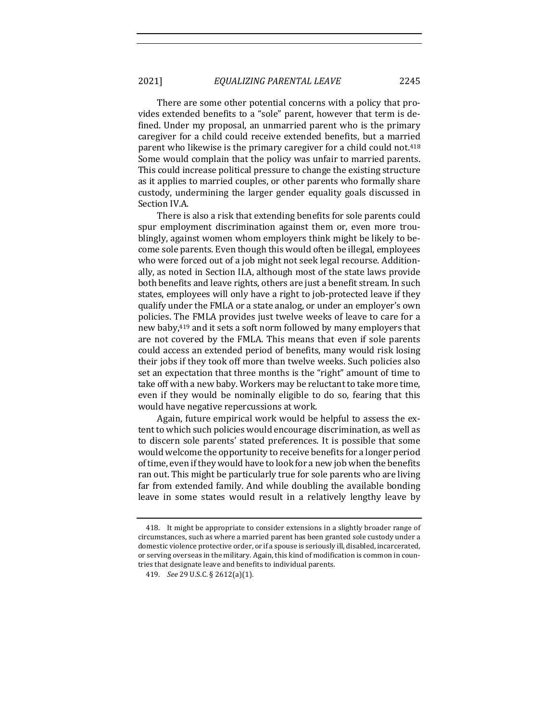There are some other potential concerns with a policy that provides extended benefits to a "sole" parent, however that term is defined. Under my proposal, an unmarried parent who is the primary caregiver for a child could receive extended benefits, but a married parent who likewise is the primary caregiver for a child could not.<sup>418</sup> Some would complain that the policy was unfair to married parents. This could increase political pressure to change the existing structure as it applies to married couples, or other parents who formally share custody, undermining the larger gender equality goals discussed in Section IV.A.

There is also a risk that extending benefits for sole parents could spur employment discrimination against them or, even more troublingly, against women whom employers think might be likely to become sole parents. Even though this would often be illegal, employees who were forced out of a job might not seek legal recourse. Additionally, as noted in Section II.A, although most of the state laws provide both benefits and leave rights, others are just a benefit stream. In such states, employees will only have a right to job-protected leave if they qualify under the FMLA or a state analog, or under an employer's own policies. The FMLA provides just twelve weeks of leave to care for a new baby,<sup>419</sup> and it sets a soft norm followed by many employers that are not covered by the FMLA. This means that even if sole parents could access an extended period of benefits, many would risk losing their jobs if they took off more than twelve weeks. Such policies also set an expectation that three months is the "right" amount of time to take off with a new baby. Workers may be reluctant to take more time, even if they would be nominally eligible to do so, fearing that this would have negative repercussions at work.

Again, future empirical work would be helpful to assess the extent to which such policies would encourage discrimination, as well as to discern sole parents' stated preferences. It is possible that some would welcome the opportunity to receive benefits for a longer period of time, even if they would have to look for a new job when the benefits ran out. This might be particularly true for sole parents who are living far from extended family. And while doubling the available bonding leave in some states would result in a relatively lengthy leave by

<sup>418.</sup> It might be appropriate to consider extensions in a slightly broader range of circumstances, such as where a married parent has been granted sole custody under a domestic violence protective order, or if a spouse is seriously ill, disabled, incarcerated, or serving overseas in the military. Again, this kind of modification is common in countries that designate leave and benefits to individual parents.

<sup>419.</sup> *See* 29 U.S.C. § 2612(a)(1).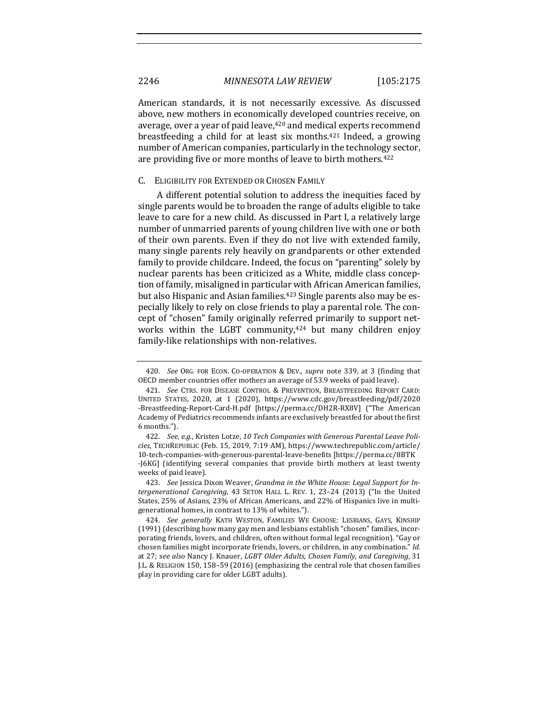American standards, it is not necessarily excessive. As discussed above, new mothers in economically developed countries receive, on average, over a year of paid leave, <sup>420</sup> and medical experts recommend breastfeeding a child for at least six months.<sup>421</sup> Indeed, a growing number of American companies, particularly in the technology sector, are providing five or more months of leave to birth mothers.<sup>422</sup>

## C. ELIGIBILITY FOR EXTENDED OR CHOSEN FAMILY

A different potential solution to address the inequities faced by single parents would be to broaden the range of adults eligible to take leave to care for a new child. As discussed in Part I, a relatively large number of unmarried parents of young children live with one or both of their own parents. Even if they do not live with extended family, many single parents rely heavily on grandparents or other extended family to provide childcare. Indeed, the focus on "parenting" solely by nuclear parents has been criticized as a White, middle class conception of family, misaligned in particular with African American families, but also Hispanic and Asian families.<sup>423</sup> Single parents also may be especially likely to rely on close friends to play a parental role. The concept of "chosen" family originally referred primarily to support networks within the LGBT community, $424$  but many children enjoy family-like relationships with non-relatives.

<sup>420.</sup> *See* ORG. FOR ECON. CO-OPERATION & DEV., *supra* note 339, at 3 (finding that OECD member countries offer mothers an average of 53.9 weeks of paid leave).

<sup>421.</sup> *See* CTRS. FOR DISEASE CONTROL & PREVENTION, BREASTFEEDING REPORT CARD: UNITED STATES, 2020, at 1 (2020), https://www.cdc.gov/breastfeeding/pdf/2020 -Breastfeeding-Report-Card-H.pdf [https://perma.cc/DH2R-RX8V] ("The American Academy of Pediatrics recommends infants are exclusively breastfed for about the first 6 months.").

<sup>422.</sup> See, e.g., Kristen Lotze, 10 Tech Companies with Generous Parental Leave Poli*cies*, TECHREPUBLIC (Feb. 15, 2019, 7:19 AM), https://www.techrepublic.com/article/ 10-tech-companies-with-generous-parental-leave-benefits [https://perma.cc/8BTK -J6KG] (identifying several companies that provide birth mothers at least twenty weeks of paid leave).

<sup>423.</sup> See Jessica Dixon Weaver, Grandma in the White House: Legal Support for In*tergenerational Caregiving*, 43 SETON HALL L. REV. 1, 23-24 (2013) ("In the United States, 25% of Asians, 23% of African Americans, and 22% of Hispanics live in multigenerational homes, in contrast to 13% of whites.").

<sup>424.</sup> *See generally* KATH WESTON, FAMILIES WE CHOOSE: LESBIANS, GAYS, KINSHIP  $(1991)$  (describing how many gay men and lesbians establish "chosen" families, incorporating friends, lovers, and children, often without formal legal recognition). "Gay or chosen families might incorporate friends, lovers, or children, in any combination." *Id.* at 27; see also Nancy J. Knauer, *LGBT Older Adults, Chosen Family, and Caregiving*, 31 J.L. & RELIGION 150, 158-59 (2016) (emphasizing the central role that chosen families play in providing care for older LGBT adults).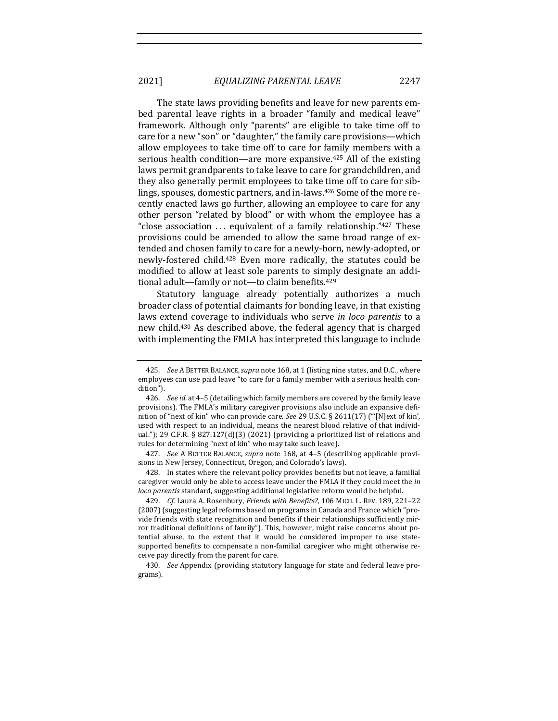The state laws providing benefits and leave for new parents embed parental leave rights in a broader "family and medical leave" framework. Although only "parents" are eligible to take time off to care for a new "son" or "daughter," the family care provisions—which allow employees to take time off to care for family members with a serious health condition—are more expansive.<sup>425</sup> All of the existing laws permit grandparents to take leave to care for grandchildren, and they also generally permit employees to take time off to care for siblings, spouses, domestic partners, and in-laws.<sup>426</sup> Some of the more recently enacted laws go further, allowing an employee to care for any other person "related by blood" or with whom the employee has a "close association  $\ldots$  equivalent of a family relationship." $427$  These provisions could be amended to allow the same broad range of extended and chosen family to care for a newly-born, newly-adopted, or newly-fostered child.<sup>428</sup> Even more radically, the statutes could be modified to allow at least sole parents to simply designate an additional adult—family or not—to claim benefits.<sup>429</sup>

Statutory language already potentially authorizes a much broader class of potential claimants for bonding leave, in that existing laws extend coverage to individuals who serve *in loco parentis* to a new child.<sup>430</sup> As described above, the federal agency that is charged with implementing the FMLA has interpreted this language to include

427. *See* A BETTER BALANCE, *supra* note 168, at 4–5 (describing applicable provisions in New Jersey, Connecticut, Oregon, and Colorado's laws).

428. In states where the relevant policy provides benefits but not leave, a familial caregiver would only be able to access leave under the FMLA if they could meet the *in loco parentis* standard, suggesting additional legislative reform would be helpful.

429. *Cf.* Laura A. Rosenbury, *Friends with Benefits?*, 106 MICH. L. REV. 189, 221-22 (2007) (suggesting legal reforms based on programs in Canada and France which "provide friends with state recognition and benefits if their relationships sufficiently mirror traditional definitions of family"). This, however, might raise concerns about potential abuse, to the extent that it would be considered improper to use statesupported benefits to compensate a non-familial caregiver who might otherwise receive pay directly from the parent for care.

430. *See* Appendix (providing statutory language for state and federal leave programs).

<sup>425.</sup> *See* A BETTER BALANCE, *supra* note 168, at 1 (listing nine states, and D.C., where employees can use paid leave "to care for a family member with a serious health condition").

<sup>426.</sup> *See id.* at 4-5 (detailing which family members are covered by the family leave provisions). The FMLA's military caregiver provisions also include an expansive definition of "next of kin" who can provide care. See 29 U.S.C. § 2611(17) ("'[N]ext of kin', used with respect to an individual, means the nearest blood relative of that individual."); 29 C.F.R. § 827.127(d)(3) (2021) (providing a prioritized list of relations and rules for determining "next of kin" who may take such leave).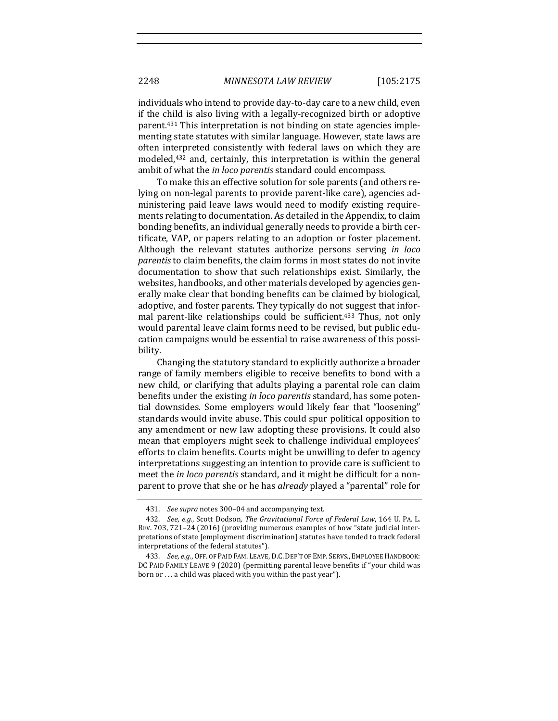individuals who intend to provide day-to-day care to a new child, even if the child is also living with a legally-recognized birth or adoptive parent.<sup>431</sup> This interpretation is not binding on state agencies implementing state statutes with similar language. However, state laws are often interpreted consistently with federal laws on which they are modeled, $432$  and, certainly, this interpretation is within the general ambit of what the *in loco parentis* standard could encompass.

To make this an effective solution for sole parents (and others relying on non-legal parents to provide parent-like care), agencies administering paid leave laws would need to modify existing requirements relating to documentation. As detailed in the Appendix, to claim bonding benefits, an individual generally needs to provide a birth certificate, VAP, or papers relating to an adoption or foster placement. Although the relevant statutes authorize persons serving *in loco parentis* to claim benefits, the claim forms in most states do not invite documentation to show that such relationships exist. Similarly, the websites, handbooks, and other materials developed by agencies generally make clear that bonding benefits can be claimed by biological, adoptive, and foster parents. They typically do not suggest that informal parent-like relationships could be sufficient.<sup>433</sup> Thus, not only would parental leave claim forms need to be revised, but public education campaigns would be essential to raise awareness of this possibility. 

Changing the statutory standard to explicitly authorize a broader range of family members eligible to receive benefits to bond with a new child, or clarifying that adults playing a parental role can claim benefits under the existing *in loco parentis* standard, has some potential downsides. Some employers would likely fear that "loosening" standards would invite abuse. This could spur political opposition to any amendment or new law adopting these provisions. It could also mean that employers might seek to challenge individual employees' efforts to claim benefits. Courts might be unwilling to defer to agency interpretations suggesting an intention to provide care is sufficient to meet the *in loco parentis* standard, and it might be difficult for a nonparent to prove that she or he has *already* played a "parental" role for

<sup>431.</sup> *See supra* notes 300–04 and accompanying text.

<sup>432.</sup> *See, e.g.*, Scott Dodson, The Gravitational Force of Federal Law, 164 U. PA. L. REV. 703, 721-24 (2016) (providing numerous examples of how "state judicial interpretations of state [employment discrimination] statutes have tended to track federal interpretations of the federal statutes").

<sup>433.</sup> *See, e.g.*, OFF. OF PAID FAM. LEAVE, D.C. DEP'T OF EMP. SERVS., EMPLOYEE HANDBOOK: DC PAID FAMILY LEAVE 9 (2020) (permitting parental leave benefits if "your child was born or  $\dots$  a child was placed with you within the past year").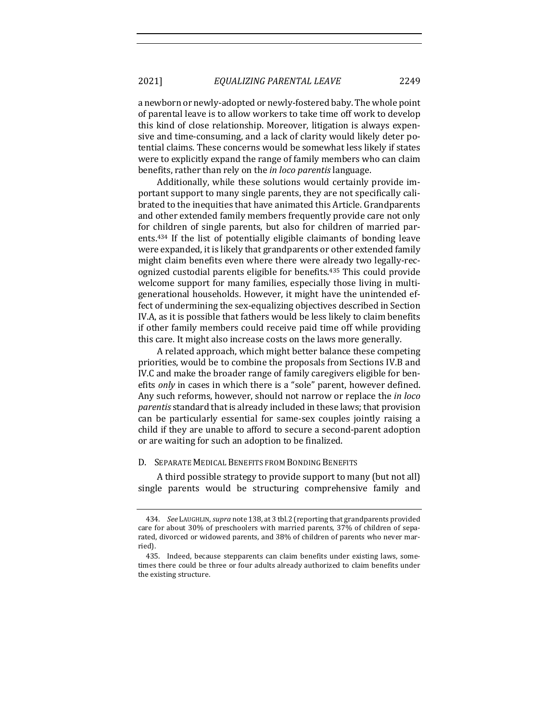a newborn or newly-adopted or newly-fostered baby. The whole point of parental leave is to allow workers to take time off work to develop this kind of close relationship. Moreover, litigation is always expensive and time-consuming, and a lack of clarity would likely deter potential claims. These concerns would be somewhat less likely if states were to explicitly expand the range of family members who can claim benefits, rather than rely on the *in loco parentis* language.

Additionally, while these solutions would certainly provide important support to many single parents, they are not specifically calibrated to the inequities that have animated this Article. Grandparents and other extended family members frequently provide care not only for children of single parents, but also for children of married parents.<sup>434</sup> If the list of potentially eligible claimants of bonding leave were expanded, it is likely that grandparents or other extended family might claim benefits even where there were already two legally-recognized custodial parents eligible for benefits.<sup>435</sup> This could provide welcome support for many families, especially those living in multigenerational households. However, it might have the unintended effect of undermining the sex-equalizing objectives described in Section IV.A, as it is possible that fathers would be less likely to claim benefits if other family members could receive paid time off while providing this care. It might also increase costs on the laws more generally.

A related approach, which might better balance these competing priorities, would be to combine the proposals from Sections IV.B and IV.C and make the broader range of family caregivers eligible for benefits *only* in cases in which there is a "sole" parent, however defined. Any such reforms, however, should not narrow or replace the *in loco parentis* standard that is already included in these laws; that provision can be particularly essential for same-sex couples jointly raising a child if they are unable to afford to secure a second-parent adoption or are waiting for such an adoption to be finalized.

### D. SEPARATE MEDICAL BENEFITS FROM BONDING BENEFITS

A third possible strategy to provide support to many (but not all) single parents would be structuring comprehensive family and

<sup>434.</sup> *See* LAUGHLIN, *supra* note 138, at 3 tbl.2 (reporting that grandparents provided care for about 30% of preschoolers with married parents, 37% of children of separated, divorced or widowed parents, and 38% of children of parents who never married).

<sup>435.</sup> Indeed, because stepparents can claim benefits under existing laws, sometimes there could be three or four adults already authorized to claim benefits under the existing structure.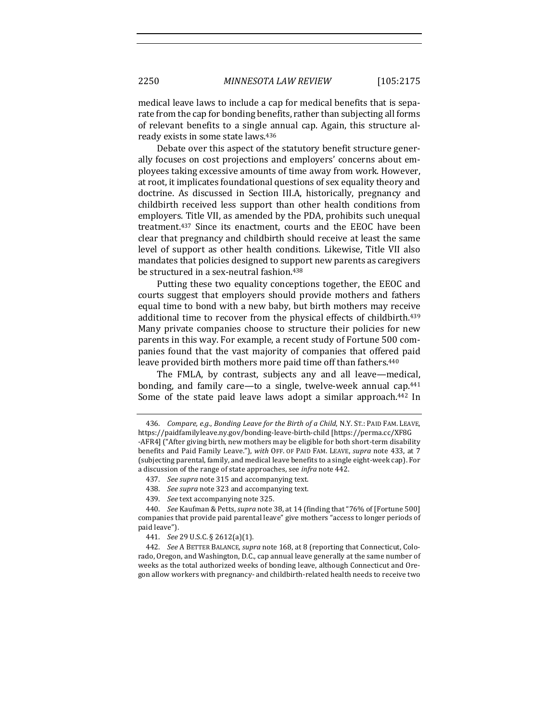medical leave laws to include a cap for medical benefits that is separate from the cap for bonding benefits, rather than subjecting all forms of relevant benefits to a single annual cap. Again, this structure already exists in some state laws.<sup>436</sup>

Debate over this aspect of the statutory benefit structure generally focuses on cost projections and employers' concerns about employees taking excessive amounts of time away from work. However, at root, it implicates foundational questions of sex equality theory and doctrine. As discussed in Section III.A, historically, pregnancy and childbirth received less support than other health conditions from employers. Title VII, as amended by the PDA, prohibits such unequal treatment.<sup>437</sup> Since its enactment, courts and the EEOC have been clear that pregnancy and childbirth should receive at least the same level of support as other health conditions. Likewise, Title VII also mandates that policies designed to support new parents as caregivers be structured in a sex-neutral fashion.<sup>438</sup>

Putting these two equality conceptions together, the EEOC and courts suggest that employers should provide mothers and fathers equal time to bond with a new baby, but birth mothers may receive additional time to recover from the physical effects of childbirth.<sup>439</sup> Many private companies choose to structure their policies for new parents in this way. For example, a recent study of Fortune 500 companies found that the vast majority of companies that offered paid leave provided birth mothers more paid time off than fathers.<sup>440</sup>

The FMLA, by contrast, subjects any and all leave—medical, bonding, and family care—to a single, twelve-week annual cap.<sup>441</sup> Some of the state paid leave laws adopt a similar approach.<sup>442</sup> In

439. *See* text accompanying note 325.

440. *See* Kaufman & Petts, *supra* note 38, at 14 (finding that "76% of [Fortune 500] companies that provide paid parental leave" give mothers "access to longer periods of paid leave").

441. *See* 29 U.S.C. § 2612(a)(1).

442. *See* A BETTER BALANCE, *supra* note 168, at 8 (reporting that Connecticut, Colorado, Oregon, and Washington, D.C., cap annual leave generally at the same number of weeks as the total authorized weeks of bonding leave, although Connecticut and Oregon allow workers with pregnancy- and childbirth-related health needs to receive two

<sup>436.</sup> *Compare, e.g., Bonding Leave for the Birth of a Child, N.Y. ST.: PAID FAM. LEAVE,* https://paidfamilyleave.ny.gov/bonding-leave-birth-child [https://perma.cc/XF8G -AFR4] ("After giving birth, new mothers may be eligible for both short-term disability benefits and Paid Family Leave."), with OFF. OF PAID FAM. LEAVE, *supra* note 433, at 7 (subjecting parental, family, and medical leave benefits to a single eight-week cap). For a discussion of the range of state approaches, see *infra* note 442.

<sup>437.</sup> *See supra* note 315 and accompanying text.

<sup>438.</sup> See supra note 323 and accompanying text.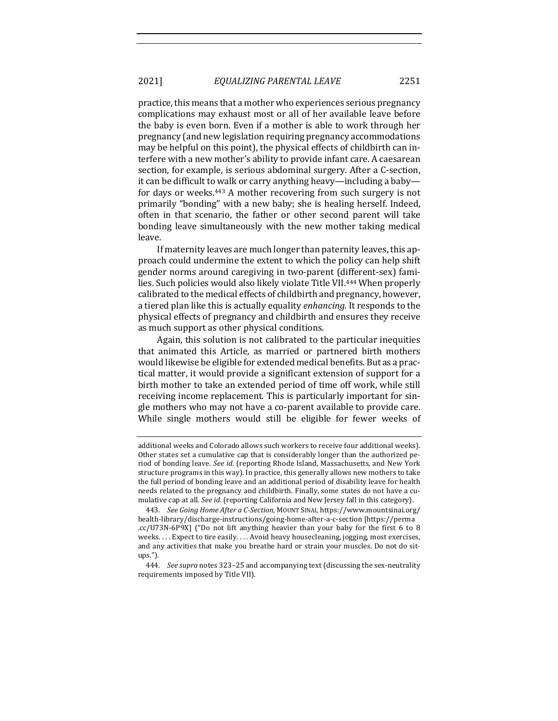practice, this means that a mother who experiences serious pregnancy complications may exhaust most or all of her available leave before the baby is even born. Even if a mother is able to work through her pregnancy (and new legislation requiring pregnancy accommodations may be helpful on this point), the physical effects of childbirth can interfere with a new mother's ability to provide infant care. A caesarean section, for example, is serious abdominal surgery. After a C-section, it can be difficult to walk or carry anything heavy—including a baby for days or weeks.<sup>443</sup> A mother recovering from such surgery is not primarily "bonding" with a new baby; she is healing herself. Indeed, often in that scenario, the father or other second parent will take bonding leave simultaneously with the new mother taking medical leave. 

If maternity leaves are much longer than paternity leaves, this approach could undermine the extent to which the policy can help shift gender norms around caregiving in two-parent (different-sex) families. Such policies would also likely violate Title VII.<sup>444</sup> When properly calibrated to the medical effects of childbirth and pregnancy, however, a tiered plan like this is actually equality *enhancing*. It responds to the physical effects of pregnancy and childbirth and ensures they receive as much support as other physical conditions.

Again, this solution is not calibrated to the particular inequities that animated this Article, as married or partnered birth mothers would likewise be eligible for extended medical benefits. But as a practical matter, it would provide a significant extension of support for a birth mother to take an extended period of time off work, while still receiving income replacement. This is particularly important for single mothers who may not have a co-parent available to provide care. While single mothers would still be eligible for fewer weeks of

additional weeks and Colorado allows such workers to receive four additional weeks). Other states set a cumulative cap that is considerably longer than the authorized period of bonding leave. See id. (reporting Rhode Island, Massachusetts, and New York structure programs in this way). In practice, this generally allows new mothers to take the full period of bonding leave and an additional period of disability leave for health needs related to the pregnancy and childbirth. Finally, some states do not have a cumulative cap at all. See id. (reporting California and New Jersey fall in this category).

<sup>443.</sup> See Going Home After a C-Section, MOUNT SINAI, https://www.mountsinai.org/ health-library/discharge-instructions/going-home-after-a-c-section [https://perma .cc/U73N-6P9X] ("Do not lift anything heavier than your baby for the first 6 to 8 weeks.... Expect to tire easily.... Avoid heavy housecleaning, jogging, most exercises, and any activities that make you breathe hard or strain your muscles. Do not do situps.").

<sup>444.</sup> *See supra* notes 323–25 and accompanying text (discussing the sex-neutrality requirements imposed by Title VII).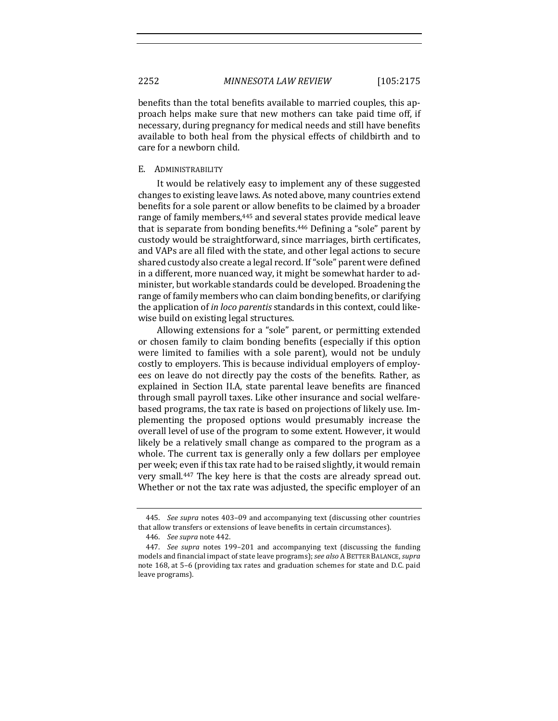benefits than the total benefits available to married couples, this approach helps make sure that new mothers can take paid time off, if necessary, during pregnancy for medical needs and still have benefits available to both heal from the physical effects of childbirth and to care for a newborn child.

### E. ADMINISTRABILITY

It would be relatively easy to implement any of these suggested changes to existing leave laws. As noted above, many countries extend benefits for a sole parent or allow benefits to be claimed by a broader range of family members,<sup>445</sup> and several states provide medical leave that is separate from bonding benefits.<sup>446</sup> Defining a "sole" parent by custody would be straightforward, since marriages, birth certificates, and VAPs are all filed with the state, and other legal actions to secure shared custody also create a legal record. If "sole" parent were defined in a different, more nuanced way, it might be somewhat harder to administer, but workable standards could be developed. Broadening the range of family members who can claim bonding benefits, or clarifying the application of *in loco parentis* standards in this context, could likewise build on existing legal structures.

Allowing extensions for a "sole" parent, or permitting extended or chosen family to claim bonding benefits (especially if this option were limited to families with a sole parent), would not be unduly costly to employers. This is because individual employers of employees on leave do not directly pay the costs of the benefits. Rather, as explained in Section II.A, state parental leave benefits are financed through small payroll taxes. Like other insurance and social welfarebased programs, the tax rate is based on projections of likely use. Implementing the proposed options would presumably increase the overall level of use of the program to some extent. However, it would likely be a relatively small change as compared to the program as a whole. The current tax is generally only a few dollars per employee per week; even if this tax rate had to be raised slightly, it would remain very small.<sup>447</sup> The key here is that the costs are already spread out. Whether or not the tax rate was adjusted, the specific employer of an

<sup>445.</sup> *See supra* notes 403-09 and accompanying text (discussing other countries that allow transfers or extensions of leave benefits in certain circumstances).

<sup>446.</sup> *See supra* note 442.

<sup>447.</sup> *See supra* notes 199–201 and accompanying text (discussing the funding models and financial impact of state leave programs); see also A BETTER BALANCE, supra note 168, at 5-6 (providing tax rates and graduation schemes for state and D.C. paid leave programs).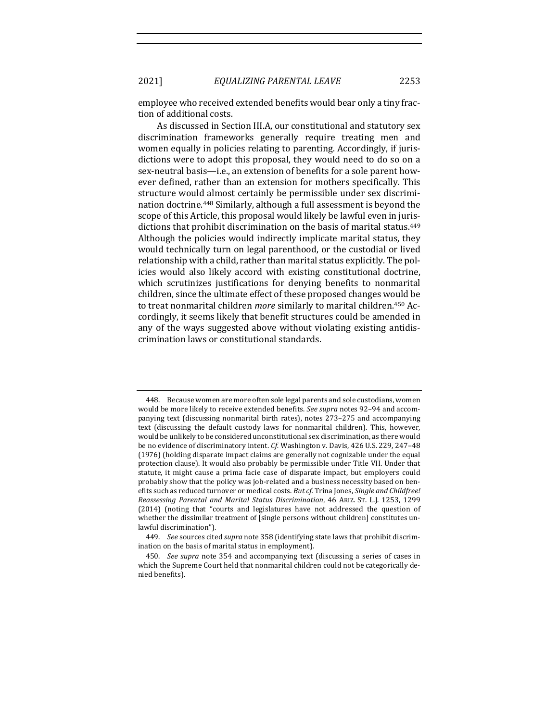employee who received extended benefits would bear only a tiny fraction of additional costs.

As discussed in Section III.A, our constitutional and statutory sex discrimination frameworks generally require treating men and women equally in policies relating to parenting. Accordingly, if jurisdictions were to adopt this proposal, they would need to do so on a sex-neutral basis—i.e., an extension of benefits for a sole parent however defined, rather than an extension for mothers specifically. This structure would almost certainly be permissible under sex discrimination doctrine.<sup>448</sup> Similarly, although a full assessment is beyond the scope of this Article, this proposal would likely be lawful even in jurisdictions that prohibit discrimination on the basis of marital status.<sup>449</sup> Although the policies would indirectly implicate marital status, they would technically turn on legal parenthood, or the custodial or lived relationship with a child, rather than marital status explicitly. The policies would also likely accord with existing constitutional doctrine, which scrutinizes justifications for denying benefits to nonmarital children, since the ultimate effect of these proposed changes would be to treat nonmarital children *more* similarly to marital children.<sup>450</sup> Accordingly, it seems likely that benefit structures could be amended in any of the ways suggested above without violating existing antidiscrimination laws or constitutional standards. 

<sup>448.</sup> Because women are more often sole legal parents and sole custodians, women would be more likely to receive extended benefits. See supra notes 92-94 and accompanying text (discussing nonmarital birth rates), notes  $273-275$  and accompanying text (discussing the default custody laws for nonmarital children). This, however, would be unlikely to be considered unconstitutional sex discrimination, as there would be no evidence of discriminatory intent. *Cf.* Washington v. Davis, 426 U.S. 229, 247-48 (1976) (holding disparate impact claims are generally not cognizable under the equal protection clause). It would also probably be permissible under Title VII. Under that statute, it might cause a prima facie case of disparate impact, but employers could probably show that the policy was job-related and a business necessity based on benefits such as reduced turnover or medical costs. But cf. Trina Jones, Single and Childfree! *Reassessing Parental and Marital Status Discrimination*, 46 ARIZ. ST. L.J. 1253, 1299 (2014) (noting that "courts and legislatures have not addressed the question of whether the dissimilar treatment of [single persons without children] constitutes unlawful discrimination").

<sup>449.</sup> *See* sources cited *supra* note 358 (identifying state laws that prohibit discrimination on the basis of marital status in employment).

<sup>450.</sup> *See supra* note 354 and accompanying text (discussing a series of cases in which the Supreme Court held that nonmarital children could not be categorically denied benefits).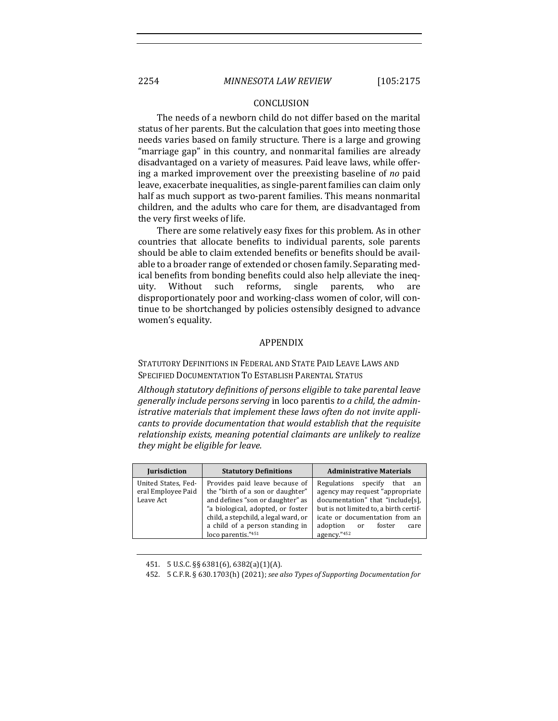#### CONCLUSION

The needs of a newborn child do not differ based on the marital status of her parents. But the calculation that goes into meeting those needs varies based on family structure. There is a large and growing "marriage gap" in this country, and nonmarital families are already disadvantaged on a variety of measures. Paid leave laws, while offering a marked improvement over the preexisting baseline of *no* paid leave, exacerbate inequalities, as single-parent families can claim only half as much support as two-parent families. This means nonmarital children, and the adults who care for them, are disadvantaged from the very first weeks of life.

There are some relatively easy fixes for this problem. As in other countries that allocate benefits to individual parents, sole parents should be able to claim extended benefits or benefits should be available to a broader range of extended or chosen family. Separating medical benefits from bonding benefits could also help alleviate the inequity. Without such reforms, single parents, who are disproportionately poor and working-class women of color, will continue to be shortchanged by policies ostensibly designed to advance women's equality.

## APPENDIX

STATUTORY DEFINITIONS IN FEDERAL AND STATE PAID LEAVE LAWS AND SPECIFIED DOCUMENTATION TO ESTABLISH PARENTAL STATUS

Although statutory definitions of persons eligible to take parental leave generally include persons serving in loco parentis to a child, the admin*istrative materials that implement these laws often do not invite applicants to provide documentation that would establish that the requisite relationship* exists, meaning potential claimants are unlikely to realize *they might be eligible for leave.*

| <b>Jurisdiction</b>                                    | <b>Statutory Definitions</b>                                                                                                                                                                                                                 | <b>Administrative Materials</b>                                                                                                                                                                                                 |
|--------------------------------------------------------|----------------------------------------------------------------------------------------------------------------------------------------------------------------------------------------------------------------------------------------------|---------------------------------------------------------------------------------------------------------------------------------------------------------------------------------------------------------------------------------|
| United States, Fed-<br>eral Employee Paid<br>Leave Act | Provides paid leave because of<br>the "birth of a son or daughter"<br>and defines "son or daughter" as<br>"a biological, adopted, or foster<br>child, a stepchild, a legal ward, or<br>a child of a person standing in<br>loco parentis."451 | Regulations specify that an<br>agency may request "appropriate"<br>documentation" that "include[s],<br>but is not limited to, a birth certif-<br>icate or documentation from an<br>adoption or<br>foster<br>care<br>agency."452 |

<sup>451.</sup> 5 U.S.C. §§ 6381(6), 6382(a)(1)(A).

<sup>452. 5</sup> C.F.R. § 630.1703(h) (2021); see also Types of Supporting Documentation for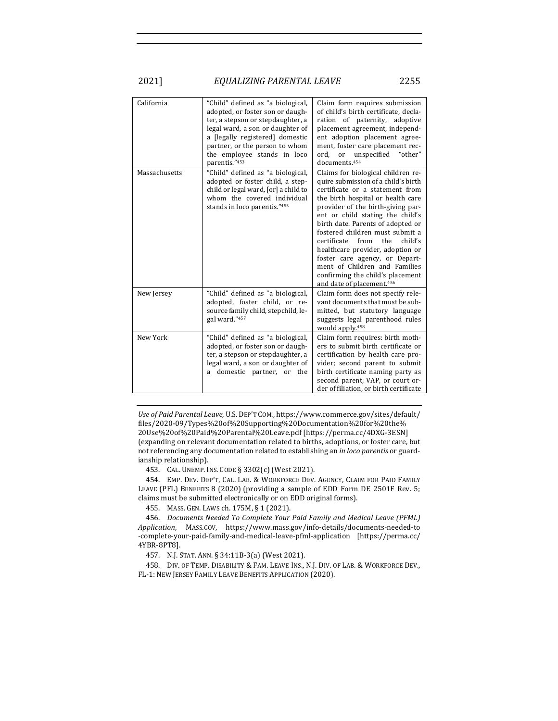| California    | "Child" defined as "a biological,<br>adopted, or foster son or daugh-<br>ter, a stepson or stepdaughter, a<br>legal ward, a son or daughter of<br>a [legally registered] domestic<br>partner, or the person to whom<br>the employee stands in loco<br>parentis."453 | Claim form requires submission<br>of child's birth certificate, decla-<br>ration of paternity, adoptive<br>placement agreement, independ-<br>ent adoption placement agree-<br>ment, foster care placement rec-<br><sub>or</sub><br>unspecified "other"<br>ord.<br>documents. <sup>454</sup>                                                                                                                                                                                                                                  |
|---------------|---------------------------------------------------------------------------------------------------------------------------------------------------------------------------------------------------------------------------------------------------------------------|------------------------------------------------------------------------------------------------------------------------------------------------------------------------------------------------------------------------------------------------------------------------------------------------------------------------------------------------------------------------------------------------------------------------------------------------------------------------------------------------------------------------------|
| Massachusetts | "Child" defined as "a biological,<br>adopted or foster child, a step-<br>child or legal ward, [or] a child to<br>whom the covered individual<br>stands in loco parentis."455                                                                                        | Claims for biological children re-<br>quire submission of a child's birth<br>certificate or a statement from<br>the birth hospital or health care<br>provider of the birth-giving par-<br>ent or child stating the child's<br>birth date. Parents of adopted or<br>fostered children must submit a<br>certificate from<br>the<br>child's<br>healthcare provider, adoption or<br>foster care agency, or Depart-<br>ment of Children and Families<br>confirming the child's placement<br>and date of placement. <sup>456</sup> |
| New Jersey    | "Child" defined as "a biological,<br>adopted, foster child, or re-<br>source family child, stepchild, le-<br>gal ward."457                                                                                                                                          | Claim form does not specify rele-<br>vant documents that must be sub-<br>mitted, but statutory language<br>suggests legal parenthood rules<br>would apply. <sup>458</sup>                                                                                                                                                                                                                                                                                                                                                    |
| New York      | "Child" defined as "a biological,<br>adopted, or foster son or daugh-<br>ter, a stepson or stepdaughter, a<br>legal ward, a son or daughter of<br>a domestic partner, or the                                                                                        | Claim form requires: birth moth-<br>ers to submit birth certificate or<br>certification by health care pro-<br>vider; second parent to submit<br>birth certificate naming party as<br>second parent, VAP, or court or-<br>der of filiation, or birth certificate                                                                                                                                                                                                                                                             |

Use of Paid Parental Leave, U.S. DEP'T COM., https://www.commerce.gov/sites/default/ files/2020-09/Types%20of%20Supporting%20Documentation%20for%20the% 20Use%20of%20Paid%20Parental%20Leave.pdf [https://perma.cc/4DXG-3ESN] (expanding on relevant documentation related to births, adoptions, or foster care, but not referencing any documentation related to establishing an *in loco parentis* or guardianship relationship).

453. CAL. UNEMP. INS. CODE § 3302(c) (West 2021).

454. EMP. DEV. DEP'T, CAL. LAB. & WORKFORCE DEV. AGENCY, CLAIM FOR PAID FAMILY LEAVE (PFL) BENEFITS 8 (2020) (providing a sample of EDD Form DE 2501F Rev. 5; claims must be submitted electronically or on EDD original forms).

455. MASS. GEN. LAWS ch. 175M, § 1 (2021).

456. *Documents Needed To Complete Your Paid Family and Medical Leave (PFML) Application*, MASS.GOV, https://www.mass.gov/info-details/documents-needed-to -complete-your-paid-family-and-medical-leave-pfml-application [https://perma.cc/ 4YBR-8PT8].

457. N.J. STAT. ANN. § 34:11B-3(a) (West 2021).

458. DIV. OF TEMP. DISABILITY & FAM. LEAVE INS., N.J. DIV. OF LAB. & WORKFORCE DEV., FL-1: NEW JERSEY FAMILY LEAVE BENEFITS APPLICATION (2020).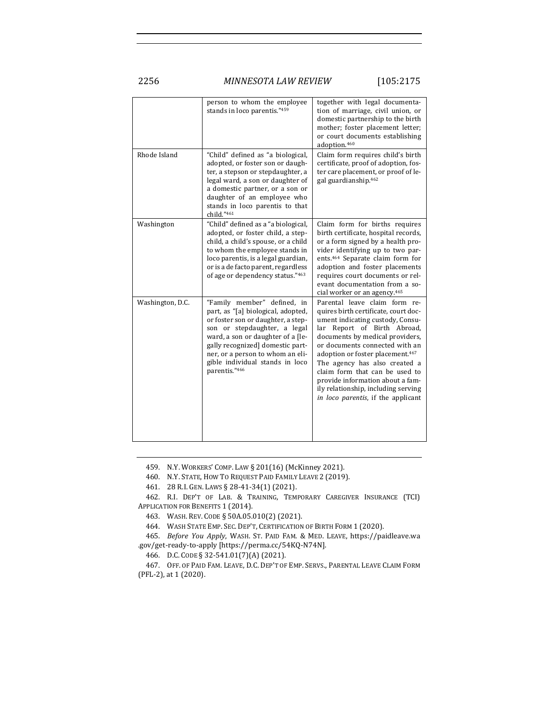2256 *MINNESOTA LAW REVIEW* [105:2175

|                  | person to whom the employee<br>stands in loco parentis."459                                                                                                                                                                                                                                              | together with legal documenta-<br>tion of marriage, civil union, or<br>domestic partnership to the birth<br>mother; foster placement letter;<br>or court documents establishing<br>adoption.460                                                                                                                                                                                                                                                   |
|------------------|----------------------------------------------------------------------------------------------------------------------------------------------------------------------------------------------------------------------------------------------------------------------------------------------------------|---------------------------------------------------------------------------------------------------------------------------------------------------------------------------------------------------------------------------------------------------------------------------------------------------------------------------------------------------------------------------------------------------------------------------------------------------|
| Rhode Island     | "Child" defined as "a biological,<br>adopted, or foster son or daugh-<br>ter, a stepson or stepdaughter, a<br>legal ward, a son or daughter of<br>a domestic partner, or a son or<br>daughter of an employee who<br>stands in loco parentis to that<br>child."461                                        | Claim form requires child's birth<br>certificate, proof of adoption, fos-<br>ter care placement, or proof of le-<br>gal guardianship.462                                                                                                                                                                                                                                                                                                          |
| Washington       | "Child" defined as a "a biological,<br>adopted, or foster child, a step-<br>child, a child's spouse, or a child<br>to whom the employee stands in<br>loco parentis, is a legal guardian,<br>or is a de facto parent, regardless<br>of age or dependency status."463                                      | Claim form for births requires<br>birth certificate, hospital records,<br>or a form signed by a health pro-<br>vider identifying up to two par-<br>ents. <sup>464</sup> Separate claim form for<br>adoption and foster placements<br>requires court documents or rel-<br>evant documentation from a so-<br>cial worker or an agency. <sup>465</sup>                                                                                               |
| Washington, D.C. | "Family member" defined, in<br>part, as "[a] biological, adopted,<br>or foster son or daughter, a step-<br>son or stepdaughter, a legal<br>ward, a son or daughter of a [le-<br>gally recognized] domestic part-<br>ner, or a person to whom an eli-<br>gible individual stands in loco<br>parentis."466 | Parental leave claim form re-<br>quires birth certificate, court doc-<br>ument indicating custody, Consu-<br>lar Report of Birth Abroad,<br>documents by medical providers,<br>or documents connected with an<br>adoption or foster placement. <sup>467</sup><br>The agency has also created a<br>claim form that can be used to<br>provide information about a fam-<br>ily relationship, including serving<br>in loco parentis, if the applicant |

459. N.Y. WORKERS' COMP. LAW § 201(16) (McKinney 2021).

460. N.Y. STATE, HOW TO REQUEST PAID FAMILY LEAVE 2 (2019).

461. 28 R.I. GEN. LAWS § 28-41-34(1) (2021).

462. R.I. DEP'T OF LAB. & TRAINING, TEMPORARY CAREGIVER INSURANCE (TCI) APPLICATION FOR BENEFITS 1 (2014).

463. WASH. REV. CODE § 50A.05.010(2) (2021).

464. WASH STATE EMP. SEC. DEP'T, CERTIFICATION OF BIRTH FORM 1 (2020).

465. *Before You Apply*, WASH. ST. PAID FAM. & MED. LEAVE, https://paidleave.wa .gov/get-ready-to-apply [https://perma.cc/54KQ-N74N].

466. D.C. CODE § 32-541.01(7)(A) (2021).

467. OFF. OF PAID FAM. LEAVE, D.C. DEP'T OF EMP. SERVS., PARENTAL LEAVE CLAIM FORM (PFL-2), at 1 (2020).